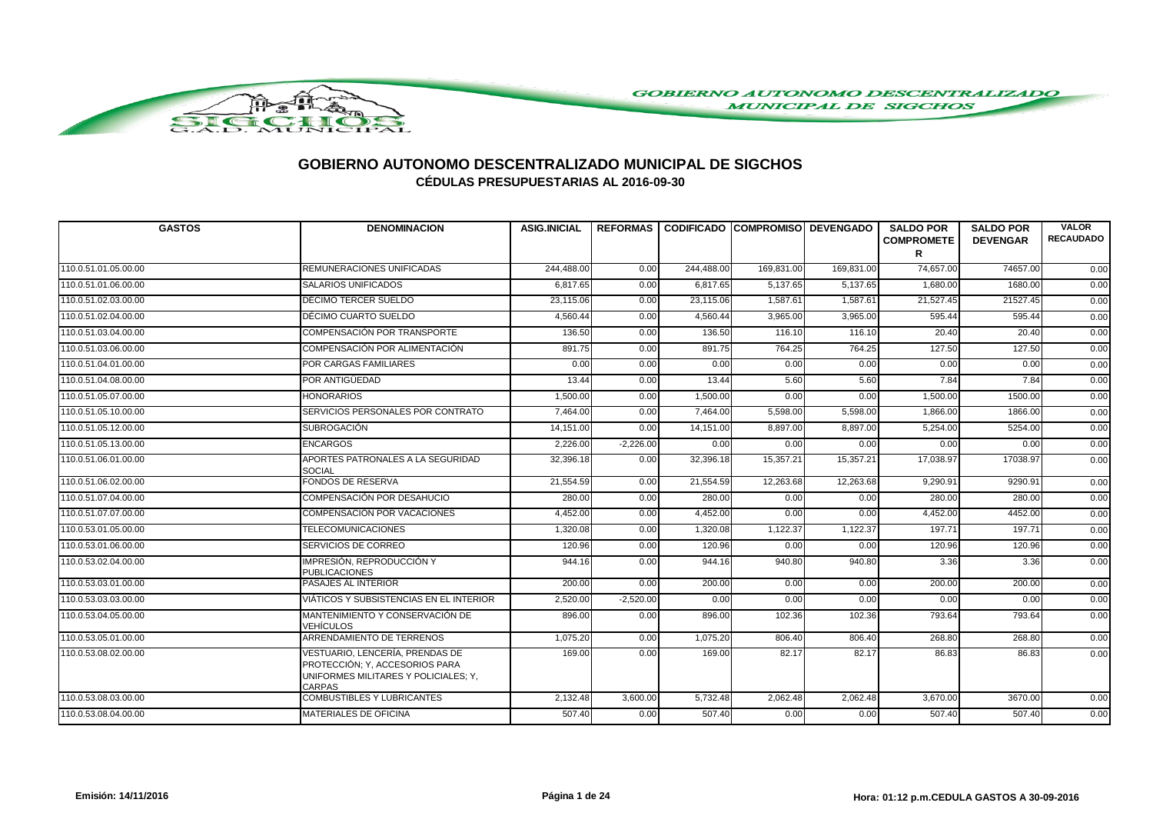

| <b>GASTOS</b>        | <b>DENOMINACION</b>                                                                                                        | <b>ASIG.INICIAL</b> |             | REFORMAS CODIFICADO COMPROMISO DEVENGADO |            |            | <b>SALDO POR</b><br><b>COMPROMETE</b> | <b>SALDO POR</b><br><b>DEVENGAR</b> | <b>VALOR</b><br><b>RECAUDADO</b> |
|----------------------|----------------------------------------------------------------------------------------------------------------------------|---------------------|-------------|------------------------------------------|------------|------------|---------------------------------------|-------------------------------------|----------------------------------|
|                      |                                                                                                                            |                     |             |                                          |            |            | R                                     |                                     |                                  |
| 110.0.51.01.05.00.00 | <b>REMUNERACIONES UNIFICADAS</b>                                                                                           | 244,488.00          | 0.00        | 244,488.00                               | 169,831.00 | 169,831.00 | 74,657.00                             | 74657.00                            | 0.00                             |
| 110.0.51.01.06.00.00 | <b>SALARIOS UNIFICADOS</b>                                                                                                 | 6,817.65            | 0.00        | 6.817.65                                 | 5,137.65   | 5,137.65   | 1,680.00                              | 1680.00                             | 0.00                             |
| 110.0.51.02.03.00.00 | DÉCIMO TERCER SUELDO                                                                                                       | 23,115.06           | 0.00        | 23,115.06                                | 1,587.61   | 1,587.61   | 21,527.45                             | 21527.45                            | 0.00                             |
| 110.0.51.02.04.00.00 | DÉCIMO CUARTO SUELDO                                                                                                       | 4,560.44            | 0.00        | 4,560.44                                 | 3,965.00   | 3,965.00   | 595.44                                | 595.44                              | 0.00                             |
| 110.0.51.03.04.00.00 | COMPENSACIÓN POR TRANSPORTE                                                                                                | 136.50              | 0.00        | 136.50                                   | 116.10     | 116.10     | 20.40                                 | 20.40                               | 0.00                             |
| 110.0.51.03.06.00.00 | COMPENSACIÓN POR ALIMENTACIÓN                                                                                              | 891.75              | 0.00        | 891.75                                   | 764.25     | 764.25     | 127.50                                | 127.50                              | 0.00                             |
| 110.0.51.04.01.00.00 | <b>POR CARGAS FAMILIARES</b>                                                                                               | 0.00                | 0.00        | 0.00                                     | 0.00       | 0.00       | 0.00                                  | 0.00                                | 0.00                             |
| 110.0.51.04.08.00.00 | POR ANTIGÜEDAD                                                                                                             | 13.44               | 0.00        | 13.44                                    | 5.60       | 5.60       | 7.84                                  | 7.84                                | 0.00                             |
| 110.0.51.05.07.00.00 | <b>HONORARIOS</b>                                                                                                          | 1,500.00            | 0.00        | 1,500.00                                 | 0.00       | 0.00       | 1,500.00                              | 1500.00                             | 0.00                             |
| 110.0.51.05.10.00.00 | SERVICIOS PERSONALES POR CONTRATO                                                                                          | 7,464.00            | 0.00        | 7,464.00                                 | 5,598.00   | 5,598.00   | 1,866.00                              | 1866.00                             | 0.00                             |
| 110.0.51.05.12.00.00 | <b>SUBROGACIÓN</b>                                                                                                         | 14,151.00           | 0.00        | 14,151.00                                | 8,897.00   | 8,897.00   | 5,254.00                              | 5254.00                             | 0.00                             |
| 110.0.51.05.13.00.00 | <b>ENCARGOS</b>                                                                                                            | 2.226.00            | $-2,226.00$ | 0.00                                     | 0.00       | 0.00       | 0.00                                  | 0.00                                | 0.00                             |
| 110.0.51.06.01.00.00 | APORTES PATRONALES A LA SEGURIDAD<br>SOCIAL                                                                                | 32,396.18           | 0.00        | 32,396.18                                | 15,357.21  | 15,357.21  | 17,038.97                             | 17038.97                            | 0.00                             |
| 110.0.51.06.02.00.00 | <b>FONDOS DE RESERVA</b>                                                                                                   | 21,554.59           | 0.00        | 21,554.59                                | 12,263.68  | 12,263.68  | 9,290.91                              | 9290.91                             | 0.00                             |
| 110.0.51.07.04.00.00 | <b>COMPENSACIÓN POR DESAHUCIO</b>                                                                                          | 280.00              | 0.00        | 280.00                                   | 0.00       | 0.00       | 280.00                                | 280.00                              | 0.00                             |
| 110.0.51.07.07.00.00 | COMPENSACIÓN POR VACACIONES                                                                                                | 4,452.00            | 0.00        | 4,452.00                                 | 0.00       | 0.00       | 4,452.00                              | 4452.00                             | 0.00                             |
| 110.0.53.01.05.00.00 | <b>TELECOMUNICACIONES</b>                                                                                                  | 1,320.08            | 0.00        | 1,320.08                                 | 1,122.37   | 1,122.37   | 197.71                                | 197.71                              | 0.00                             |
| 110.0.53.01.06.00.00 | SERVICIOS DE CORREO                                                                                                        | 120.96              | 0.00        | 120.96                                   | 0.00       | 0.00       | 120.96                                | 120.96                              | 0.00                             |
| 110.0.53.02.04.00.00 | IMPRESIÓN, REPRODUCCIÓN Y<br><b>PUBLICACIONES</b>                                                                          | 944.16              | 0.00        | 944.16                                   | 940.80     | 940.80     | 3.36                                  | 3.36                                | 0.00                             |
| 110.0.53.03.01.00.00 | <b>PASAJES AL INTERIOR</b>                                                                                                 | 200.00              | 0.00        | 200.00                                   | 0.00       | 0.00       | 200.00                                | 200.00                              | 0.00                             |
| 110.0.53.03.03.00.00 | VIÁTICOS Y SUBSISTENCIAS EN EL INTERIOR                                                                                    | 2,520.00            | $-2,520.00$ | 0.00                                     | 0.00       | 0.00       | 0.00                                  | 0.00                                | 0.00                             |
| 110.0.53.04.05.00.00 | MANTENIMIENTO Y CONSERVACIÓN DE<br>VEHÍCULOS                                                                               | 896.00              | 0.00        | 896.00                                   | 102.36     | 102.36     | 793.64                                | 793.64                              | 0.00                             |
| 110.0.53.05.01.00.00 | ARRENDAMIENTO DE TERRENOS                                                                                                  | 1,075.20            | 0.00        | 1,075.20                                 | 806.40     | 806.40     | 268.80                                | 268.80                              | 0.00                             |
| 110.0.53.08.02.00.00 | VESTUARIO, LENCERÍA, PRENDAS DE<br>PROTECCIÓN; Y, ACCESORIOS PARA<br>UNIFORMES MILITARES Y POLICIALES; Y,<br><b>CARPAS</b> | 169.00              | 0.00        | 169.00                                   | 82.17      | 82.17      | 86.83                                 | 86.83                               | 0.00                             |
| 110.0.53.08.03.00.00 | <b>COMBUSTIBLES Y LUBRICANTES</b>                                                                                          | 2,132.48            | 3,600.00    | 5,732.48                                 | 2,062.48   | 2,062.48   | 3,670.00                              | 3670.00                             | 0.00                             |
| 110.0.53.08.04.00.00 | <b>MATERIALES DE OFICINA</b>                                                                                               | 507.40              | 0.00        | 507.40                                   | 0.00       | 0.00       | 507.40                                | 507.40                              | 0.00                             |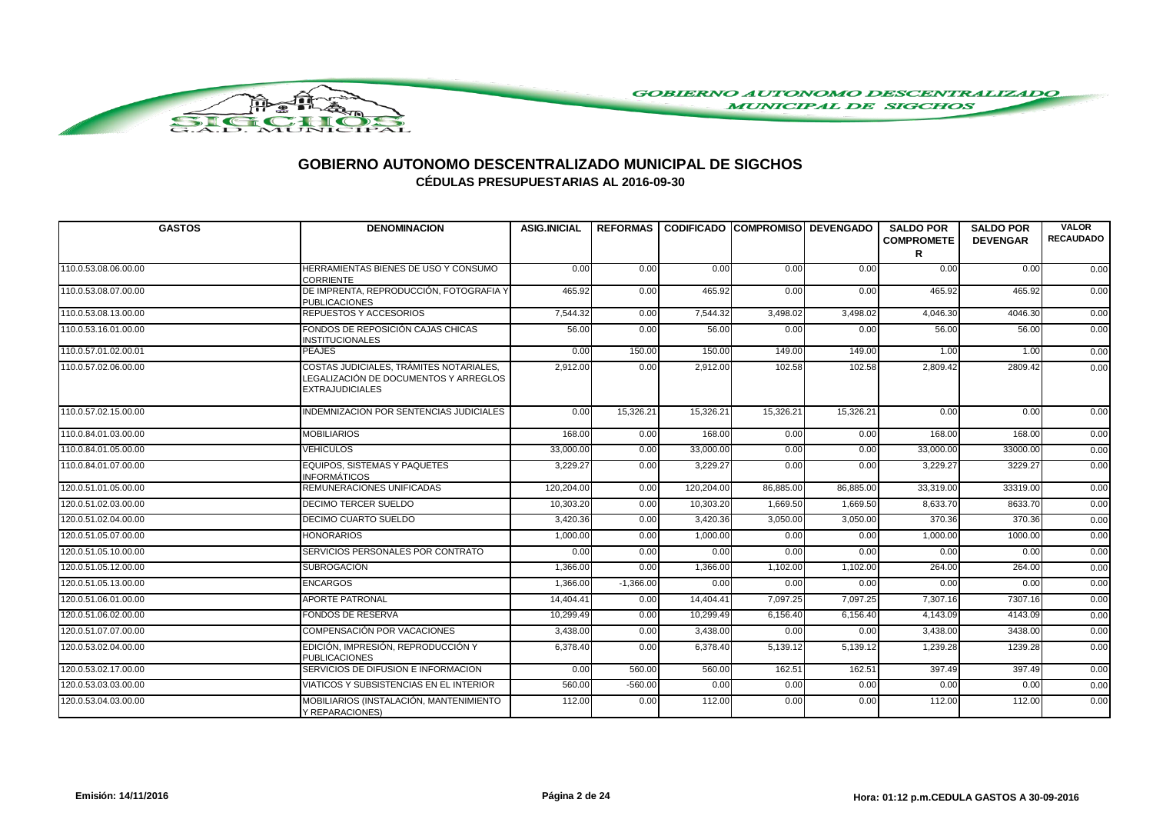

| <b>GASTOS</b>        | <b>DENOMINACION</b>                                                                                        | <b>ASIG.INICIAL</b> |             | REFORMAS I CODIFICADO ICOMPROMISOI DEVENGADO |           |           | <b>SALDO POR</b><br><b>COMPROMETE</b> | <b>SALDO POR</b><br><b>DEVENGAR</b> | <b>VALOR</b><br><b>RECAUDADO</b> |
|----------------------|------------------------------------------------------------------------------------------------------------|---------------------|-------------|----------------------------------------------|-----------|-----------|---------------------------------------|-------------------------------------|----------------------------------|
|                      |                                                                                                            |                     |             |                                              |           |           | R                                     |                                     |                                  |
| 110.0.53.08.06.00.00 | HERRAMIENTAS BIENES DE USO Y CONSUMO<br>CORRIENTE                                                          | 0.00                | 0.00        | 0.00                                         | 0.00      | 0.00      | 0.00                                  | 0.00                                | 0.00                             |
| 110.0.53.08.07.00.00 | DE IMPRENTA, REPRODUCCIÓN, FOTOGRAFIA Y<br><b>PUBLICACIONES</b>                                            | 465.92              | 0.00        | 465.92                                       | 0.00      | 0.00      | 465.92                                | 465.92                              | 0.00                             |
| 110.0.53.08.13.00.00 | REPUESTOS Y ACCESORIOS                                                                                     | 7,544.32            | 0.00        | 7,544.32                                     | 3,498.02  | 3,498.02  | 4,046.30                              | 4046.30                             | 0.00                             |
| 110.0.53.16.01.00.00 | FONDOS DE REPOSICIÓN CAJAS CHICAS<br><b>INSTITUCIONALES</b>                                                | 56.00               | 0.00        | 56.00                                        | 0.00      | 0.00      | 56.00                                 | 56.00                               | 0.00                             |
| 110.0.57.01.02.00.01 | <b>PEAJES</b>                                                                                              | 0.00                | 150.00      | 150.00                                       | 149.00    | 149.00    | 1.00                                  | 1.00                                | 0.00                             |
| 110.0.57.02.06.00.00 | COSTAS JUDICIALES, TRÁMITES NOTARIALES,<br>LEGALIZACIÓN DE DOCUMENTOS Y ARREGLOS<br><b>EXTRAJUDICIALES</b> | 2,912.00            | 0.00        | 2,912.00                                     | 102.58    | 102.58    | 2,809.42                              | 2809.42                             | 0.00                             |
| 110.0.57.02.15.00.00 | INDEMNIZACION POR SENTENCIAS JUDICIALES                                                                    | 0.00                | 15,326.21   | 15,326.21                                    | 15,326.21 | 15,326.21 | 0.00                                  | 0.00                                | 0.00                             |
| 110.0.84.01.03.00.00 | <b>MOBILIARIOS</b>                                                                                         | 168.00              | 0.00        | 168.00                                       | 0.00      | 0.00      | 168.00                                | 168.00                              | 0.00                             |
| 110.0.84.01.05.00.00 | <b>VEHÍCULOS</b>                                                                                           | 33,000.00           | 0.00        | 33,000.00                                    | 0.00      | 0.00      | 33,000.00                             | 33000.00                            | 0.00                             |
| 110.0.84.01.07.00.00 | EQUIPOS, SISTEMAS Y PAQUETES<br><b>INFORMÁTICOS</b>                                                        | 3,229.27            | 0.00        | 3,229.27                                     | 0.00      | 0.00      | 3,229.27                              | 3229.27                             | 0.00                             |
| 120.0.51.01.05.00.00 | REMUNERACIONES UNIFICADAS                                                                                  | 120,204.00          | 0.00        | 120,204.00                                   | 86,885.00 | 86,885.00 | 33,319.00                             | 33319.00                            | 0.00                             |
| 120.0.51.02.03.00.00 | <b>DECIMO TERCER SUELDO</b>                                                                                | 10,303.20           | 0.00        | 10,303.20                                    | 1,669.50  | 1,669.50  | 8.633.70                              | 8633.70                             | 0.00                             |
| 120.0.51.02.04.00.00 | DECIMO CUARTO SUELDO                                                                                       | 3,420.36            | 0.00        | 3,420.36                                     | 3,050.00  | 3,050.00  | 370.36                                | 370.36                              | 0.00                             |
| 120.0.51.05.07.00.00 | <b>HONORARIOS</b>                                                                                          | 1,000.00            | 0.00        | 1,000.00                                     | 0.00      | 0.00      | 1,000.00                              | 1000.00                             | 0.00                             |
| 120.0.51.05.10.00.00 | SERVICIOS PERSONALES POR CONTRATO                                                                          | 0.00                | 0.00        | 0.00                                         | 0.00      | 0.00      | 0.00                                  | 0.00                                | 0.00                             |
| 120.0.51.05.12.00.00 | <b>SUBROGACIÓN</b>                                                                                         | 1.366.00            | 0.00        | 1,366.00                                     | 1,102.00  | 1,102.00  | 264.00                                | 264.00                              | 0.00                             |
| 120.0.51.05.13.00.00 | <b>ENCARGOS</b>                                                                                            | 1.366.00            | $-1,366.00$ | 0.00                                         | 0.00      | 0.00      | 0.00                                  | 0.00                                | 0.00                             |
| 120.0.51.06.01.00.00 | APORTE PATRONAL                                                                                            | 14,404.41           | 0.00        | 14,404.41                                    | 7,097.25  | 7,097.25  | 7,307.16                              | 7307.16                             | 0.00                             |
| 120.0.51.06.02.00.00 | <b>FONDOS DE RESERVA</b>                                                                                   | 10,299.49           | 0.00        | 10,299.49                                    | 6,156.40  | 6,156.40  | 4,143.09                              | 4143.09                             | 0.00                             |
| 120.0.51.07.07.00.00 | COMPENSACIÓN POR VACACIONES                                                                                | 3,438.00            | 0.00        | 3,438.00                                     | 0.00      | 0.00      | 3,438.00                              | 3438.00                             | 0.00                             |
| 120.0.53.02.04.00.00 | EDICIÓN, IMPRESIÓN, REPRODUCCIÓN Y<br><b>PUBLICACIONES</b>                                                 | 6,378.40            | 0.00        | 6,378.40                                     | 5,139.12  | 5,139.12  | 1,239.28                              | 1239.28                             | 0.00                             |
| 120.0.53.02.17.00.00 | SERVICIOS DE DIFUSION E INFORMACION                                                                        | 0.00                | 560.00      | 560.00                                       | 162.51    | 162.51    | 397.49                                | 397.49                              | 0.00                             |
| 120.0.53.03.03.00.00 | VIATICOS Y SUBSISTENCIAS EN EL INTERIOR                                                                    | 560.00              | $-560.00$   | 0.00                                         | 0.00      | 0.00      | 0.00                                  | 0.00                                | 0.00                             |
| 120.0.53.04.03.00.00 | MOBILIARIOS (INSTALACIÓN, MANTENIMIENTO<br>Y REPARACIONES)                                                 | 112.00              | 0.00        | 112.00                                       | 0.00      | 0.00      | 112.00                                | 112.00                              | 0.00                             |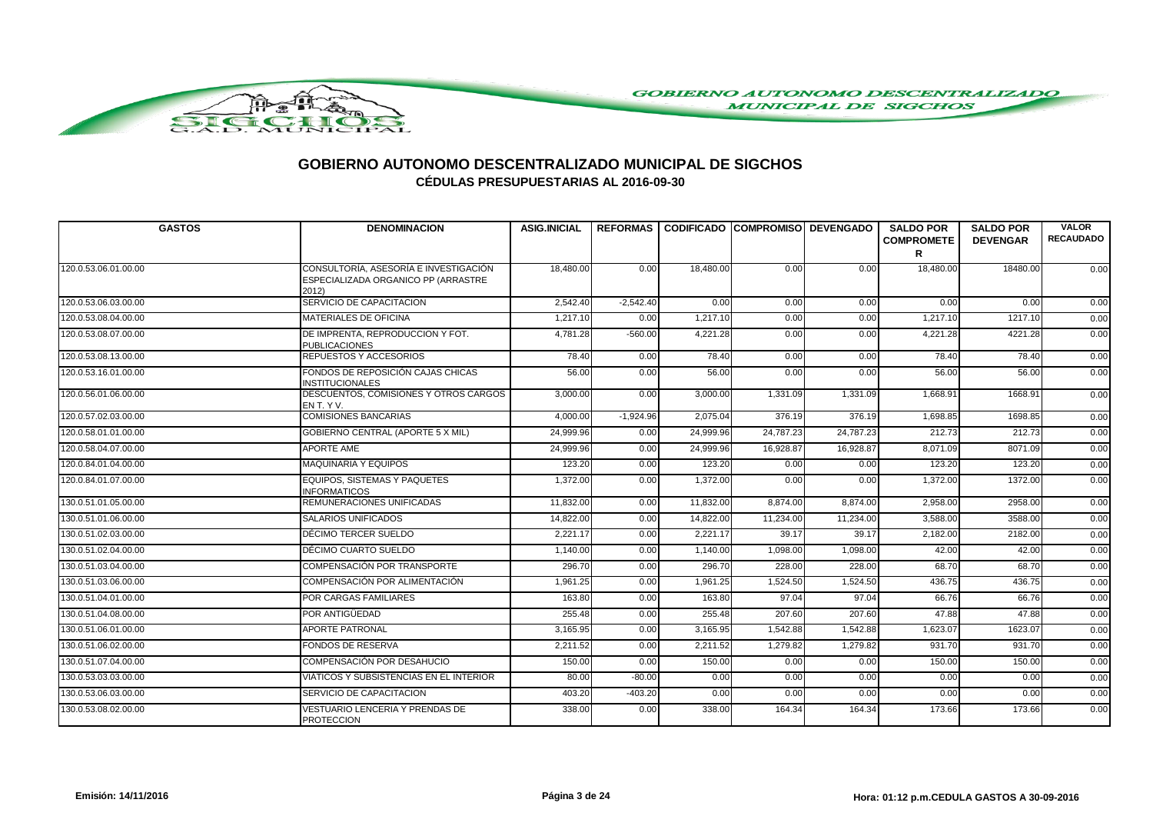

| <b>GASTOS</b>        | <b>DENOMINACION</b>                                                                  | <b>ASIG.INICIAL</b> |             | REFORMAS CODIFICADO COMPROMISO DEVENGADO |           |           | <b>SALDO POR</b><br><b>COMPROMETE</b><br>R | <b>SALDO POR</b><br><b>DEVENGAR</b> | <b>VALOR</b><br><b>RECAUDADO</b> |
|----------------------|--------------------------------------------------------------------------------------|---------------------|-------------|------------------------------------------|-----------|-----------|--------------------------------------------|-------------------------------------|----------------------------------|
| 120.0.53.06.01.00.00 | CONSULTORÍA, ASESORÍA E INVESTIGACIÓN<br>ESPECIALIZADA ORGANICO PP (ARRASTRE<br>2012 | 18,480.00           | 0.00        | 18,480.00                                | 0.00      | 0.00      | 18,480.00                                  | 18480.00                            | 0.00                             |
| 120.0.53.06.03.00.00 | SERVICIO DE CAPACITACION                                                             | 2,542.40            | $-2,542.40$ | 0.00                                     | 0.00      | 0.00      | 0.00                                       | 0.00                                | 0.00                             |
| 120.0.53.08.04.00.00 | <b>MATERIALES DE OFICINA</b>                                                         | 1,217.10            | 0.00        | 1,217.10                                 | 0.00      | 0.00      | 1.217.10                                   | 1217.10                             | 0.00                             |
| 120.0.53.08.07.00.00 | DE IMPRENTA, REPRODUCCION Y FOT.<br><b>PUBLICACIONES</b>                             | 4,781.28            | $-560.00$   | 4,221.28                                 | 0.00      | 0.00      | 4,221.28                                   | 4221.28                             | 0.00                             |
| 120.0.53.08.13.00.00 | <b>REPUESTOS Y ACCESORIOS</b>                                                        | 78.40               | 0.00        | 78.40                                    | 0.00      | 0.00      | 78.40                                      | 78.40                               | 0.00                             |
| 120.0.53.16.01.00.00 | FONDOS DE REPOSICIÓN CAJAS CHICAS<br><b>INSTITUCIONALES</b>                          | 56.00               | 0.00        | 56.00                                    | 0.00      | 0.00      | 56.00                                      | 56.00                               | 0.00                             |
| 120.0.56.01.06.00.00 | DESCUENTOS, COMISIONES Y OTROS CARGOS<br>EN T. Y V.                                  | 3,000.00            | 0.00        | 3,000.00                                 | 1,331.09  | 1,331.09  | 1,668.91                                   | 1668.91                             | 0.00                             |
| 120.0.57.02.03.00.00 | <b>COMISIONES BANCARIAS</b>                                                          | 4,000.00            | $-1,924.96$ | 2,075.04                                 | 376.19    | 376.19    | 1,698.85                                   | 1698.85                             | 0.00                             |
| 120.0.58.01.01.00.00 | <b>GOBIERNO CENTRAL (APORTE 5 X MIL)</b>                                             | 24,999.96           | 0.00        | 24,999.96                                | 24,787.23 | 24,787.23 | 212.73                                     | 212.73                              | 0.00                             |
| 120.0.58.04.07.00.00 | <b>APORTE AME</b>                                                                    | 24,999.96           | 0.00        | 24,999.96                                | 16,928.87 | 16,928.87 | 8,071.09                                   | 8071.09                             | 0.00                             |
| 120.0.84.01.04.00.00 | <b>MAQUINARIA Y EQUIPOS</b>                                                          | 123.20              | 0.00        | 123.20                                   | 0.00      | 0.00      | 123.20                                     | 123.20                              | 0.00                             |
| 120.0.84.01.07.00.00 | EQUIPOS, SISTEMAS Y PAQUETES<br><b>INFORMATICOS</b>                                  | 1,372.00            | 0.00        | 1,372.00                                 | 0.00      | 0.00      | 1,372.00                                   | 1372.00                             | 0.00                             |
| 130.0.51.01.05.00.00 | <b>REMUNERACIONES UNIFICADAS</b>                                                     | 11,832.00           | 0.00        | 11,832.00                                | 8,874.00  | 8,874.00  | 2,958.00                                   | 2958.00                             | 0.00                             |
| 130.0.51.01.06.00.00 | <b>SALARIOS UNIFICADOS</b>                                                           | 14,822.00           | 0.00        | 14,822.00                                | 11,234.00 | 11,234.00 | 3,588.00                                   | 3588.00                             | 0.00                             |
| 130.0.51.02.03.00.00 | DÉCIMO TERCER SUELDO                                                                 | 2,221.17            | 0.00        | 2,221.17                                 | 39.17     | 39.17     | 2,182.00                                   | 2182.00                             | 0.00                             |
| 130.0.51.02.04.00.00 | DÉCIMO CUARTO SUELDO                                                                 | 1,140.00            | 0.00        | 1,140.00                                 | 1,098.00  | 1,098.00  | 42.00                                      | 42.00                               | 0.00                             |
| 130.0.51.03.04.00.00 | <b>COMPENSACIÓN POR TRANSPORTE</b>                                                   | 296.70              | 0.00        | 296.70                                   | 228,00    | 228.00    | 68.70                                      | 68.70                               | 0.00                             |
| 130.0.51.03.06.00.00 | COMPENSACIÓN POR ALIMENTACIÓN                                                        | 1,961.25            | 0.00        | 1,961.25                                 | 1,524.50  | 1,524.50  | 436.75                                     | 436.75                              | 0.00                             |
| 130.0.51.04.01.00.00 | <b>POR CARGAS FAMILIARES</b>                                                         | 163.80              | 0.00        | 163.80                                   | 97.04     | 97.04     | 66.76                                      | 66.76                               | 0.00                             |
| 130.0.51.04.08.00.00 | POR ANTIGÜEDAD                                                                       | 255.48              | 0.00        | 255.48                                   | 207.60    | 207.60    | 47.88                                      | 47.88                               | 0.00                             |
| 130.0.51.06.01.00.00 | <b>APORTE PATRONAL</b>                                                               | 3,165.95            | 0.00        | 3,165.95                                 | 1,542.88  | 1,542.88  | 1,623.07                                   | 1623.07                             | 0.00                             |
| 130.0.51.06.02.00.00 | <b>FONDOS DE RESERVA</b>                                                             | 2,211.52            | 0.00        | 2,211.52                                 | 1,279.82  | 1,279.82  | 931.70                                     | 931.70                              | 0.00                             |
| 130.0.51.07.04.00.00 | <b>COMPENSACIÓN POR DESAHUCIO</b>                                                    | 150.00              | 0.00        | 150.00                                   | 0.00      | 0.00      | 150.00                                     | 150.00                              | 0.00                             |
| 130.0.53.03.03.00.00 | VIÁTICOS Y SUBSISTENCIAS EN EL INTERIOR                                              | 80.00               | $-80.00$    | 0.00                                     | 0.00      | 0.00      | 0.00                                       | 0.00                                | 0.00                             |
| 130.0.53.06.03.00.00 | SERVICIO DE CAPACITACION                                                             | 403.20              | $-403.20$   | 0.00                                     | 0.00      | 0.00      | 0.00                                       | 0.00                                | 0.00                             |
| 130.0.53.08.02.00.00 | VESTUARIO LENCERIA Y PRENDAS DE<br><b>PROTECCION</b>                                 | 338.00              | 0.00        | 338.00                                   | 164.34    | 164.34    | 173.66                                     | 173.66                              | 0.00                             |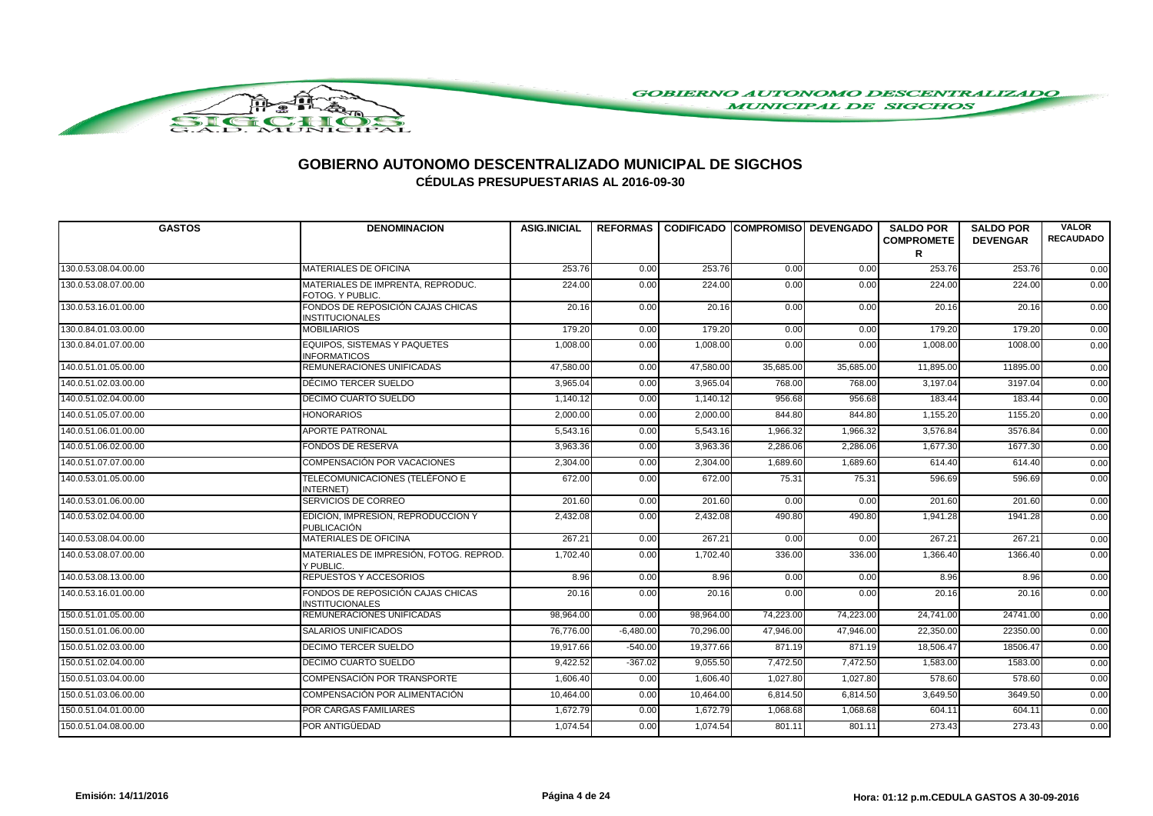

| <b>GASTOS</b>        | <b>DENOMINACION</b>                                         | <b>ASIG.INICIAL</b> |             |           | REFORMAS I CODIFICADO ICOMPROMISOI DEVENGADO |           | <b>SALDO POR</b><br><b>COMPROMETE</b><br>R | <b>SALDO POR</b><br><b>DEVENGAR</b> | <b>VALOR</b><br><b>RECAUDADO</b> |
|----------------------|-------------------------------------------------------------|---------------------|-------------|-----------|----------------------------------------------|-----------|--------------------------------------------|-------------------------------------|----------------------------------|
| 130.0.53.08.04.00.00 | <b>MATERIALES DE OFICINA</b>                                | 253.76              | 0.00        | 253.76    | 0.00                                         | 0.00      | 253.76                                     | 253.76                              | 0.00                             |
| 130.0.53.08.07.00.00 | MATERIALES DE IMPRENTA, REPRODUC.<br>FOTOG. Y PUBLIC.       | 224.00              | 0.00        | 224.00    | 0.00                                         | 0.00      | 224.00                                     | 224.00                              | 0.00                             |
| 130.0.53.16.01.00.00 | FONDOS DE REPOSICIÓN CAJAS CHICAS<br><b>INSTITUCIONALES</b> | 20.16               | 0.00        | 20.16     | 0.00                                         | 0.00      | 20.16                                      | 20.16                               | 0.00                             |
| 130.0.84.01.03.00.00 | <b>MOBILIARIOS</b>                                          | 179.20              | 0.00        | 179.20    | 0.00                                         | 0.00      | 179.20                                     | 179.20                              | 0.00                             |
| 130.0.84.01.07.00.00 | EQUIPOS, SISTEMAS Y PAQUETES<br><b>INFORMATICOS</b>         | 1,008.00            | 0.00        | 1,008.00  | 0.00                                         | 0.00      | 1,008.00                                   | 1008.00                             | 0.00                             |
| 140.0.51.01.05.00.00 | REMUNERACIONES UNIFICADAS                                   | 47,580.00           | 0.00        | 47,580.00 | 35,685.00                                    | 35,685.00 | 11,895.00                                  | 11895.00                            | 0.00                             |
| 140.0.51.02.03.00.00 | DÉCIMO TERCER SUELDO                                        | 3,965.04            | 0.00        | 3,965.04  | 768.00                                       | 768.00    | 3,197.04                                   | 3197.04                             | 0.00                             |
| 140.0.51.02.04.00.00 | DÉCIMO CUARTO SUELDO                                        | 1,140.12            | 0.00        | 1,140.12  | 956.68                                       | 956.68    | 183.44                                     | 183.44                              | 0.00                             |
| 140.0.51.05.07.00.00 | <b>HONORARIOS</b>                                           | 2,000.00            | 0.00        | 2,000.00  | 844.80                                       | 844.80    | 1,155.20                                   | 1155.20                             | 0.00                             |
| 140.0.51.06.01.00.00 | <b>APORTE PATRONAL</b>                                      | 5,543.16            | 0.00        | 5,543.16  | 1,966.32                                     | 1,966.32  | 3,576.84                                   | 3576.84                             | 0.00                             |
| 140.0.51.06.02.00.00 | <b>FONDOS DE RESERVA</b>                                    | 3,963.36            | 0.00        | 3,963.36  | 2,286.06                                     | 2,286.06  | 1,677.30                                   | 1677.30                             | 0.00                             |
| 140.0.51.07.07.00.00 | <b>COMPENSACIÓN POR VACACIONES</b>                          | 2,304.00            | 0.00        | 2,304.00  | 1,689.60                                     | 1,689.60  | 614.40                                     | 614.40                              | 0.00                             |
| 140.0.53.01.05.00.00 | TELECOMUNICACIONES (TELÉFONO E<br>INTERNET)                 | 672.00              | 0.00        | 672.00    | 75.31                                        | 75.31     | 596.69                                     | 596.69                              | 0.00                             |
| 140.0.53.01.06.00.00 | SERVICIOS DE CORREO                                         | 201.60              | 0.00        | 201.60    | 0.00                                         | 0.00      | 201.60                                     | 201.60                              | 0.00                             |
| 140.0.53.02.04.00.00 | EDICIÓN, IMPRESION, REPRODUCCION Y<br><b>PUBLICACIÓN</b>    | 2,432.08            | 0.00        | 2,432.08  | 490.80                                       | 490.80    | 1,941.28                                   | 1941.28                             | 0.00                             |
| 140.0.53.08.04.00.00 | <b>MATERIALES DE OFICINA</b>                                | 267.21              | 0.00        | 267.21    | 0.00                                         | 0.00      | 267.21                                     | 267.21                              | 0.00                             |
| 140.0.53.08.07.00.00 | MATERIALES DE IMPRESIÓN, FOTOG, REPROD.<br>Y PUBLIC.        | 1,702.40            | 0.00        | 1,702.40  | 336.00                                       | 336.00    | 1,366.40                                   | 1366.40                             | 0.00                             |
| 140.0.53.08.13.00.00 | <b>REPUESTOS Y ACCESORIOS</b>                               | 8.96                | 0.00        | 8.96      | 0.00                                         | 0.00      | 8.96                                       | 8.96                                | 0.00                             |
| 140.0.53.16.01.00.00 | FONDOS DE REPOSICIÓN CAJAS CHICAS<br><b>INSTITUCIONALES</b> | 20.16               | 0.00        | 20.16     | 0.00                                         | 0.00      | 20.16                                      | 20.16                               | 0.00                             |
| 150.0.51.01.05.00.00 | REMUNERACIONES UNIFICADAS                                   | 98,964.00           | 0.00        | 98,964.00 | 74,223.00                                    | 74,223.00 | 24,741.00                                  | 24741.00                            | 0.00                             |
| 150.0.51.01.06.00.00 | <b>SALARIOS UNIFICADOS</b>                                  | 76,776.00           | $-6,480.00$ | 70,296.00 | 47,946.00                                    | 47,946.00 | 22,350.00                                  | 22350.00                            | 0.00                             |
| 150.0.51.02.03.00.00 | <b>DECIMO TERCER SUELDO</b>                                 | 19,917.66           | $-540.00$   | 19,377.66 | 871.19                                       | 871.19    | 18,506.47                                  | 18506.47                            | 0.00                             |
| 150.0.51.02.04.00.00 | <b>DECIMO CUARTO SUELDO</b>                                 | 9,422.52            | $-367.02$   | 9,055.50  | 7,472.50                                     | 7,472.50  | 1,583.00                                   | 1583.00                             | 0.00                             |
| 150.0.51.03.04.00.00 | COMPENSACIÓN POR TRANSPORTE                                 | 1,606.40            | 0.00        | 1,606.40  | 1,027.80                                     | 1,027.80  | 578.60                                     | 578.60                              | 0.00                             |
| 150.0.51.03.06.00.00 | COMPENSACIÓN POR ALIMENTACIÓN                               | 10,464.00           | 0.00        | 10,464.00 | 6,814.50                                     | 6,814.50  | 3,649.50                                   | 3649.50                             | 0.00                             |
| 150.0.51.04.01.00.00 | <b>POR CARGAS FAMILIARES</b>                                | 1,672.79            | 0.00        | 1,672.79  | 1,068.68                                     | 1,068.68  | 604.11                                     | 604.11                              | 0.00                             |
| 150.0.51.04.08.00.00 | POR ANTIGÜEDAD                                              | 1,074.54            | 0.00        | 1,074.54  | 801.11                                       | 801.11    | 273.43                                     | 273.43                              | 0.00                             |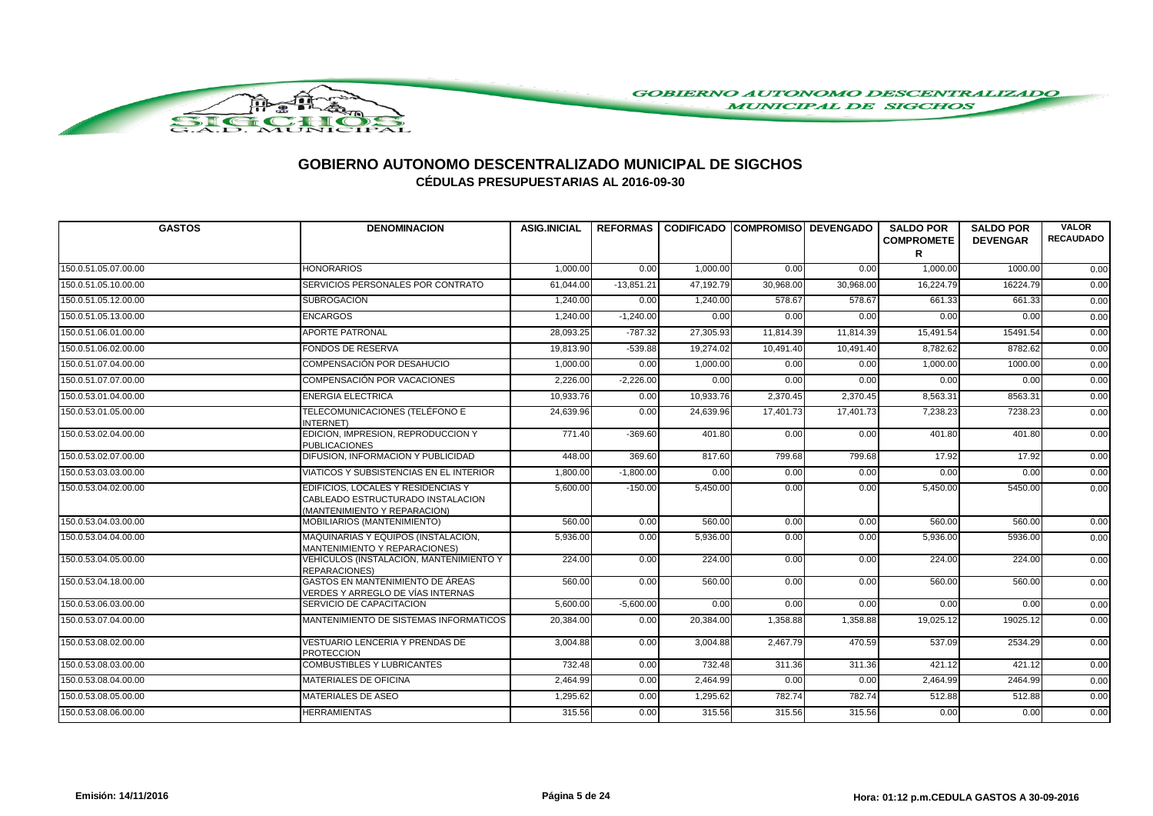

| <b>GASTOS</b>        | <b>DENOMINACION</b>                                                                                     | <b>ASIG.INICIAL</b> |              | REFORMAS CODIFICADO COMPROMISO DEVENGADO |           |           | <b>SALDO POR</b><br><b>COMPROMETE</b><br>R | <b>SALDO POR</b><br><b>DEVENGAR</b> | <b>VALOR</b><br><b>RECAUDADO</b> |
|----------------------|---------------------------------------------------------------------------------------------------------|---------------------|--------------|------------------------------------------|-----------|-----------|--------------------------------------------|-------------------------------------|----------------------------------|
| 150.0.51.05.07.00.00 | <b>HONORARIOS</b>                                                                                       | 1,000.00            | 0.00         | 1,000.00                                 | 0.00      | 0.00      | 1,000.00                                   | 1000.00                             | 0.00                             |
| 150.0.51.05.10.00.00 | SERVICIOS PERSONALES POR CONTRATO                                                                       | 61,044.00           | $-13,851.21$ | 47,192.79                                | 30,968.00 | 30,968.00 | 16,224.79                                  | 16224.79                            | 0.00                             |
| 150.0.51.05.12.00.00 | <b>SUBROGACIÓN</b>                                                                                      | 1,240.00            | 0.00         | 1,240.00                                 | 578.67    | 578.67    | 661.33                                     | 661.33                              | 0.00                             |
| 150.0.51.05.13.00.00 | <b>ENCARGOS</b>                                                                                         | 1,240.00            | $-1,240.00$  | 0.00                                     | 0.00      | 0.00      | 0.00                                       | 0.00                                | 0.00                             |
| 150.0.51.06.01.00.00 | <b>APORTE PATRONAL</b>                                                                                  | 28,093.25           | $-787.32$    | 27,305.93                                | 11,814.39 | 11,814.39 | 15,491.54                                  | 15491.54                            | 0.00                             |
| 150.0.51.06.02.00.00 | <b>FONDOS DE RESERVA</b>                                                                                | 19,813.90           | $-539.88$    | 19.274.02                                | 10,491.40 | 10,491.40 | 8.782.62                                   | 8782.62                             | 0.00                             |
| 150.0.51.07.04.00.00 | COMPENSACIÓN POR DESAHUCIO                                                                              | 1,000.00            | 0.00         | 1,000.00                                 | 0.00      | 0.00      | 1,000.00                                   | 1000.00                             | 0.00                             |
| 150.0.51.07.07.00.00 | <b>COMPENSACIÓN POR VACACIONES</b>                                                                      | 2,226.00            | $-2,226.00$  | 0.00                                     | 0.00      | 0.00      | 0.00                                       | 0.00                                | 0.00                             |
| 150.0.53.01.04.00.00 | <b>ENERGIA ELECTRICA</b>                                                                                | 10,933.76           | 0.00         | 10,933.76                                | 2,370.45  | 2,370.45  | 8,563.31                                   | 8563.31                             | 0.00                             |
| 150.0.53.01.05.00.00 | TELECOMUNICACIONES (TELÉFONO E<br>INTERNET)                                                             | 24,639.96           | 0.00         | 24.639.96                                | 17.401.73 | 17.401.73 | 7,238.23                                   | 7238.23                             | 0.00                             |
| 150.0.53.02.04.00.00 | EDICION, IMPRESION, REPRODUCCION Y<br><b>PUBLICACIONES</b>                                              | 771.40              | $-369.60$    | 401.80                                   | 0.00      | 0.00      | 401.80                                     | 401.80                              | 0.00                             |
| 150.0.53.02.07.00.00 | DIFUSION. INFORMACION Y PUBLICIDAD                                                                      | 448.00              | 369.60       | 817.60                                   | 799.68    | 799.68    | 17.92                                      | 17.92                               | 0.00                             |
| 150.0.53.03.03.00.00 | VIATICOS Y SUBSISTENCIAS EN EL INTERIOR                                                                 | 1,800.00            | $-1,800.00$  | 0.00                                     | 0.00      | 0.00      | 0.00                                       | 0.00                                | 0.00                             |
| 150.0.53.04.02.00.00 | EDIFICIOS, LOCALES Y RESIDENCIAS Y<br>CABLEADO ESTRUCTURADO INSTALACION<br>(MANTENIMIENTO Y REPARACION) | 5,600.00            | $-150.00$    | 5,450.00                                 | 0.00      | 0.00      | 5,450.00                                   | 5450.00                             | 0.00                             |
| 150.0.53.04.03.00.00 | MOBILIARIOS (MANTENIMIENTO)                                                                             | 560.00              | 0.00         | 560.00                                   | 0.00      | 0.00      | 560.00                                     | 560.00                              | 0.00                             |
| 150.0.53.04.04.00.00 | MAQUINARIAS Y EQUIPOS (INSTALACIÓN.<br>MANTENIMIENTO Y REPARACIONES)                                    | 5,936.00            | 0.00         | 5,936.00                                 | 0.00      | 0.00      | 5,936.00                                   | 5936.00                             | 0.00                             |
| 150.0.53.04.05.00.00 | VEHÍCULOS (INSTALACIÓN, MANTENIMIENTO Y<br><b>REPARACIONES)</b>                                         | 224.00              | 0.00         | 224.00                                   | 0.00      | 0.00      | 224.00                                     | 224.00                              | 0.00                             |
| 150.0.53.04.18.00.00 | <b>GASTOS EN MANTENIMIENTO DE ÁREAS</b><br>VERDES Y ARREGLO DE VÍAS INTERNAS                            | 560.00              | 0.00         | 560.00                                   | 0.00      | 0.00      | 560.00                                     | 560.00                              | 0.00                             |
| 150.0.53.06.03.00.00 | SERVICIO DE CAPACITACION                                                                                | 5,600.00            | $-5,600.00$  | 0.00                                     | 0.00      | 0.00      | 0.00                                       | 0.00                                | 0.00                             |
| 150.0.53.07.04.00.00 | MANTENIMIENTO DE SISTEMAS INFORMATICOS                                                                  | 20,384.00           | 0.00         | 20,384.00                                | 1,358.88  | 1,358.88  | 19,025.12                                  | 19025.12                            | 0.00                             |
| 150.0.53.08.02.00.00 | <b>VESTUARIO LENCERIA Y PRENDAS DE</b><br><b>PROTECCION</b>                                             | 3,004.88            | 0.00         | 3,004.88                                 | 2,467.79  | 470.59    | 537.09                                     | 2534.29                             | 0.00                             |
| 150.0.53.08.03.00.00 | <b>COMBUSTIBLES Y LUBRICANTES</b>                                                                       | 732.48              | 0.00         | 732.48                                   | 311.36    | 311.36    | 421.12                                     | 421.12                              | 0.00                             |
| 150.0.53.08.04.00.00 | <b>MATERIALES DE OFICINA</b>                                                                            | 2,464.99            | 0.00         | 2,464.99                                 | 0.00      | 0.00      | 2,464.99                                   | 2464.99                             | 0.00                             |
| 150.0.53.08.05.00.00 | MATERIALES DE ASEO                                                                                      | 1.295.62            | 0.00         | 1,295.62                                 | 782.74    | 782.74    | 512.88                                     | 512.88                              | 0.00                             |
| 150.0.53.08.06.00.00 | <b>HERRAMIENTAS</b>                                                                                     | 315.56              | 0.00         | 315.56                                   | 315.56    | 315.56    | 0.00                                       | 0.00                                | 0.00                             |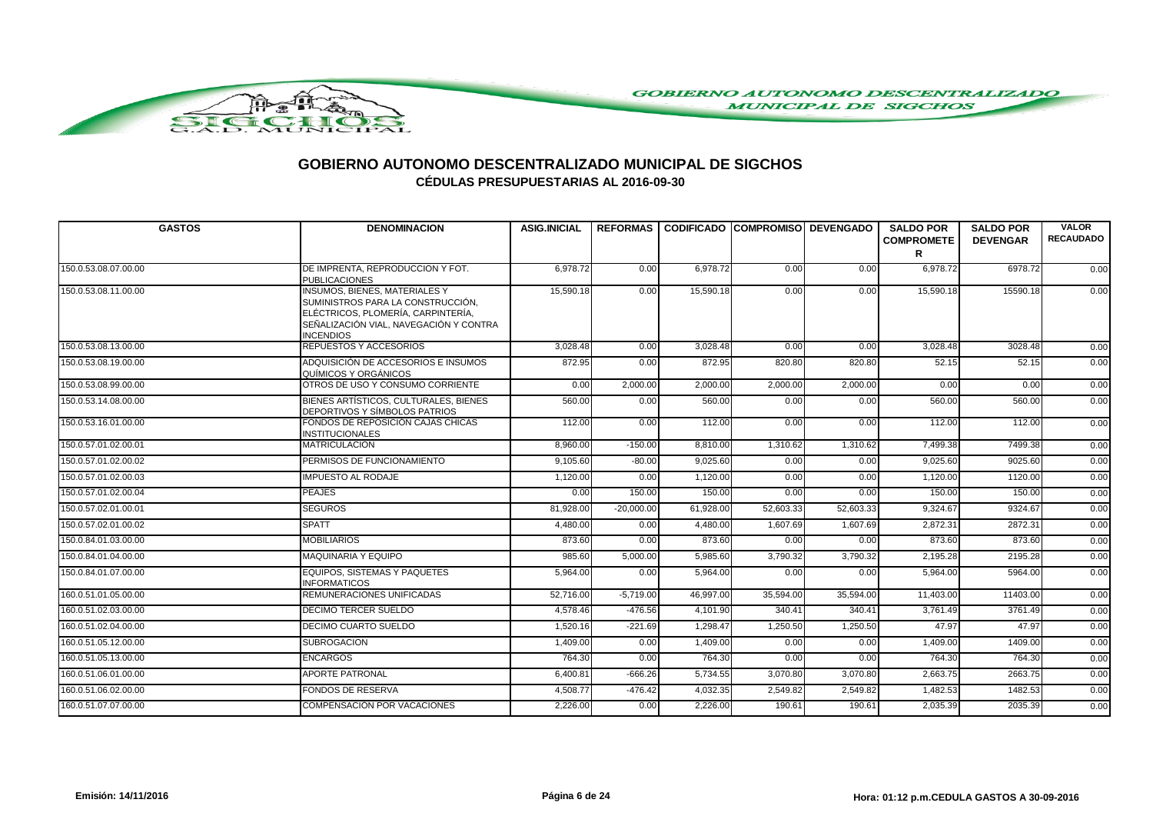

| <b>GASTOS</b>        | <b>DENOMINACION</b>                                                                                                                                                           | <b>ASIG.INICIAL</b> |              | REFORMAS   CODIFICADO   COMPROMISO   DEVENGADO |           |           | <b>SALDO POR</b>       | <b>SALDO POR</b> | <b>VALOR</b>     |
|----------------------|-------------------------------------------------------------------------------------------------------------------------------------------------------------------------------|---------------------|--------------|------------------------------------------------|-----------|-----------|------------------------|------------------|------------------|
|                      |                                                                                                                                                                               |                     |              |                                                |           |           | <b>COMPROMETE</b><br>R | <b>DEVENGAR</b>  | <b>RECAUDADO</b> |
| 150.0.53.08.07.00.00 | DE IMPRENTA, REPRODUCCION Y FOT.<br><b>PUBLICACIONES</b>                                                                                                                      | 6,978.72            | 0.00         | 6,978.72                                       | 0.00      | 0.00      | 6,978.72               | 6978.72          | 0.00             |
| 150.0.53.08.11.00.00 | <b>INSUMOS, BIENES, MATERIALES Y</b><br>SUMINISTROS PARA LA CONSTRUCCIÓN,<br>ELÉCTRICOS, PLOMERÍA, CARPINTERÍA,<br>SEÑALIZACIÓN VIAL, NAVEGACIÓN Y CONTRA<br><b>INCENDIOS</b> | 15,590.18           | 0.00         | 15,590.18                                      | 0.00      | 0.00      | 15,590.18              | 15590.18         | 0.00             |
| 150.0.53.08.13.00.00 | <b>REPUESTOS Y ACCESORIOS</b>                                                                                                                                                 | 3,028.48            | 0.00         | 3,028.48                                       | 0.00      | 0.00      | 3,028.48               | 3028.48          | 0.00             |
| 150.0.53.08.19.00.00 | ADQUISICIÓN DE ACCESORIOS E INSUMOS<br>QUÍMICOS Y ORGÁNICOS                                                                                                                   | 872.95              | 0.00         | 872.95                                         | 820.80    | 820.80    | 52.15                  | 52.15            | 0.00             |
| 150.0.53.08.99.00.00 | OTROS DE USO Y CONSUMO CORRIENTE                                                                                                                                              | 0.00                | 2,000.00     | 2,000.00                                       | 2,000.00  | 2,000.00  | 0.00                   | 0.00             | 0.00             |
| 150.0.53.14.08.00.00 | BIENES ARTÍSTICOS, CULTURALES, BIENES<br>DEPORTIVOS Y SÍMBOLOS PATRIOS                                                                                                        | 560.00              | 0.00         | 560.00                                         | 0.00      | 0.00      | 560.00                 | 560.00           | 0.00             |
| 150.0.53.16.01.00.00 | FONDOS DE REPOSICIÓN CAJAS CHICAS<br><b>INSTITUCIONALES</b>                                                                                                                   | 112.00              | 0.00         | 112.00                                         | 0.00      | 0.00      | 112.00                 | 112.00           | 0.00             |
| 150.0.57.01.02.00.01 | <b>MATRICULACION</b>                                                                                                                                                          | 8,960.00            | $-150.00$    | 8,810.00                                       | 1,310.62  | 1,310.62  | 7,499.38               | 7499.38          | 0.00             |
| 150.0.57.01.02.00.02 | PERMISOS DE FUNCIONAMIENTO                                                                                                                                                    | 9,105.60            | $-80.00$     | 9,025.60                                       | 0.00      | 0.00      | 9,025.60               | 9025.60          | 0.00             |
| 150.0.57.01.02.00.03 | <b>IMPUESTO AL RODAJE</b>                                                                                                                                                     | 1,120.00            | 0.00         | 1,120.00                                       | 0.00      | 0.00      | 1,120.00               | 1120.00          | 0.00             |
| 150.0.57.01.02.00.04 | <b>PEAJES</b>                                                                                                                                                                 | 0.00                | 150.00       | 150.00                                         | 0.00      | 0.00      | 150.00                 | 150.00           | 0.00             |
| 150.0.57.02.01.00.01 | <b>SEGUROS</b>                                                                                                                                                                | 81,928.00           | $-20,000.00$ | 61,928.00                                      | 52,603.33 | 52,603.33 | 9,324.67               | 9324.67          | 0.00             |
| 150.0.57.02.01.00.02 | <b>SPATT</b>                                                                                                                                                                  | 4,480.00            | 0.00         | 4,480.00                                       | 1,607.69  | 1,607.69  | 2,872.31               | 2872.31          | 0.00             |
| 150.0.84.01.03.00.00 | <b>MOBILIARIOS</b>                                                                                                                                                            | 873.60              | 0.00         | 873.60                                         | 0.00      | 0.00      | 873.60                 | 873.60           | 0.00             |
| 150.0.84.01.04.00.00 | <b>MAQUINARIA Y EQUIPO</b>                                                                                                                                                    | 985.60              | 5,000.00     | 5,985.60                                       | 3,790.32  | 3,790.32  | 2,195.28               | 2195.28          | 0.00             |
| 150.0.84.01.07.00.00 | EQUIPOS, SISTEMAS Y PAQUETES<br><b>INFORMATICOS</b>                                                                                                                           | 5,964.00            | 0.00         | 5,964.00                                       | 0.00      | 0.00      | 5,964.00               | 5964.00          | 0.00             |
| 160.0.51.01.05.00.00 | REMUNERACIONES UNIFICADAS                                                                                                                                                     | 52,716.00           | $-5,719.00$  | 46,997.00                                      | 35,594.00 | 35,594.00 | 11,403.00              | 11403.00         | 0.00             |
| 160.0.51.02.03.00.00 | <b>DECIMO TERCER SUELDO</b>                                                                                                                                                   | 4,578.46            | $-476.56$    | 4,101.90                                       | 340.41    | 340.41    | 3.761.49               | 3761.49          | 0.00             |
| 160.0.51.02.04.00.00 | DECIMO CUARTO SUELDO                                                                                                                                                          | 1.520.16            | $-221.69$    | 1.298.47                                       | 1,250.50  | 1,250.50  | 47.97                  | 47.97            | 0.00             |
| 160.0.51.05.12.00.00 | <b>SUBROGACION</b>                                                                                                                                                            | 1,409.00            | 0.00         | 1,409.00                                       | 0.00      | 0.00      | 1,409.00               | 1409.00          | 0.00             |
| 160.0.51.05.13.00.00 | <b>ENCARGOS</b>                                                                                                                                                               | 764.30              | 0.00         | 764.30                                         | 0.00      | 0.00      | 764.30                 | 764.30           | 0.00             |
| 160.0.51.06.01.00.00 | <b>APORTE PATRONAL</b>                                                                                                                                                        | 6,400.81            | $-666.26$    | 5,734.55                                       | 3,070.80  | 3,070.80  | 2,663.75               | 2663.75          | 0.00             |
| 160.0.51.06.02.00.00 | <b>FONDOS DE RESERVA</b>                                                                                                                                                      | 4,508.77            | $-476.42$    | 4,032.35                                       | 2,549.82  | 2,549.82  | 1,482.53               | 1482.53          | 0.00             |
| 160.0.51.07.07.00.00 | COMPENSACIÓN POR VACACIONES                                                                                                                                                   | 2,226.00            | 0.00         | 2,226.00                                       | 190.61    | 190.61    | 2,035.39               | 2035.39          | 0.00             |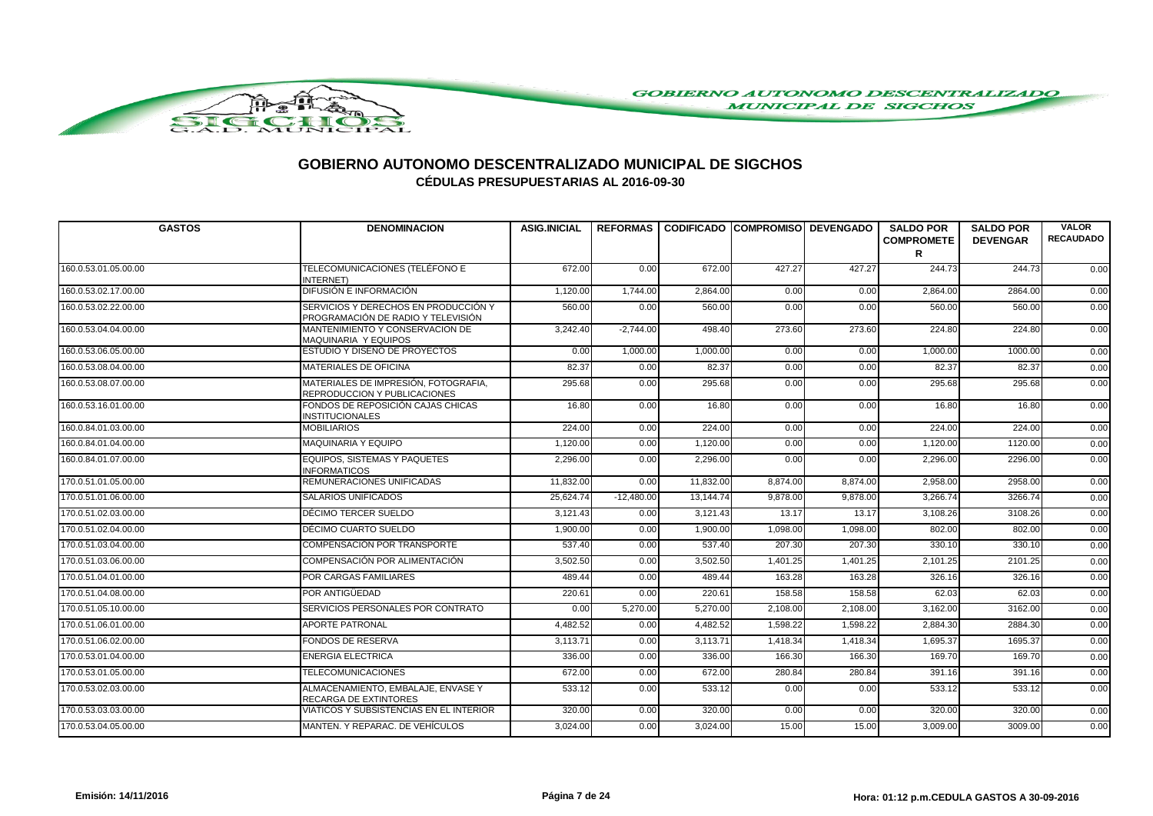

| <b>GASTOS</b>        | <b>DENOMINACION</b>                                                        | <b>ASIG.INICIAL</b> |              | REFORMAS   CODIFICADO   COMPROMISO   DEVENGADO |          |          | <b>SALDO POR</b><br><b>COMPROMETE</b><br>R | <b>SALDO POR</b><br><b>DEVENGAR</b> | <b>VALOR</b><br><b>RECAUDADO</b> |
|----------------------|----------------------------------------------------------------------------|---------------------|--------------|------------------------------------------------|----------|----------|--------------------------------------------|-------------------------------------|----------------------------------|
| 160.0.53.01.05.00.00 | TELECOMUNICACIONES (TELÉFONO E<br>INTERNET)                                | 672.00              | 0.00         | 672.00                                         | 427.27   | 427.27   | 244.73                                     | 244.73                              | 0.00                             |
| 160.0.53.02.17.00.00 | DIFUSIÓN E INFORMACIÓN                                                     | 1,120.00            | 1,744.00     | 2,864.00                                       | 0.00     | 0.00     | 2,864.00                                   | 2864.00                             | 0.00                             |
| 160.0.53.02.22.00.00 | SERVICIOS Y DERECHOS EN PRODUCCIÓN Y<br>PROGRAMACIÓN DE RADIO Y TELEVISIÓN | 560.00              | 0.00         | 560.00                                         | 0.00     | 0.00     | 560.00                                     | 560.00                              | 0.00                             |
| 160.0.53.04.04.00.00 | MANTENIMIENTO Y CONSERVACION DE<br>MAQUINARIA Y EQUIPOS                    | 3,242.40            | $-2,744.00$  | 498.40                                         | 273.60   | 273.60   | 224.80                                     | 224.80                              | 0.00                             |
| 160.0.53.06.05.00.00 | ESTUDIO Y DISEÑO DE PROYECTOS                                              | 0.00                | 1,000.00     | 1,000.00                                       | 0.00     | 0.00     | 1,000.00                                   | 1000.00                             | 0.00                             |
| 160.0.53.08.04.00.00 | <b>MATERIALES DE OFICINA</b>                                               | 82.37               | 0.00         | 82.37                                          | 0.00     | 0.00     | 82.37                                      | 82.37                               | 0.00                             |
| 160.0.53.08.07.00.00 | MATERIALES DE IMPRESIÓN, FOTOGRAFIA.<br>REPRODUCCION Y PUBLICACIONES       | 295.68              | 0.00         | 295.68                                         | 0.00     | 0.00     | 295.68                                     | 295.68                              | 0.00                             |
| 160.0.53.16.01.00.00 | FONDOS DE REPOSICIÓN CAJAS CHICAS<br><b>INSTITUCIONALES</b>                | 16.80               | 0.00         | 16.80                                          | 0.00     | 0.00     | 16.80                                      | 16.80                               | 0.00                             |
| 160.0.84.01.03.00.00 | <b>MOBILIARIOS</b>                                                         | 224.00              | 0.00         | 224.00                                         | 0.00     | 0.00     | 224.00                                     | 224.00                              | 0.00                             |
| 160.0.84.01.04.00.00 | MAQUINARIA Y EQUIPO                                                        | 1,120.00            | 0.00         | 1,120.00                                       | 0.00     | 0.00     | 1,120.00                                   | 1120.00                             | 0.00                             |
| 160.0.84.01.07.00.00 | <b>EQUIPOS, SISTEMAS Y PAQUETES</b><br><b>INFORMATICOS</b>                 | 2,296.00            | 0.00         | 2,296.00                                       | 0.00     | 0.00     | 2,296.00                                   | 2296.00                             | 0.00                             |
| 170.0.51.01.05.00.00 | REMUNERACIONES UNIFICADAS                                                  | 11,832.00           | 0.00         | 11,832.00                                      | 8,874.00 | 8,874.00 | 2,958.00                                   | 2958.00                             | 0.00                             |
| 170.0.51.01.06.00.00 | <b>SALARIOS UNIFICADOS</b>                                                 | 25,624.74           | $-12,480.00$ | 13,144.74                                      | 9,878.00 | 9,878.00 | 3,266.74                                   | 3266.74                             | 0.00                             |
| 170.0.51.02.03.00.00 | DÉCIMO TERCER SUELDO                                                       | 3,121.43            | 0.00         | 3,121.43                                       | 13.17    | 13.17    | 3,108.26                                   | 3108.26                             | 0.00                             |
| 170.0.51.02.04.00.00 | DÉCIMO CUARTO SUELDO                                                       | 1,900.00            | 0.00         | 1,900.00                                       | 1,098.00 | 1,098.00 | 802.00                                     | 802.00                              | 0.00                             |
| 170.0.51.03.04.00.00 | COMPENSACIÓN POR TRANSPORTE                                                | 537.40              | 0.00         | 537.40                                         | 207.30   | 207.30   | 330.10                                     | 330.10                              | 0.00                             |
| 170.0.51.03.06.00.00 | COMPENSACIÓN POR ALIMENTACIÓN                                              | 3,502.50            | 0.00         | 3,502.50                                       | 1,401.25 | 1,401.25 | 2,101.25                                   | 2101.25                             | 0.00                             |
| 170.0.51.04.01.00.00 | POR CARGAS FAMILIARES                                                      | 489.44              | 0.00         | 489.44                                         | 163.28   | 163.28   | 326.16                                     | 326.16                              | 0.00                             |
| 170.0.51.04.08.00.00 | POR ANTIGÜEDAD                                                             | 220.61              | 0.00         | 220.61                                         | 158.58   | 158.58   | 62.03                                      | 62.03                               | 0.00                             |
| 170.0.51.05.10.00.00 | SERVICIOS PERSONALES POR CONTRATO                                          | 0.00                | 5,270.00     | 5,270.00                                       | 2,108.00 | 2,108.00 | 3,162.00                                   | 3162.00                             | 0.00                             |
| 170.0.51.06.01.00.00 | <b>APORTE PATRONAL</b>                                                     | 4,482.52            | 0.00         | 4,482.52                                       | 1,598.22 | 1,598.22 | 2,884.30                                   | 2884.30                             | 0.00                             |
| 170.0.51.06.02.00.00 | <b>FONDOS DE RESERVA</b>                                                   | 3,113.71            | 0.00         | 3,113.71                                       | 1,418.34 | 1,418.34 | 1,695.37                                   | 1695.37                             | 0.00                             |
| 170.0.53.01.04.00.00 | <b>ENERGIA ELECTRICA</b>                                                   | 336.00              | 0.00         | 336.00                                         | 166.30   | 166.30   | 169.70                                     | 169.70                              | 0.00                             |
| 170.0.53.01.05.00.00 | <b>TELECOMUNICACIONES</b>                                                  | 672.00              | 0.00         | 672.00                                         | 280.84   | 280.84   | 391.16                                     | 391.16                              | 0.00                             |
| 170.0.53.02.03.00.00 | ALMACENAMIENTO, EMBALAJE, ENVASE Y<br><b>RECARGA DE EXTINTORES</b>         | 533.12              | 0.00         | 533.12                                         | 0.00     | 0.00     | 533.12                                     | 533.12                              | 0.00                             |
| 170.0.53.03.03.00.00 | VIATICOS Y SUBSISTENCIAS EN EL INTERIOR                                    | 320.00              | 0.00         | 320.00                                         | 0.00     | 0.00     | 320.00                                     | 320.00                              | 0.00                             |
| 170.0.53.04.05.00.00 | MANTEN, Y REPARAC, DE VEHÍCULOS                                            | 3,024.00            | 0.00         | 3,024.00                                       | 15.00    | 15.00    | 3,009.00                                   | 3009.00                             | 0.00                             |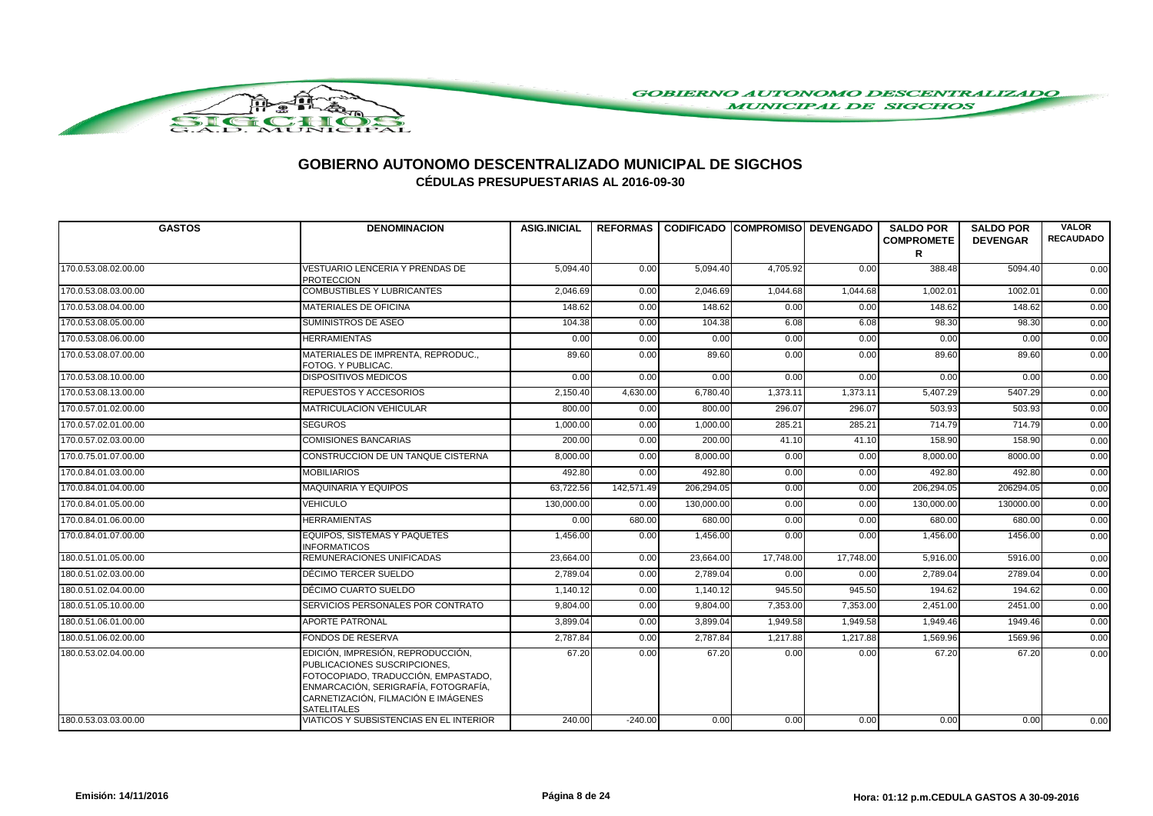

| <b>GASTOS</b>        | <b>DENOMINACION</b>                                                                                                                                                                                           | <b>ASIG.INICIAL</b> |            | REFORMAS CODIFICADO COMPROMISO DEVENGADO |           |           | <b>SALDO POR</b><br><b>COMPROMETE</b><br>R | <b>SALDO POR</b><br><b>DEVENGAR</b> | <b>VALOR</b><br><b>RECAUDADO</b> |
|----------------------|---------------------------------------------------------------------------------------------------------------------------------------------------------------------------------------------------------------|---------------------|------------|------------------------------------------|-----------|-----------|--------------------------------------------|-------------------------------------|----------------------------------|
| 170.0.53.08.02.00.00 | <b>VESTUARIO LENCERIA Y PRENDAS DE</b><br><b>PROTECCION</b>                                                                                                                                                   | 5,094.40            | 0.00       | 5,094.40                                 | 4,705.92  | 0.00      | 388.48                                     | 5094.40                             | 0.00                             |
| 170.0.53.08.03.00.00 | <b>COMBUSTIBLES Y LUBRICANTES</b>                                                                                                                                                                             | 2,046.69            | 0.00       | 2.046.69                                 | 1,044.68  | 1,044.68  | 1,002.01                                   | 1002.0                              | 0.00                             |
| 170.0.53.08.04.00.00 | MATERIALES DE OFICINA                                                                                                                                                                                         | 148.62              | 0.00       | 148.62                                   | 0.00      | 0.00      | 148.62                                     | 148.62                              | 0.00                             |
| 170.0.53.08.05.00.00 | SUMINISTROS DE ASEO                                                                                                                                                                                           | 104.38              | 0.00       | 104.38                                   | 6.08      | 6.08      | 98.30                                      | 98.30                               | 0.00                             |
| 170.0.53.08.06.00.00 | <b>HERRAMIENTAS</b>                                                                                                                                                                                           | 0.00                | 0.00       | 0.00                                     | 0.00      | 0.00      | 0.00                                       | 0.00                                | 0.00                             |
| 170.0.53.08.07.00.00 | MATERIALES DE IMPRENTA, REPRODUC<br>FOTOG. Y PUBLICAC.                                                                                                                                                        | 89.60               | 0.00       | 89.60                                    | 0.00      | 0.00      | 89.60                                      | 89.60                               | 0.00                             |
| 170.0.53.08.10.00.00 | <b>DISPOSITIVOS MEDICOS</b>                                                                                                                                                                                   | 0.00                | 0.00       | 0.00                                     | 0.00      | 0.00      | 0.00                                       | 0.00                                | 0.00                             |
| 170.0.53.08.13.00.00 | <b>REPUESTOS Y ACCESORIOS</b>                                                                                                                                                                                 | 2.150.40            | 4,630.00   | 6.780.40                                 | 1.373.11  | 1.373.11  | 5.407.29                                   | 5407.29                             | 0.00                             |
| 170.0.57.01.02.00.00 | <b>MATRICULACION VEHICULAR</b>                                                                                                                                                                                | 800.00              | 0.00       | 800.00                                   | 296.07    | 296.07    | 503.93                                     | 503.93                              | 0.00                             |
| 170.0.57.02.01.00.00 | <b>SEGUROS</b>                                                                                                                                                                                                | 1,000.00            | 0.00       | 1.000.00                                 | 285.21    | 285.21    | 714.79                                     | 714.79                              | 0.00                             |
| 170.0.57.02.03.00.00 | <b>COMISIONES BANCARIAS</b>                                                                                                                                                                                   | 200.00              | 0.00       | 200.00                                   | 41.10     | 41.10     | 158.90                                     | 158.90                              | 0.00                             |
| 170.0.75.01.07.00.00 | CONSTRUCCION DE UN TANQUE CISTERNA                                                                                                                                                                            | 8,000.00            | 0.00       | 8,000.00                                 | 0.00      | 0.00      | 8,000.00                                   | 8000.00                             | 0.00                             |
| 170.0.84.01.03.00.00 | <b>MOBILIARIOS</b>                                                                                                                                                                                            | 492.80              | 0.00       | 492.80                                   | 0.00      | 0.00      | 492.80                                     | 492.80                              | 0.00                             |
| 170.0.84.01.04.00.00 | <b>MAQUINARIA Y EQUIPOS</b>                                                                                                                                                                                   | 63,722.56           | 142,571.49 | 206,294.05                               | 0.00      | 0.00      | 206,294.05                                 | 206294.05                           | 0.00                             |
| 170.0.84.01.05.00.00 | <b>VEHICULO</b>                                                                                                                                                                                               | 130,000.00          | 0.00       | 130,000.00                               | 0.00      | 0.00      | 130,000.00                                 | 130000.00                           | 0.00                             |
| 170.0.84.01.06.00.00 | <b>HERRAMIENTAS</b>                                                                                                                                                                                           | 0.00                | 680.00     | 680.00                                   | 0.00      | 0.00      | 680.00                                     | 680.00                              | 0.00                             |
| 170.0.84.01.07.00.00 | <b>EQUIPOS. SISTEMAS Y PAQUETES</b><br><b>INFORMATICOS</b>                                                                                                                                                    | 1.456.00            | 0.00       | 1.456.00                                 | 0.00      | 0.00      | 1.456.00                                   | 1456.00                             | 0.00                             |
| 180.0.51.01.05.00.00 | REMUNERACIONES UNIFICADAS                                                                                                                                                                                     | 23,664.00           | 0.00       | 23,664.00                                | 17,748.00 | 17,748.00 | 5,916.00                                   | 5916.00                             | 0.00                             |
| 180.0.51.02.03.00.00 | DÉCIMO TERCER SUELDO                                                                                                                                                                                          | 2,789.04            | 0.00       | 2,789.04                                 | 0.00      | 0.00      | 2,789.04                                   | 2789.04                             | 0.00                             |
| 180.0.51.02.04.00.00 | DÉCIMO CUARTO SUELDO                                                                                                                                                                                          | 1.140.12            | 0.00       | 1.140.12                                 | 945.50    | 945.50    | 194.62                                     | 194.62                              | 0.00                             |
| 180.0.51.05.10.00.00 | SERVICIOS PERSONALES POR CONTRATO                                                                                                                                                                             | 9,804.00            | 0.00       | 9,804.00                                 | 7,353.00  | 7,353.00  | 2,451.00                                   | 2451.00                             | 0.00                             |
| 180.0.51.06.01.00.00 | <b>APORTE PATRONAL</b>                                                                                                                                                                                        | 3,899.04            | 0.00       | 3,899.04                                 | 1,949.58  | 1,949.58  | 1,949.46                                   | 1949.46                             | 0.00                             |
| 180.0.51.06.02.00.00 | <b>FONDOS DE RESERVA</b>                                                                                                                                                                                      | 2,787.84            | 0.00       | 2,787.84                                 | 1,217.88  | 1,217.88  | 1,569.96                                   | 1569.96                             | 0.00                             |
| 180.0.53.02.04.00.00 | EDICIÓN, IMPRESIÓN, REPRODUCCIÓN,<br>PUBLICACIONES SUSCRIPCIONES,<br>FOTOCOPIADO, TRADUCCIÓN, EMPASTADO,<br>ENMARCACIÓN, SERIGRAFÍA, FOTOGRAFÍA,<br>CARNETIZACIÓN, FILMACIÓN E IMÁGENES<br><b>SATELITALES</b> | 67.20               | 0.00       | 67.20                                    | 0.00      | 0.00      | 67.20                                      | 67.20                               | 0.00                             |
| 180.0.53.03.03.00.00 | <b>VIATICOS Y SUBSISTENCIAS EN EL INTERIOR</b>                                                                                                                                                                | 240.00              | $-240.00$  | 0.00                                     | 0.00      | 0.00      | 0.00                                       | 0.00                                | 0.00                             |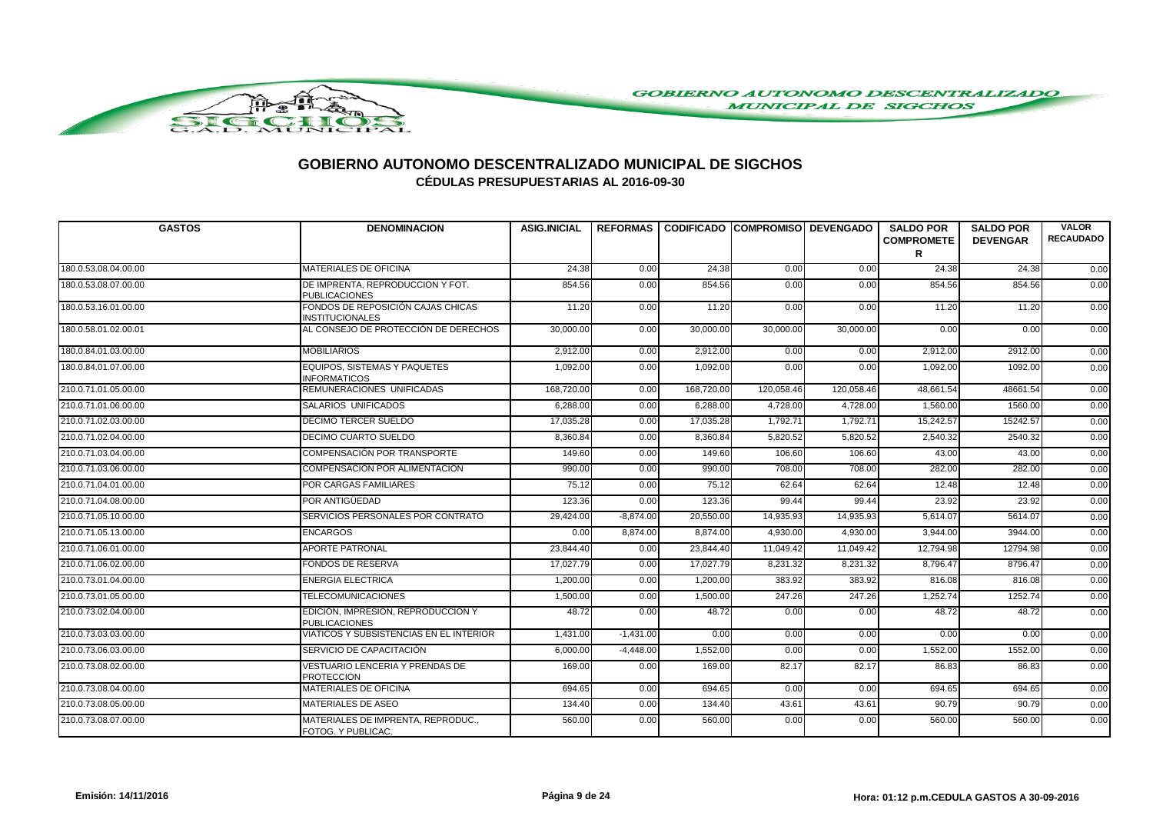

| <b>GASTOS</b>        | <b>DENOMINACION</b>                                         | <b>ASIG.INICIAL</b> |             | REFORMAS   CODIFICADO   COMPROMISO   DEVENGADO |            |            | <b>SALDO POR</b><br><b>COMPROMETE</b><br>R | <b>SALDO POR</b><br><b>DEVENGAR</b> | <b>VALOR</b><br><b>RECAUDADO</b> |
|----------------------|-------------------------------------------------------------|---------------------|-------------|------------------------------------------------|------------|------------|--------------------------------------------|-------------------------------------|----------------------------------|
| 180.0.53.08.04.00.00 | <b>MATERIALES DE OFICINA</b>                                | 24.38               | 0.00        | 24.38                                          | 0.00       | 0.00       | 24.38                                      | 24.38                               | 0.00                             |
| 180.0.53.08.07.00.00 | DE IMPRENTA, REPRODUCCION Y FOT.<br><b>PUBLICACIONES</b>    | 854.56              | 0.00        | 854.56                                         | 0.00       | 0.00       | 854.56                                     | 854.56                              | 0.00                             |
| 180.0.53.16.01.00.00 | FONDOS DE REPOSICIÓN CAJAS CHICAS<br><b>INSTITUCIONALES</b> | 11.20               | 0.00        | 11.20                                          | 0.00       | 0.00       | 11.20                                      | 11.20                               | 0.00                             |
| 180.0.58.01.02.00.01 | AL CONSEJO DE PROTECCIÓN DE DERECHOS                        | 30,000.00           | 0.00        | 30,000.00                                      | 30,000.00  | 30,000.00  | 0.00                                       | 0.00                                | 0.00                             |
| 180.0.84.01.03.00.00 | <b>MOBILIARIOS</b>                                          | 2,912.00            | 0.00        | 2,912.00                                       | 0.00       | 0.00       | 2,912.00                                   | 2912.00                             | 0.00                             |
| 180.0.84.01.07.00.00 | <b>EQUIPOS, SISTEMAS Y PAQUETES</b><br><b>INFORMATICOS</b>  | 1,092.00            | 0.00        | 1,092.00                                       | 0.00       | 0.00       | 1,092.00                                   | 1092.00                             | 0.00                             |
| 210.0.71.01.05.00.00 | REMUNERACIONES UNIFICADAS                                   | 168,720.00          | 0.00        | 168,720.00                                     | 120,058.46 | 120,058.46 | 48,661.54                                  | 48661.54                            | 0.00                             |
| 210.0.71.01.06.00.00 | SALARIOS UNIFICADOS                                         | 6,288.00            | 0.00        | 6,288.00                                       | 4,728.00   | 4,728.00   | 1,560.00                                   | 1560.00                             | 0.00                             |
| 210.0.71.02.03.00.00 | <b>DECIMO TERCER SUELDO</b>                                 | 17,035.28           | 0.00        | 17,035.28                                      | 1,792.71   | 1,792.71   | 15,242.57                                  | 15242.57                            | 0.00                             |
| 210.0.71.02.04.00.00 | <b>DECIMO CUARTO SUELDO</b>                                 | 8,360.84            | 0.00        | 8,360.84                                       | 5,820.52   | 5,820.52   | 2,540.32                                   | 2540.32                             | 0.00                             |
| 210.0.71.03.04.00.00 | COMPENSACIÓN POR TRANSPORTE                                 | 149.60              | 0.00        | 149.60                                         | 106.60     | 106.60     | 43.00                                      | 43.00                               | 0.00                             |
| 210.0.71.03.06.00.00 | COMPENSACIÓN POR ALIMENTACIÓN                               | 990.00              | 0.00        | 990.00                                         | 708.00     | 708.00     | 282.00                                     | 282.00                              | 0.00                             |
| 210.0.71.04.01.00.00 | <b>POR CARGAS FAMILIARES</b>                                | 75.12               | 0.00        | 75.12                                          | 62.64      | 62.64      | 12.48                                      | 12.48                               | 0.00                             |
| 210.0.71.04.08.00.00 | POR ANTIGÜEDAD                                              | 123.36              | 0.00        | 123.36                                         | 99.44      | 99.44      | 23.92                                      | 23.92                               | 0.00                             |
| 210.0.71.05.10.00.00 | SERVICIOS PERSONALES POR CONTRATO                           | 29,424.00           | $-8,874.00$ | 20,550.00                                      | 14,935.93  | 14,935.93  | 5,614.07                                   | 5614.07                             | 0.00                             |
| 210.0.71.05.13.00.00 | <b>ENCARGOS</b>                                             | 0.00                | 8,874.00    | 8,874.00                                       | 4,930.00   | 4,930.00   | 3,944.00                                   | 3944.00                             | 0.00                             |
| 210.0.71.06.01.00.00 | <b>APORTE PATRONAL</b>                                      | 23,844.40           | 0.00        | 23,844.40                                      | 11,049.42  | 11,049.42  | 12,794.98                                  | 12794.98                            | 0.00                             |
| 210.0.71.06.02.00.00 | <b>FONDOS DE RESERVA</b>                                    | 17,027.79           | 0.00        | 17,027.79                                      | 8,231.32   | 8,231.32   | 8,796.47                                   | 8796.47                             | 0.00                             |
| 210.0.73.01.04.00.00 | <b>ENERGIA ELECTRICA</b>                                    | 1,200.00            | 0.00        | 1,200.00                                       | 383.92     | 383.92     | 816.08                                     | 816.08                              | 0.00                             |
| 210.0.73.01.05.00.00 | <b>TELECOMUNICACIONES</b>                                   | 1,500.00            | 0.00        | 1,500.00                                       | 247.26     | 247.26     | 1,252.74                                   | 1252.74                             | 0.00                             |
| 210.0.73.02.04.00.00 | EDICIÓN, IMPRESION, REPRODUCCION Y<br><b>PUBLICACIONES</b>  | 48.72               | 0.00        | 48.72                                          | 0.00       | 0.00       | 48.72                                      | 48.72                               | 0.00                             |
| 210.0.73.03.03.00.00 | VIATICOS Y SUBSISTENCIAS EN EL INTERIOR                     | 1,431.00            | $-1,431.00$ | 0.00                                           | 0.00       | 0.00       | 0.00                                       | 0.00                                | 0.00                             |
| 210.0.73.06.03.00.00 | SERVICIO DE CAPACITACIÓN                                    | 6,000.00            | $-4,448.00$ | 1,552.00                                       | 0.00       | 0.00       | 1,552.00                                   | 1552.00                             | 0.00                             |
| 210.0.73.08.02.00.00 | <b>VESTUARIO LENCERIA Y PRENDAS DE</b><br><b>PROTECCION</b> | 169.00              | 0.00        | 169.00                                         | 82.17      | 82.17      | 86.83                                      | 86.83                               | 0.00                             |
| 210.0.73.08.04.00.00 | <b>MATERIALES DE OFICINA</b>                                | 694.65              | 0.00        | 694.65                                         | 0.00       | 0.00       | 694.65                                     | 694.65                              | 0.00                             |
| 210.0.73.08.05.00.00 | <b>MATERIALES DE ASEO</b>                                   | 134.40              | 0.00        | 134.40                                         | 43.61      | 43.61      | 90.79                                      | 90.79                               | 0.00                             |
| 210.0.73.08.07.00.00 | MATERIALES DE IMPRENTA, REPRODUC<br>FOTOG. Y PUBLICAC.      | 560.00              | 0.00        | 560.00                                         | 0.00       | 0.00       | 560.00                                     | 560.00                              | 0.00                             |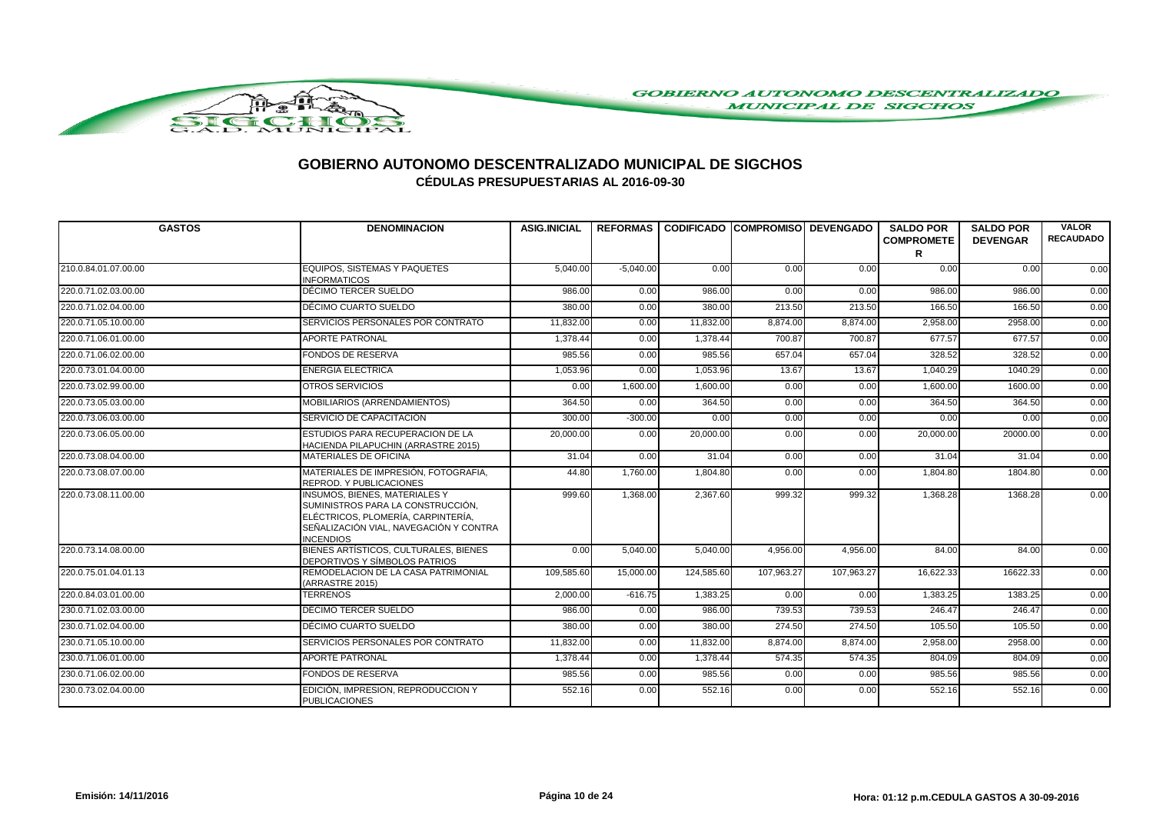

| <b>GASTOS</b>        | <b>DENOMINACION</b>                                                                                                                                                           | <b>ASIG.INICIAL</b> |             | REFORMAS I CODIFICADO ICOMPROMISOI DEVENGADO |            |            | <b>SALDO POR</b><br><b>COMPROMETE</b> | <b>SALDO POR</b><br><b>DEVENGAR</b> | <b>VALOR</b><br><b>RECAUDADO</b> |
|----------------------|-------------------------------------------------------------------------------------------------------------------------------------------------------------------------------|---------------------|-------------|----------------------------------------------|------------|------------|---------------------------------------|-------------------------------------|----------------------------------|
|                      |                                                                                                                                                                               |                     |             |                                              |            |            | R                                     |                                     |                                  |
| 210.0.84.01.07.00.00 | <b>EQUIPOS. SISTEMAS Y PAQUETES</b><br><b>INFORMATICOS</b>                                                                                                                    | 5,040.00            | $-5,040.00$ | 0.00                                         | 0.00       | 0.00       | 0.00                                  | 0.00                                | 0.00                             |
| 220.0.71.02.03.00.00 | DÉCIMO TERCER SUELDO                                                                                                                                                          | 986.00              | 0.00        | 986.00                                       | 0.00       | 0.00       | 986.00                                | 986.00                              | 0.00                             |
| 220.0.71.02.04.00.00 | DÉCIMO CUARTO SUELDO                                                                                                                                                          | 380.00              | 0.00        | 380.00                                       | 213.50     | 213.50     | 166.50                                | 166.50                              | 0.00                             |
| 220.0.71.05.10.00.00 | SERVICIOS PERSONALES POR CONTRATO                                                                                                                                             | 11,832.00           | 0.00        | 11,832.00                                    | 8,874.00   | 8,874.00   | 2,958.00                              | 2958.00                             | 0.00                             |
| 220.0.71.06.01.00.00 | <b>APORTE PATRONAL</b>                                                                                                                                                        | 1.378.44            | 0.00        | 1.378.44                                     | 700.87     | 700.87     | 677.57                                | 677.57                              | 0.00                             |
| 220.0.71.06.02.00.00 | <b>FONDOS DE RESERVA</b>                                                                                                                                                      | 985.56              | 0.00        | 985.56                                       | 657.04     | 657.04     | 328.52                                | 328.52                              | 0.00                             |
| 220.0.73.01.04.00.00 | <b>ENERGIA ELECTRICA</b>                                                                                                                                                      | 1.053.96            | 0.00        | 1,053.96                                     | 13.67      | 13.67      | 1,040.29                              | 1040.29                             | 0.00                             |
| 220.0.73.02.99.00.00 | OTROS SERVICIOS                                                                                                                                                               | 0.00                | 1,600.00    | 1.600.00                                     | 0.00       | 0.00       | 1.600.00                              | 1600.00                             | 0.00                             |
| 220.0.73.05.03.00.00 | MOBILIARIOS (ARRENDAMIENTOS)                                                                                                                                                  | 364.50              | 0.00        | 364.50                                       | 0.00       | 0.00       | 364.50                                | 364.50                              | 0.00                             |
| 220.0.73.06.03.00.00 | SERVICIO DE CAPACITACIÓN                                                                                                                                                      | 300.00              | $-300.00$   | 0.00                                         | 0.00       | 0.00       | 0.00                                  | 0.00                                | 0.00                             |
| 220.0.73.06.05.00.00 | ESTUDIOS PARA RECUPERACION DE LA<br>HACIENDA PILAPUCHIN (ARRASTRE 2015)                                                                                                       | 20,000.00           | 0.00        | 20,000.00                                    | 0.00       | 0.00       | 20,000.00                             | 20000.00                            | 0.00                             |
| 220.0.73.08.04.00.00 | <b>MATERIALES DE OFICINA</b>                                                                                                                                                  | 31.04               | 0.00        | 31.04                                        | 0.00       | 0.00       | 31.04                                 | 31.04                               | 0.00                             |
| 220.0.73.08.07.00.00 | MATERIALES DE IMPRESIÓN, FOTOGRAFIA,<br>REPROD. Y PUBLICACIONES                                                                                                               | 44.80               | 1,760.00    | 1,804.80                                     | 0.00       | 0.00       | 1,804.80                              | 1804.80                             | 0.00                             |
| 220.0.73.08.11.00.00 | <b>INSUMOS, BIENES, MATERIALES Y</b><br>SUMINISTROS PARA LA CONSTRUCCIÓN,<br>ELÉCTRICOS, PLOMERÍA, CARPINTERÍA,<br>SEÑALIZACIÓN VIAL, NAVEGACIÓN Y CONTRA<br><b>INCENDIOS</b> | 999.60              | 1,368.00    | 2,367.60                                     | 999.32     | 999.32     | 1,368.28                              | 1368.28                             | 0.00                             |
| 220.0.73.14.08.00.00 | BIENES ARTÍSTICOS, CULTURALES, BIENES<br>DEPORTIVOS Y SÍMBOLOS PATRIOS                                                                                                        | 0.00                | 5,040.00    | 5,040.00                                     | 4,956.00   | 4,956.00   | 84.00                                 | 84.00                               | 0.00                             |
| 220.0.75.01.04.01.13 | REMODELACION DE LA CASA PATRIMONIAL<br>(ARRASTRE 2015)                                                                                                                        | 109,585.60          | 15,000.00   | 124,585.60                                   | 107.963.27 | 107.963.27 | 16,622.33                             | 16622.33                            | 0.00                             |
| 220.0.84.03.01.00.00 | <b>TERRENOS</b>                                                                                                                                                               | 2.000.00            | $-616.75$   | 1,383.25                                     | 0.00       | 0.00       | 1.383.25                              | 1383.25                             | 0.00                             |
| 230.0.71.02.03.00.00 | DÉCIMO TERCER SUELDO                                                                                                                                                          | 986.00              | 0.00        | 986.00                                       | 739.53     | 739.53     | 246.47                                | 246.47                              | 0.00                             |
| 230.0.71.02.04.00.00 | DÉCIMO CUARTO SUELDO                                                                                                                                                          | 380.00              | 0.00        | 380.00                                       | 274.50     | 274.50     | 105.50                                | 105.50                              | 0.00                             |
| 230.0.71.05.10.00.00 | SERVICIOS PERSONALES POR CONTRATO                                                                                                                                             | 11,832.00           | 0.00        | 11,832.00                                    | 8,874.00   | 8,874.00   | 2,958.00                              | 2958.00                             | 0.00                             |
| 230.0.71.06.01.00.00 | <b>APORTE PATRONAL</b>                                                                                                                                                        | 1.378.44            | 0.00        | 1,378.44                                     | 574.35     | 574.35     | 804.09                                | 804.09                              | 0.00                             |
| 230.0.71.06.02.00.00 | <b>FONDOS DE RESERVA</b>                                                                                                                                                      | 985.56              | 0.00        | 985.56                                       | 0.00       | 0.00       | 985.56                                | 985.56                              | 0.00                             |
| 230.0.73.02.04.00.00 | EDICIÓN, IMPRESION, REPRODUCCION Y<br><b>PUBLICACIONES</b>                                                                                                                    | 552.16              | 0.00        | 552.16                                       | 0.00       | 0.00       | 552.16                                | 552.16                              | 0.00                             |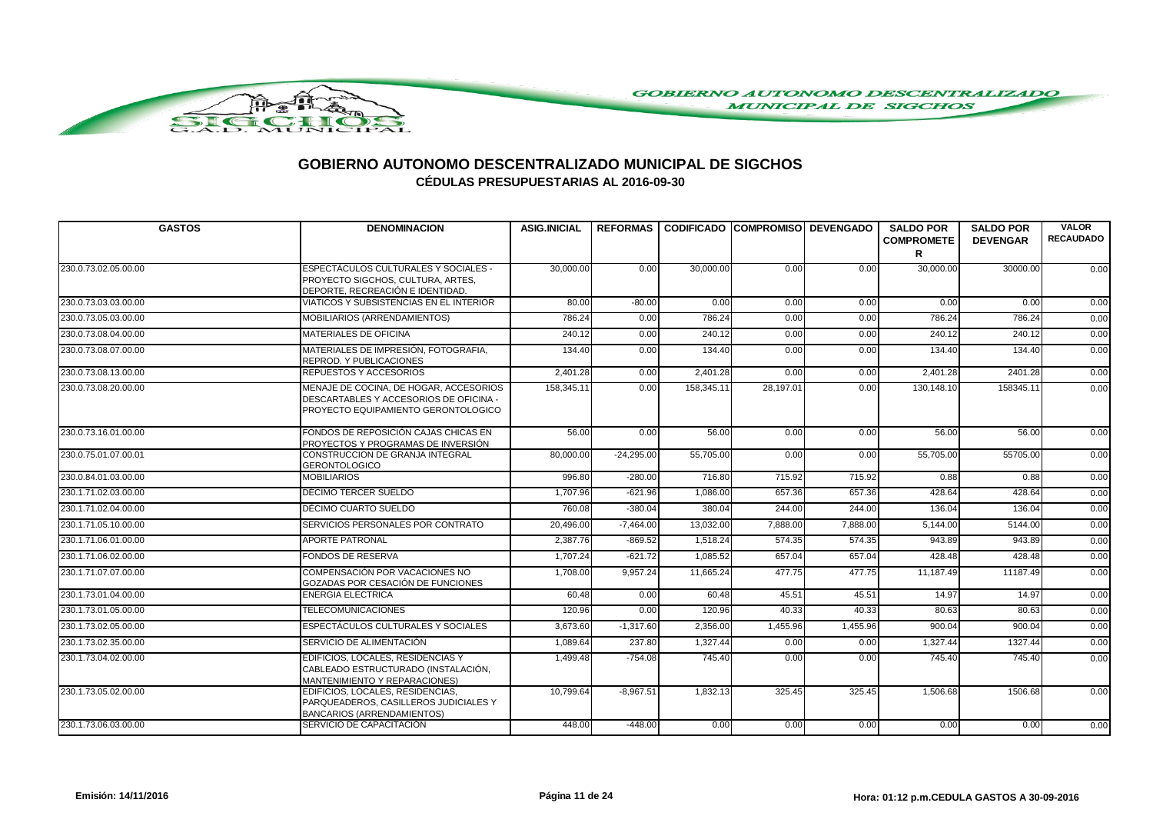

| <b>GASTOS</b>        | <b>DENOMINACION</b>                                                                                                     | <b>ASIG.INICIAL</b> |              |            | REFORMAS CODIFICADO COMPROMISO DEVENGADO |          | <b>SALDO POR</b><br><b>COMPROMETE</b> | <b>SALDO POR</b><br><b>DEVENGAR</b> | <b>VALOR</b><br><b>RECAUDADO</b> |
|----------------------|-------------------------------------------------------------------------------------------------------------------------|---------------------|--------------|------------|------------------------------------------|----------|---------------------------------------|-------------------------------------|----------------------------------|
|                      |                                                                                                                         |                     |              |            |                                          |          | R                                     |                                     |                                  |
| 230.0.73.02.05.00.00 | ESPECTÁCULOS CULTURALES Y SOCIALES -<br>PROYECTO SIGCHOS, CULTURA, ARTES,<br>DEPORTE, RECREACIÓN E IDENTIDAD.           | 30,000.00           | 0.00         | 30,000,00  | 0.00                                     | 0.00     | 30,000.00                             | 30000.00                            | 0.00                             |
| 230.0.73.03.03.00.00 | VIATICOS Y SUBSISTENCIAS EN EL INTERIOR                                                                                 | 80.00               | $-80.00$     | 0.00       | 0.00                                     | 0.00     | 0.00                                  | 0.00                                | 0.00                             |
| 230.0.73.05.03.00.00 | MOBILIARIOS (ARRENDAMIENTOS)                                                                                            | 786.24              | 0.00         | 786.24     | 0.00                                     | 0.00     | 786.24                                | 786.24                              | 0.00                             |
| 230.0.73.08.04.00.00 | <b>MATERIALES DE OFICINA</b>                                                                                            | 240.12              | 0.00         | 240.12     | 0.00                                     | 0.00     | 240.12                                | 240.12                              | 0.00                             |
| 230.0.73.08.07.00.00 | MATERIALES DE IMPRESIÓN, FOTOGRAFIA,<br>REPROD. Y PUBLICACIONES                                                         | 134.40              | 0.00         | 134.40     | 0.00                                     | 0.00     | 134.40                                | 134.40                              | 0.00                             |
| 230.0.73.08.13.00.00 | <b>REPUESTOS Y ACCESORIOS</b>                                                                                           | 2.401.28            | 0.00         | 2,401.28   | 0.00                                     | 0.00     | 2,401.28                              | 2401.28                             | 0.00                             |
| 230.0.73.08.20.00.00 | MENAJE DE COCINA, DE HOGAR, ACCESORIOS<br>DESCARTABLES Y ACCESORIOS DE OFICINA -<br>PROYECTO EQUIPAMIENTO GERONTOLOGICO | 158.345.11          | 0.00         | 158.345.11 | 28,197.01                                | 0.00     | 130.148.10                            | 158345.11                           | 0.00                             |
| 230.0.73.16.01.00.00 | FONDOS DE REPOSICIÓN CAJAS CHICAS EN<br>PROYECTOS Y PROGRAMAS DE INVERSIÓN                                              | 56.00               | 0.00         | 56.00      | 0.00                                     | 0.00     | 56.00                                 | 56.00                               | 0.00                             |
| 230.0.75.01.07.00.01 | <b>CONSTRUCCION DE GRANJA INTEGRAL</b><br><b>GERONTOLOGICO</b>                                                          | 80,000.00           | $-24.295.00$ | 55,705.00  | 0.00                                     | 0.00     | 55,705.00                             | 55705.00                            | 0.00                             |
| 230.0.84.01.03.00.00 | <b>MOBILIARIOS</b>                                                                                                      | 996.80              | $-280.00$    | 716.80     | 715.92                                   | 715.92   | 0.88                                  | 0.88                                | 0.00                             |
| 230.1.71.02.03.00.00 | DÉCIMO TERCER SUELDO                                                                                                    | 1,707.96            | $-621.96$    | 1,086.00   | 657.36                                   | 657.36   | 428.64                                | 428.64                              | 0.00                             |
| 230.1.71.02.04.00.00 | DÉCIMO CUARTO SUELDO                                                                                                    | 760.08              | $-380.04$    | 380.04     | 244.00                                   | 244.00   | 136.04                                | 136.04                              | 0.00                             |
| 230.1.71.05.10.00.00 | SERVICIOS PERSONALES POR CONTRATO                                                                                       | 20,496.00           | $-7,464.00$  | 13,032.00  | 7,888.00                                 | 7,888.00 | 5,144.00                              | 5144.00                             | 0.00                             |
| 230.1.71.06.01.00.00 | <b>APORTE PATRONAL</b>                                                                                                  | 2,387.76            | $-869.52$    | 1,518.24   | 574.35                                   | 574.35   | 943.89                                | 943.89                              | 0.00                             |
| 230.1.71.06.02.00.00 | <b>FONDOS DE RESERVA</b>                                                                                                | 1,707.24            | $-621.72$    | 1,085.52   | 657.04                                   | 657.04   | 428.48                                | 428.48                              | 0.00                             |
| 230.1.71.07.07.00.00 | COMPENSACIÓN POR VACACIONES NO<br>GOZADAS POR CESACIÓN DE FUNCIONES                                                     | 1,708.00            | 9,957.24     | 11,665.24  | 477.75                                   | 477.75   | 11,187.49                             | 11187.49                            | 0.00                             |
| 230.1.73.01.04.00.00 | <b>ENERGIA ELECTRICA</b>                                                                                                | 60.48               | 0.00         | 60.48      | 45.51                                    | 45.51    | 14.97                                 | 14.97                               | 0.00                             |
| 230.1.73.01.05.00.00 | <b>TELECOMUNICACIONES</b>                                                                                               | 120.96              | 0.00         | 120.96     | 40.33                                    | 40.33    | 80.63                                 | 80.63                               | 0.00                             |
| 230.1.73.02.05.00.00 | ESPECTÁCULOS CULTURALES Y SOCIALES                                                                                      | 3.673.60            | $-1,317.60$  | 2.356.00   | 1,455.96                                 | 1,455.96 | 900.04                                | 900.04                              | 0.00                             |
| 230.1.73.02.35.00.00 | SERVICIO DE ALIMENTACIÓN                                                                                                | 1,089.64            | 237.80       | 1,327.44   | 0.00                                     | 0.00     | 1,327.44                              | 1327.44                             | 0.00                             |
| 230.1.73.04.02.00.00 | EDIFICIOS, LOCALES, RESIDENCIAS Y<br>CABLEADO ESTRUCTURADO (INSTALACIÓN,<br>MANTENIMIENTO Y REPARACIONES)               | 1,499.48            | $-754.08$    | 745.40     | 0.00                                     | 0.00     | 745.40                                | 745.40                              | 0.00                             |
| 230.1.73.05.02.00.00 | EDIFICIOS, LOCALES, RESIDENCIAS,<br>PARQUEADEROS, CASILLEROS JUDICIALES Y<br><b>BANCARIOS (ARRENDAMIENTOS)</b>          | 10,799.64           | $-8,967.51$  | 1,832.13   | 325.45                                   | 325.45   | 1,506.68                              | 1506.68                             | 0.00                             |
| 230.1.73.06.03.00.00 | SERVICIO DE CAPACITACIÓN                                                                                                | 448.00              | $-448.00$    | 0.00       | 0.00                                     | 0.00     | 0.00                                  | 0.00                                | 0.00                             |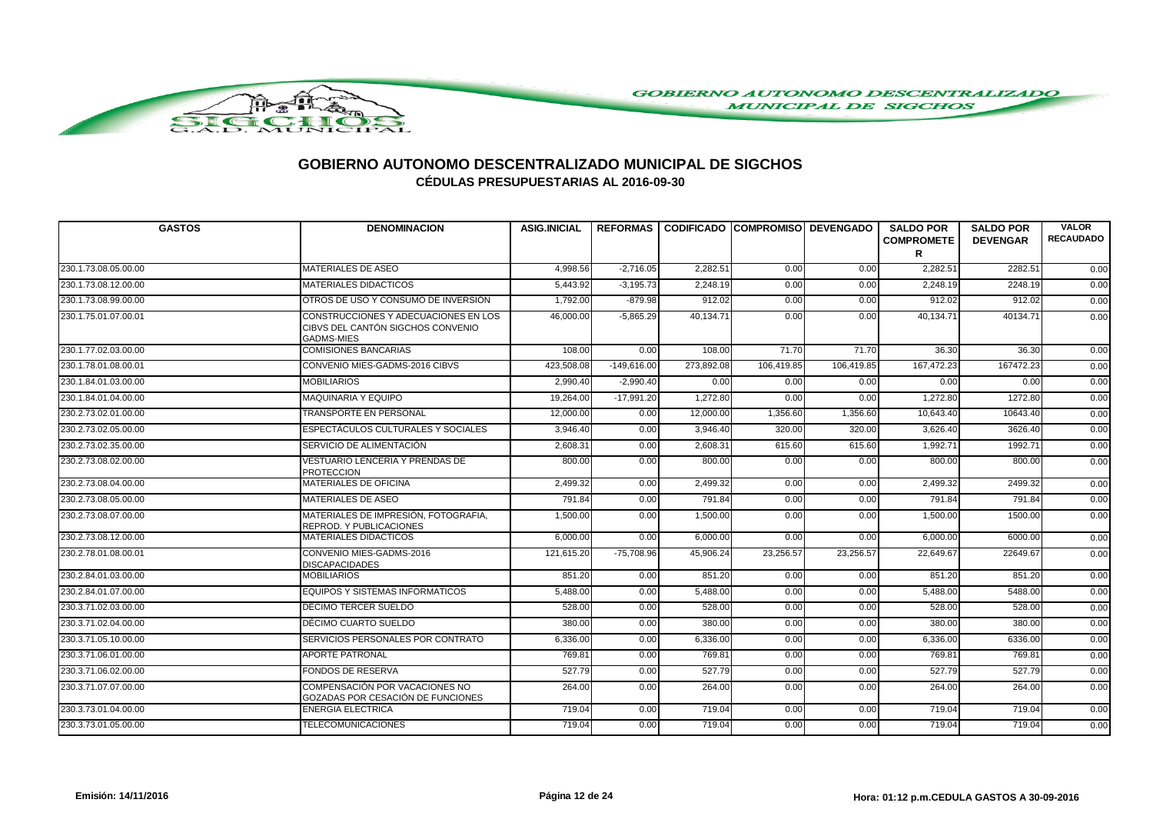

| <b>GASTOS</b>        | <b>DENOMINACION</b>                                                                            | <b>ASIG.INICIAL</b> |               | REFORMAS I CODIFICADO ICOMPROMISOI DEVENGADO |            |            | <b>SALDO POR</b><br><b>COMPROMETE</b><br>R | <b>SALDO POR</b><br><b>DEVENGAR</b> | <b>VALOR</b><br><b>RECAUDADO</b> |
|----------------------|------------------------------------------------------------------------------------------------|---------------------|---------------|----------------------------------------------|------------|------------|--------------------------------------------|-------------------------------------|----------------------------------|
| 230.1.73.08.05.00.00 | <b>MATERIALES DE ASEO</b>                                                                      | 4.998.56            | $-2.716.05$   | 2.282.51                                     | 0.00       | 0.00       | 2.282.51                                   | 2282.51                             | 0.00                             |
| 230.1.73.08.12.00.00 | <b>MATERIALES DIDACTICOS</b>                                                                   | 5,443.92            | $-3,195.73$   | 2,248.19                                     | 0.00       | 0.00       | 2,248.19                                   | 2248.19                             | 0.00                             |
| 230.1.73.08.99.00.00 | OTROS DE USO Y CONSUMO DE INVERSIÓN                                                            | 1,792.00            | $-879.98$     | 912.02                                       | 0.00       | 0.00       | 912.02                                     | 912.02                              | 0.00                             |
| 230.1.75.01.07.00.01 | CONSTRUCCIONES Y ADECUACIONES EN LOS<br>CIBVS DEL CANTÓN SIGCHOS CONVENIO<br><b>GADMS-MIES</b> | 46,000.00           | $-5,865.29$   | 40,134.71                                    | 0.00       | 0.00       | 40,134.71                                  | 40134.71                            | 0.00                             |
| 230.1.77.02.03.00.00 | <b>COMISIONES BANCARIAS</b>                                                                    | 108.00              | 0.00          | 108.00                                       | 71.70      | 71.70      | 36.30                                      | 36.30                               | 0.00                             |
| 230.1.78.01.08.00.01 | CONVENIO MIES-GADMS-2016 CIBVS                                                                 | 423,508.08          | $-149,616.00$ | 273,892.08                                   | 106,419.85 | 106,419.85 | 167,472.23                                 | 167472.23                           | 0.00                             |
| 230.1.84.01.03.00.00 | <b>MOBILIARIOS</b>                                                                             | 2,990.40            | $-2,990.40$   | 0.00                                         | 0.00       | 0.00       | 0.00                                       | 0.00                                | 0.00                             |
| 230.1.84.01.04.00.00 | <b>MAQUINARIA Y EQUIPO</b>                                                                     | 19,264.00           | $-17,991.20$  | 1,272.80                                     | 0.00       | 0.00       | 1,272.80                                   | 1272.80                             | 0.00                             |
| 230.2.73.02.01.00.00 | TRANSPORTE EN PERSONAL                                                                         | 12,000.00           | 0.00          | 12,000.00                                    | 1,356.60   | 1,356.60   | 10,643.40                                  | 10643.40                            | 0.00                             |
| 230.2.73.02.05.00.00 | <b>ESPECTÁCULOS CULTURALES Y SOCIALES</b>                                                      | 3,946.40            | 0.00          | 3.946.40                                     | 320.00     | 320.00     | 3,626.40                                   | 3626.40                             | 0.00                             |
| 230.2.73.02.35.00.00 | SERVICIO DE ALIMENTACIÓN                                                                       | 2,608.31            | 0.00          | 2,608.31                                     | 615.60     | 615.60     | 1,992.71                                   | 1992.71                             | 0.00                             |
| 230.2.73.08.02.00.00 | VESTUARIO LENCERIA Y PRENDAS DE<br><b>PROTECCION</b>                                           | 800.00              | 0.00          | 800.00                                       | 0.00       | 0.00       | 800.00                                     | 800.00                              | 0.00                             |
| 230.2.73.08.04.00.00 | <b>MATERIALES DE OFICINA</b>                                                                   | 2.499.32            | 0.00          | 2.499.32                                     | 0.00       | 0.00       | 2.499.32                                   | 2499.32                             | 0.00                             |
| 230.2.73.08.05.00.00 | <b>MATERIALES DE ASEO</b>                                                                      | 791.84              | 0.00          | 791.84                                       | 0.00       | 0.00       | 791.84                                     | 791.84                              | 0.00                             |
| 230.2.73.08.07.00.00 | MATERIALES DE IMPRESIÓN, FOTOGRAFIA,<br>REPROD. Y PUBLICACIONES                                | 1,500.00            | 0.00          | 1,500.00                                     | 0.00       | 0.00       | 1,500.00                                   | 1500.00                             | 0.00                             |
| 230.2.73.08.12.00.00 | <b>MATERIALES DIDACTICOS</b>                                                                   | 6,000.00            | 0.00          | 6,000.00                                     | 0.00       | 0.00       | 6.000.00                                   | 6000.00                             | 0.00                             |
| 230.2.78.01.08.00.01 | CONVENIO MIES-GADMS-2016<br><b>DISCAPACIDADES</b>                                              | 121,615.20          | $-75,708.96$  | 45,906.24                                    | 23,256.57  | 23,256.57  | 22,649.67                                  | 22649.67                            | 0.00                             |
| 230.2.84.01.03.00.00 | <b>MOBILIARIOS</b>                                                                             | 851.20              | 0.00          | 851.20                                       | 0.00       | 0.00       | 851.20                                     | 851.20                              | 0.00                             |
| 230.2.84.01.07.00.00 | EQUIPOS Y SISTEMAS INFORMATICOS                                                                | 5,488.00            | 0.00          | 5,488.00                                     | 0.00       | 0.00       | 5,488.00                                   | 5488.00                             | 0.00                             |
| 230.3.71.02.03.00.00 | DÉCIMO TERCER SUELDO                                                                           | 528.00              | 0.00          | 528.00                                       | 0.00       | 0.00       | 528.00                                     | 528.00                              | 0.00                             |
| 230.3.71.02.04.00.00 | DÉCIMO CUARTO SUELDO                                                                           | 380.00              | 0.00          | 380.00                                       | 0.00       | 0.00       | 380.00                                     | 380.00                              | 0.00                             |
| 230.3.71.05.10.00.00 | SERVICIOS PERSONALES POR CONTRATO                                                              | 6,336.00            | 0.00          | 6,336.00                                     | 0.00       | 0.00       | 6,336.00                                   | 6336.00                             | 0.00                             |
| 230.3.71.06.01.00.00 | <b>APORTE PATRONAL</b>                                                                         | 769.81              | 0.00          | 769.81                                       | 0.00       | 0.00       | 769.81                                     | 769.81                              | 0.00                             |
| 230.3.71.06.02.00.00 | <b>FONDOS DE RESERVA</b>                                                                       | 527.79              | 0.00          | 527.79                                       | 0.00       | 0.00       | 527.79                                     | 527.79                              | 0.00                             |
| 230.3.71.07.07.00.00 | COMPENSACIÓN POR VACACIONES NO<br>GOZADAS POR CESACIÓN DE FUNCIONES                            | 264.00              | 0.00          | 264.00                                       | 0.00       | 0.00       | 264.00                                     | 264.00                              | 0.00                             |
| 230.3.73.01.04.00.00 | <b>ENERGIA ELECTRICA</b>                                                                       | 719.04              | 0.00          | 719.04                                       | 0.00       | 0.00       | 719.04                                     | 719.04                              | 0.00                             |
| 230.3.73.01.05.00.00 | <b>TELECOMUNICACIONES</b>                                                                      | 719.04              | 0.00          | 719.04                                       | 0.00       | 0.00       | 719.04                                     | 719.04                              | 0.00                             |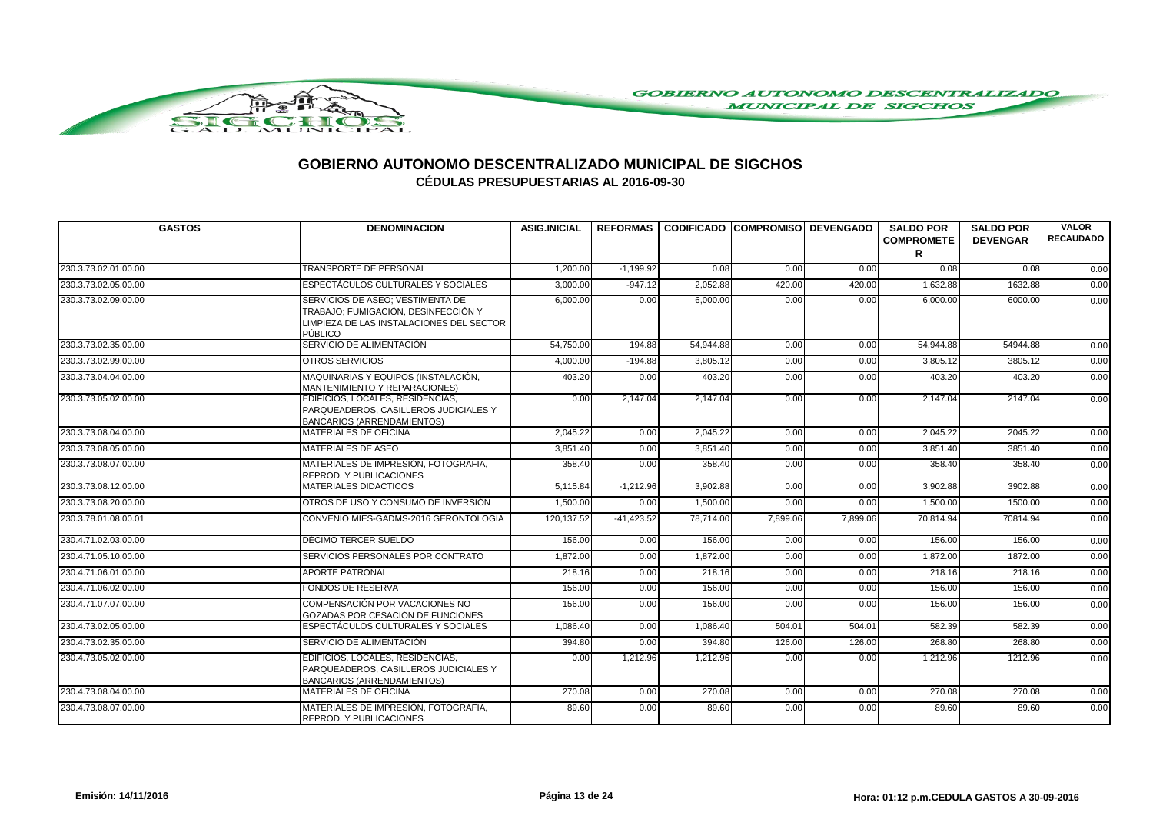

| <b>GASTOS</b>        | <b>DENOMINACION</b>                                                                                                            | <b>ASIG.INICIAL</b> |              |           | REFORMAS I CODIFICADO ICOMPROMISOI DEVENGADO |          | <b>SALDO POR</b><br><b>COMPROMETE</b><br>R | <b>SALDO POR</b><br><b>DEVENGAR</b> | <b>VALOR</b><br><b>RECAUDADO</b> |
|----------------------|--------------------------------------------------------------------------------------------------------------------------------|---------------------|--------------|-----------|----------------------------------------------|----------|--------------------------------------------|-------------------------------------|----------------------------------|
| 230.3.73.02.01.00.00 | <b>TRANSPORTE DE PERSONAL</b>                                                                                                  | 1,200.00            | $-1,199.92$  | 0.08      | 0.00                                         | 0.00     | 0.08                                       | 0.08                                | 0.00                             |
| 230.3.73.02.05.00.00 | <b>ESPECTÁCULOS CULTURALES Y SOCIALES</b>                                                                                      | 3,000.00            | $-947.12$    | 2,052.88  | 420.00                                       | 420.00   | 1,632.88                                   | 1632.88                             | 0.00                             |
| 230.3.73.02.09.00.00 | SERVICIOS DE ASEO; VESTIMENTA DE<br>TRABAJO; FUMIGACIÓN, DESINFECCIÓN Y<br>LIMPIEZA DE LAS INSTALACIONES DEL SECTOR<br>PÚBLICO | 6,000.00            | 0.00         | 6,000.00  | 0.00                                         | 0.00     | 6,000.00                                   | 6000.00                             | 0.00                             |
| 230.3.73.02.35.00.00 | SERVICIO DE ALIMENTACIÓN                                                                                                       | 54,750.00           | 194.88       | 54,944.88 | 0.00                                         | 0.00     | 54.944.88                                  | 54944.88                            | 0.00                             |
| 230.3.73.02.99.00.00 | OTROS SERVICIOS                                                                                                                | 4,000.00            | $-194.88$    | 3,805.12  | 0.00                                         | 0.00     | 3,805.12                                   | 3805.12                             | 0.00                             |
| 230.3.73.04.04.00.00 | MAQUINARIAS Y EQUIPOS (INSTALACIÓN,<br>MANTENIMIENTO Y REPARACIONES)                                                           | 403.20              | 0.00         | 403.20    | 0.00                                         | 0.00     | 403.20                                     | 403.20                              | 0.00                             |
| 230.3.73.05.02.00.00 | EDIFICIOS, LOCALES, RESIDENCIAS,<br>PARQUEADEROS, CASILLEROS JUDICIALES Y<br><b>BANCARIOS (ARRENDAMIENTOS)</b>                 | 0.00                | 2,147.04     | 2,147.04  | 0.00                                         | 0.00     | 2,147.04                                   | 2147.04                             | 0.00                             |
| 230.3.73.08.04.00.00 | <b>MATERIALES DE OFICINA</b>                                                                                                   | 2,045.22            | 0.00         | 2,045.22  | 0.00                                         | 0.00     | 2,045.22                                   | 2045.22                             | 0.00                             |
| 230.3.73.08.05.00.00 | <b>MATERIALES DE ASEO</b>                                                                                                      | 3,851.40            | 0.00         | 3,851.40  | 0.00                                         | 0.00     | 3,851.40                                   | 3851.40                             | 0.00                             |
| 230.3.73.08.07.00.00 | MATERIALES DE IMPRESIÓN, FOTOGRAFIA,<br>REPROD. Y PUBLICACIONES                                                                | 358.40              | 0.00         | 358.40    | 0.00                                         | 0.00     | 358.40                                     | 358.40                              | 0.00                             |
| 230.3.73.08.12.00.00 | <b>MATERIALES DIDACTICOS</b>                                                                                                   | 5,115.84            | $-1,212.96$  | 3,902.88  | 0.00                                         | 0.00     | 3,902.88                                   | 3902.88                             | 0.00                             |
| 230.3.73.08.20.00.00 | OTROS DE USO Y CONSUMO DE INVERSIÓN                                                                                            | 1,500.00            | 0.00         | 1,500.00  | 0.00                                         | 0.00     | 1,500.00                                   | 1500.00                             | 0.00                             |
| 230.3.78.01.08.00.01 | CONVENIO MIES-GADMS-2016 GERONTOLOGIA                                                                                          | 120.137.52          | $-41.423.52$ | 78.714.00 | 7,899.06                                     | 7.899.06 | 70.814.94                                  | 70814.94                            | 0.00                             |
| 230.4.71.02.03.00.00 | DÉCIMO TERCER SUELDO                                                                                                           | 156.00              | 0.00         | 156.00    | 0.00                                         | 0.00     | 156.00                                     | 156.00                              | 0.00                             |
| 230.4.71.05.10.00.00 | SERVICIOS PERSONALES POR CONTRATO                                                                                              | 1,872.00            | 0.00         | 1,872.00  | 0.00                                         | 0.00     | 1,872.00                                   | 1872.00                             | 0.00                             |
| 230.4.71.06.01.00.00 | <b>APORTE PATRONAL</b>                                                                                                         | 218.16              | 0.00         | 218.16    | 0.00                                         | 0.00     | 218.16                                     | 218.16                              | 0.00                             |
| 230.4.71.06.02.00.00 | <b>FONDOS DE RESERVA</b>                                                                                                       | 156.00              | 0.00         | 156.00    | 0.00                                         | 0.00     | 156.00                                     | 156.00                              | 0.00                             |
| 230.4.71.07.07.00.00 | COMPENSACIÓN POR VACACIONES NO<br>GOZADAS POR CESACIÓN DE FUNCIONES                                                            | 156.00              | 0.00         | 156.00    | 0.00                                         | 0.00     | 156.00                                     | 156.00                              | 0.00                             |
| 230.4.73.02.05.00.00 | ESPECTÁCULOS CULTURALES Y SOCIALES                                                                                             | 1,086.40            | 0.00         | 1,086.40  | 504.01                                       | 504.01   | 582.39                                     | 582.39                              | 0.00                             |
| 230.4.73.02.35.00.00 | SERVICIO DE ALIMENTACIÓN                                                                                                       | 394.80              | 0.00         | 394.80    | 126.00                                       | 126.00   | 268.80                                     | 268.80                              | 0.00                             |
| 230.4.73.05.02.00.00 | EDIFICIOS, LOCALES, RESIDENCIAS.<br>PARQUEADEROS, CASILLEROS JUDICIALES Y<br><b>BANCARIOS (ARRENDAMIENTOS)</b>                 | 0.00                | 1,212.96     | 1,212.96  | 0.00                                         | 0.00     | 1.212.96                                   | 1212.96                             | 0.00                             |
| 230.4.73.08.04.00.00 | <b>MATERIALES DE OFICINA</b>                                                                                                   | 270.08              | 0.00         | 270.08    | 0.00                                         | 0.00     | 270.08                                     | 270.08                              | 0.00                             |
| 230.4.73.08.07.00.00 | MATERIALES DE IMPRESIÓN, FOTOGRAFIA.<br>REPROD. Y PUBLICACIONES                                                                | 89.60               | 0.00         | 89.60     | 0.00                                         | 0.00     | 89.60                                      | 89.60                               | 0.00                             |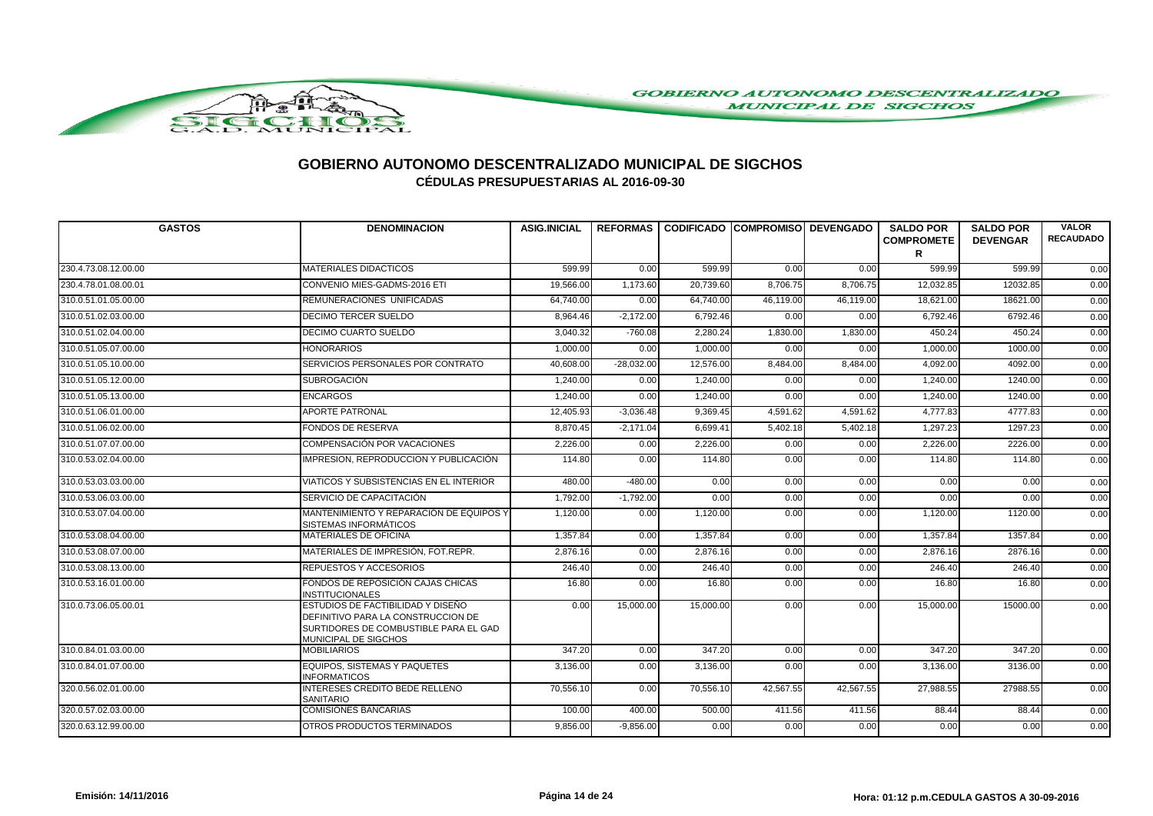

| <b>GASTOS</b>        | <b>DENOMINACION</b>                                                                                                                      | <b>ASIG.INICIAL</b> |              | REFORMAS I CODIFICADO ICOMPROMISOI DEVENGADO |           |           | <b>SALDO POR</b><br><b>COMPROMETE</b><br>R | <b>SALDO POR</b><br><b>DEVENGAR</b> | <b>VALOR</b><br><b>RECAUDADO</b> |
|----------------------|------------------------------------------------------------------------------------------------------------------------------------------|---------------------|--------------|----------------------------------------------|-----------|-----------|--------------------------------------------|-------------------------------------|----------------------------------|
| 230.4.73.08.12.00.00 | <b>MATERIALES DIDACTICOS</b>                                                                                                             | 599.99              | 0.00         | 599.99                                       | 0.00      | 0.00      | 599.99                                     | 599.99                              | 0.00                             |
| 230.4.78.01.08.00.01 | CONVENIO MIES-GADMS-2016 ETI                                                                                                             | 19,566.00           | 1,173.60     | 20,739.60                                    | 8,706.75  | 8,706.75  | 12,032.85                                  | 12032.85                            | 0.00                             |
| 310.0.51.01.05.00.00 | REMUNERACIONES UNIFICADAS                                                                                                                | 64,740.00           | 0.00         | 64,740.00                                    | 46,119.00 | 46,119.00 | 18,621.00                                  | 18621.00                            | 0.00                             |
| 310.0.51.02.03.00.00 | <b>DECIMO TERCER SUELDO</b>                                                                                                              | 8,964.46            | $-2,172.00$  | 6,792.46                                     | 0.00      | 0.00      | 6,792.46                                   | 6792.46                             | 0.00                             |
| 310.0.51.02.04.00.00 | DECIMO CUARTO SUELDO                                                                                                                     | 3.040.32            | $-760.08$    | 2.280.24                                     | 1.830.00  | 1.830.00  | 450.24                                     | 450.24                              | 0.00                             |
| 310.0.51.05.07.00.00 | <b>HONORARIOS</b>                                                                                                                        | 1,000.00            | 0.00         | 1,000.00                                     | 0.00      | 0.00      | 1,000.00                                   | 1000.00                             | 0.00                             |
| 310.0.51.05.10.00.00 | SERVICIOS PERSONALES POR CONTRATO                                                                                                        | 40,608.00           | $-28,032.00$ | 12,576.00                                    | 8,484.00  | 8,484.00  | 4,092.00                                   | 4092.00                             | 0.00                             |
| 310.0.51.05.12.00.00 | <b>SUBROGACIÓN</b>                                                                                                                       | 1,240.00            | 0.00         | 1,240.00                                     | 0.00      | 0.00      | 1,240.00                                   | 1240.00                             | 0.00                             |
| 310.0.51.05.13.00.00 | <b>ENCARGOS</b>                                                                                                                          | 1.240.00            | 0.00         | 1,240.00                                     | 0.00      | 0.00      | 1.240.00                                   | 1240.00                             | 0.00                             |
| 310.0.51.06.01.00.00 | <b>APORTE PATRONAL</b>                                                                                                                   | 12,405.93           | $-3,036.48$  | 9,369.45                                     | 4,591.62  | 4,591.62  | 4,777.83                                   | 4777.83                             | 0.00                             |
| 310.0.51.06.02.00.00 | <b>FONDOS DE RESERVA</b>                                                                                                                 | 8,870.45            | $-2,171.04$  | 6.699.41                                     | 5,402.18  | 5,402.18  | 1,297.23                                   | 1297.23                             | 0.00                             |
| 310.0.51.07.07.00.00 | COMPENSACIÓN POR VACACIONES                                                                                                              | 2,226.00            | 0.00         | 2,226.00                                     | 0.00      | 0.00      | 2,226.00                                   | 2226.00                             | 0.00                             |
| 310.0.53.02.04.00.00 | IMPRESION, REPRODUCCION Y PUBLICACIÓN                                                                                                    | 114.80              | 0.00         | 114.80                                       | 0.00      | 0.00      | 114.80                                     | 114.80                              | 0.00                             |
| 310.0.53.03.03.00.00 | VIATICOS Y SUBSISTENCIAS EN EL INTERIOR                                                                                                  | 480.00              | $-480.00$    | 0.00                                         | 0.00      | 0.00      | 0.00                                       | 0.00                                | 0.00                             |
| 310.0.53.06.03.00.00 | SERVICIO DE CAPACITACIÓN                                                                                                                 | 1,792.00            | $-1,792.00$  | 0.00                                         | 0.00      | 0.00      | 0.00                                       | 0.00                                | 0.00                             |
| 310.0.53.07.04.00.00 | MANTENIMIENTO Y REPARACIÓN DE EQUIPOS Y<br>SISTEMAS INFORMÁTICOS                                                                         | 1,120.00            | 0.00         | 1,120.00                                     | 0.00      | 0.00      | 1,120.00                                   | 1120.00                             | 0.00                             |
| 310.0.53.08.04.00.00 | <b>MATERIALES DE OFICINA</b>                                                                                                             | 1,357.84            | 0.00         | 1,357.84                                     | 0.00      | 0.00      | 1,357.84                                   | 1357.84                             | 0.00                             |
| 310.0.53.08.07.00.00 | MATERIALES DE IMPRESIÓN, FOT.REPR.                                                                                                       | 2,876.16            | 0.00         | 2,876.16                                     | 0.00      | 0.00      | 2,876.16                                   | 2876.16                             | 0.00                             |
| 310.0.53.08.13.00.00 | REPUESTOS Y ACCESORIOS                                                                                                                   | 246.40              | 0.00         | 246.40                                       | 0.00      | 0.00      | 246.40                                     | 246.40                              | 0.00                             |
| 310.0.53.16.01.00.00 | FONDOS DE REPOSICIÓN CAJAS CHICAS<br><b>INSTITUCIONALES</b>                                                                              | 16.80               | 0.00         | 16.80                                        | 0.00      | 0.00      | 16.80                                      | 16.80                               | 0.00                             |
| 310.0.73.06.05.00.01 | ESTUDIOS DE FACTIBILIDAD Y DISEÑO<br>DEFINITIVO PARA LA CONSTRUCCION DE<br>SURTIDORES DE COMBUSTIBLE PARA EL GAD<br>MUNICIPAL DE SIGCHOS | 0.00                | 15,000.00    | 15,000.00                                    | 0.00      | 0.00      | 15,000.00                                  | 15000.00                            | 0.00                             |
| 310.0.84.01.03.00.00 | <b>MOBILIARIOS</b>                                                                                                                       | 347.20              | 0.00         | 347.20                                       | 0.00      | 0.00      | 347.20                                     | 347.20                              | 0.00                             |
| 310.0.84.01.07.00.00 | <b>EQUIPOS, SISTEMAS Y PAQUETES</b><br><b>INFORMATICOS</b>                                                                               | 3,136.00            | 0.00         | 3,136.00                                     | 0.00      | 0.00      | 3,136.00                                   | 3136.00                             | 0.00                             |
| 320.0.56.02.01.00.00 | INTERESES CREDITO BEDE RELLENO<br><b>SANITARIO</b>                                                                                       | 70,556.10           | 0.00         | 70,556.10                                    | 42,567.55 | 42,567.55 | 27,988.55                                  | 27988.55                            | 0.00                             |
| 320.0.57.02.03.00.00 | <b>COMISIONES BANCARIAS</b>                                                                                                              | 100.00              | 400.00       | 500.00                                       | 411.56    | 411.56    | 88.44                                      | 88.44                               | 0.00                             |
| 320.0.63.12.99.00.00 | OTROS PRODUCTOS TERMINADOS                                                                                                               | 9,856.00            | $-9,856.00$  | 0.00                                         | 0.00      | 0.00      | 0.00                                       | 0.00                                | 0.00                             |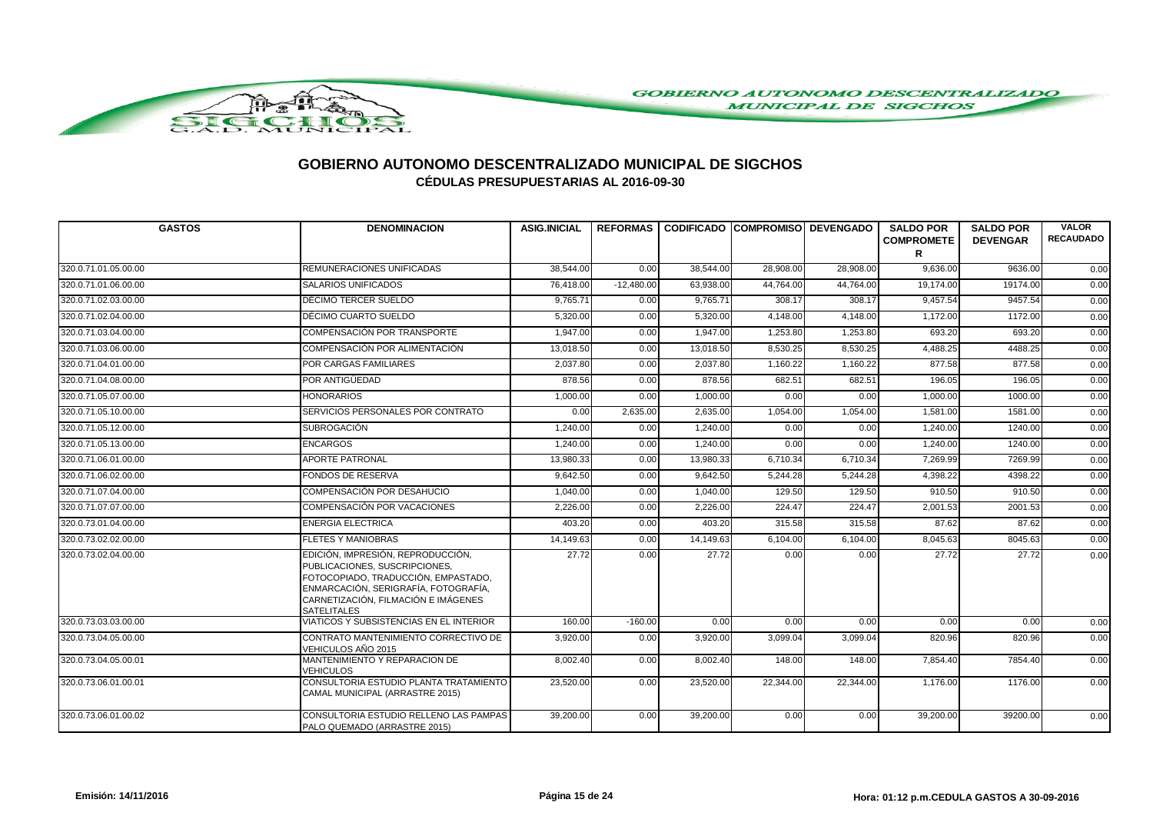

| <b>GASTOS</b>        | <b>DENOMINACION</b>                                                                                                                                                                                            | <b>ASIG.INICIAL</b> | <b>REFORMAS</b> |           | <b>CODIFICADO COMPROMISO DEVENGADO</b> |           | <b>SALDO POR</b><br><b>COMPROMETE</b><br>R | <b>SALDO POR</b><br><b>DEVENGAR</b> | <b>VALOR</b><br><b>RECAUDADO</b> |
|----------------------|----------------------------------------------------------------------------------------------------------------------------------------------------------------------------------------------------------------|---------------------|-----------------|-----------|----------------------------------------|-----------|--------------------------------------------|-------------------------------------|----------------------------------|
| 320.0.71.01.05.00.00 | REMUNERACIONES UNIFICADAS                                                                                                                                                                                      | 38,544.00           | 0.00            | 38,544.00 | 28,908.00                              | 28,908.00 | 9,636.00                                   | 9636.00                             | 0.00                             |
| 320.0.71.01.06.00.00 | <b>SALARIOS UNIFICADOS</b>                                                                                                                                                                                     | 76,418.00           | $-12,480.00$    | 63,938.00 | 44,764.00                              | 44,764.00 | 19,174.00                                  | 19174.00                            | 0.00                             |
| 320.0.71.02.03.00.00 | DÉCIMO TERCER SUELDO                                                                                                                                                                                           | 9,765.71            | 0.00            | 9,765.71  | 308.17                                 | 308.17    | 9,457.54                                   | 9457.54                             | 0.00                             |
| 320.0.71.02.04.00.00 | DÉCIMO CUARTO SUELDO                                                                                                                                                                                           | 5,320.00            | 0.00            | 5,320.00  | 4,148.00                               | 4,148.00  | 1,172.00                                   | 1172.00                             | 0.00                             |
| 320.0.71.03.04.00.00 | COMPENSACIÓN POR TRANSPORTE                                                                                                                                                                                    | 1.947.00            | 0.00            | 1,947.00  | 1,253.80                               | 1,253.80  | 693.20                                     | 693.20                              | 0.00                             |
| 320.0.71.03.06.00.00 | COMPENSACIÓN POR ALIMENTACIÓN                                                                                                                                                                                  | 13,018.50           | 0.00            | 13,018.50 | 8,530.25                               | 8,530.25  | 4,488.25                                   | 4488.25                             | 0.00                             |
| 320.0.71.04.01.00.00 | POR CARGAS FAMILIARES                                                                                                                                                                                          | 2.037.80            | 0.00            | 2.037.80  | 1,160.22                               | 1,160.22  | 877.58                                     | 877.58                              | 0.00                             |
| 320.0.71.04.08.00.00 | POR ANTIGÜEDAD                                                                                                                                                                                                 | 878.56              | 0.00            | 878.56    | 682.51                                 | 682.51    | 196.05                                     | 196.05                              | 0.00                             |
| 320.0.71.05.07.00.00 | <b>HONORARIOS</b>                                                                                                                                                                                              | 1,000.00            | 0.00            | 1,000.00  | 0.00                                   | 0.00      | 1,000.00                                   | 1000.00                             | 0.00                             |
| 320.0.71.05.10.00.00 | SERVICIOS PERSONALES POR CONTRATO                                                                                                                                                                              | 0.00                | 2,635.00        | 2,635.00  | 1,054.00                               | 1,054.00  | 1,581.00                                   | 1581.00                             | 0.00                             |
| 320.0.71.05.12.00.00 | SUBROGACIÓN                                                                                                                                                                                                    | 1,240.00            | 0.00            | 1,240.00  | 0.00                                   | 0.00      | 1,240.00                                   | 1240.00                             | 0.00                             |
| 320.0.71.05.13.00.00 | <b>ENCARGOS</b>                                                                                                                                                                                                | 1,240.00            | 0.00            | 1,240.00  | 0.00                                   | 0.00      | 1,240.00                                   | 1240.00                             | 0.00                             |
| 320.0.71.06.01.00.00 | <b>APORTE PATRONAL</b>                                                                                                                                                                                         | 13.980.33           | 0.00            | 13.980.33 | 6,710.34                               | 6,710.34  | 7.269.99                                   | 7269.99                             | 0.00                             |
| 320.0.71.06.02.00.00 | FONDOS DE RESERVA                                                                                                                                                                                              | 9.642.50            | 0.00            | 9,642.50  | 5,244.28                               | 5,244.28  | 4.398.22                                   | 4398.22                             | 0.00                             |
| 320.0.71.07.04.00.00 | COMPENSACIÓN POR DESAHUCIO                                                                                                                                                                                     | 1,040.00            | 0.00            | 1,040.00  | 129.50                                 | 129.50    | 910.50                                     | 910.50                              | 0.00                             |
| 320.0.71.07.07.00.00 | COMPENSACIÓN POR VACACIONES                                                                                                                                                                                    | 2,226.00            | 0.00            | 2,226.00  | 224.47                                 | 224.47    | 2,001.53                                   | 2001.53                             | 0.00                             |
| 320.0.73.01.04.00.00 | <b>ENERGIA ELECTRICA</b>                                                                                                                                                                                       | 403.20              | 0.00            | 403.20    | 315.58                                 | 315.58    | 87.62                                      | 87.62                               | 0.00                             |
| 320.0.73.02.02.00.00 | <b>FLETES Y MANIOBRAS</b>                                                                                                                                                                                      | 14,149.63           | 0.00            | 14,149.63 | 6,104.00                               | 6,104.00  | 8,045.63                                   | 8045.63                             | 0.00                             |
| 320.0.73.02.04.00.00 | EDICIÓN, IMPRESIÓN, REPRODUCCIÓN,<br>PUBLICACIONES, SUSCRIPCIONES,<br>FOTOCOPIADO, TRADUCCIÓN, EMPASTADO,<br>ENMARCACIÓN, SERIGRAFÍA, FOTOGRAFÍA,<br>CARNETIZACIÓN, FILMACIÓN E IMÁGENES<br><b>SATELITALES</b> | 27.72               | 0.00            | 27.72     | 0.00                                   | 0.00      | 27.72                                      | 27.72                               | 0.00                             |
| 320.0.73.03.03.00.00 | VIATICOS Y SUBSISTENCIAS EN EL INTERIOR                                                                                                                                                                        | 160.00              | $-160.00$       | 0.00      | 0.00                                   | 0.00      | 0.00                                       | 0.00                                | 0.00                             |
| 320.0.73.04.05.00.00 | CONTRATO MANTENIMIENTO CORRECTIVO DE<br>VEHICULOS AÑO 2015                                                                                                                                                     | 3,920.00            | 0.00            | 3,920.00  | 3,099.04                               | 3,099.04  | 820.96                                     | 820.96                              | 0.00                             |
| 320.0.73.04.05.00.01 | MANTENIMIENTO Y REPARACION DE<br>VEHICULOS                                                                                                                                                                     | 8.002.40            | 0.00            | 8,002.40  | 148.00                                 | 148.00    | 7,854.40                                   | 7854.40                             | 0.00                             |
| 320.0.73.06.01.00.01 | CONSULTORIA ESTUDIO PLANTA TRATAMIENTO<br>CAMAL MUNICIPAL (ARRASTRE 2015)                                                                                                                                      | 23,520.00           | 0.00            | 23,520.00 | 22,344.00                              | 22,344.00 | 1,176.00                                   | 1176.00                             | 0.00                             |
| 320.0.73.06.01.00.02 | CONSULTORIA ESTUDIO RELLENO LAS PAMPAS<br>PALO QUEMADO (ARRASTRE 2015)                                                                                                                                         | 39,200.00           | 0.00            | 39,200.00 | 0.00                                   | 0.00      | 39,200.00                                  | 39200.00                            | 0.00                             |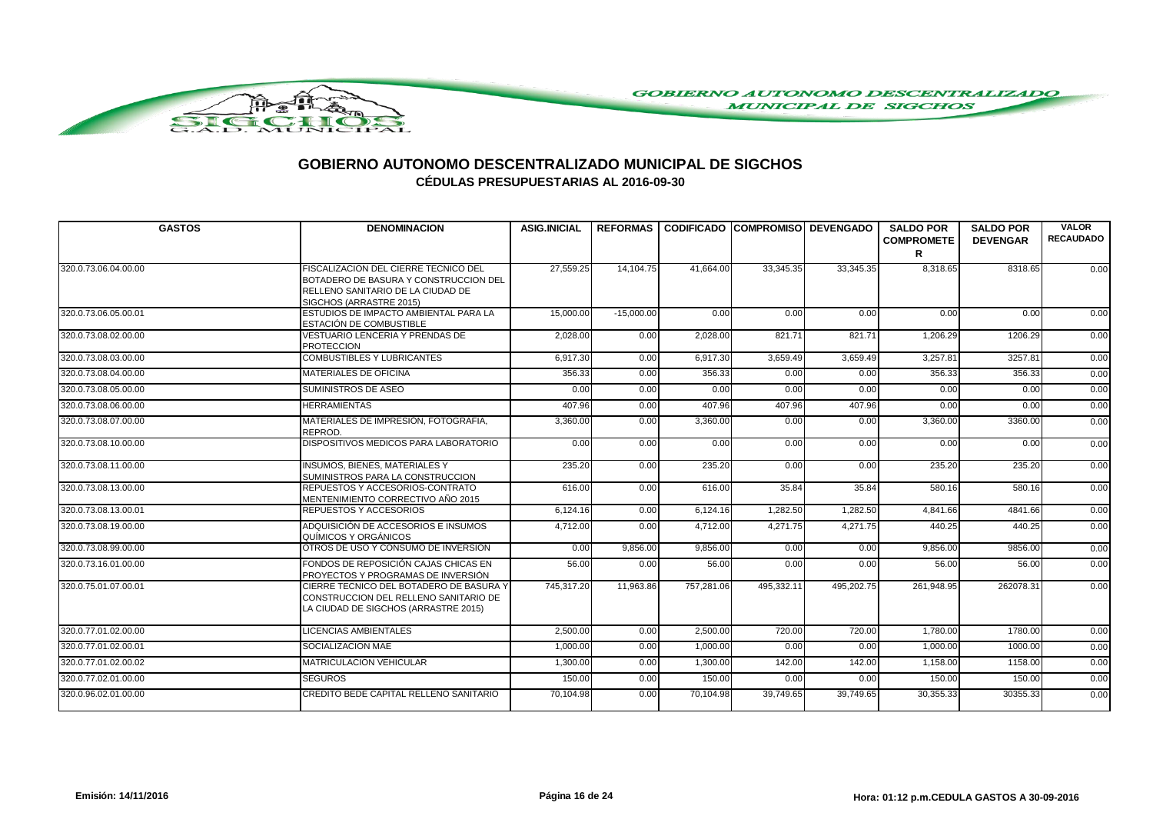

| <b>GASTOS</b>        | <b>DENOMINACION</b>                                                                                                                           | <b>ASIG.INICIAL</b> |              |            |            | REFORMAS   CODIFICADO   COMPROMISO   DEVENGADO | <b>SALDO POR</b><br><b>COMPROMETE</b> | <b>SALDO POR</b><br><b>DEVENGAR</b> | <b>VALOR</b><br><b>RECAUDADO</b> |
|----------------------|-----------------------------------------------------------------------------------------------------------------------------------------------|---------------------|--------------|------------|------------|------------------------------------------------|---------------------------------------|-------------------------------------|----------------------------------|
|                      |                                                                                                                                               |                     |              |            |            |                                                | R                                     |                                     |                                  |
| 320.0.73.06.04.00.00 | FISCALIZACION DEL CIERRE TECNICO DEL<br>BOTADERO DE BASURA Y CONSTRUCCION DEL<br>RELLENO SANITARIO DE LA CIUDAD DE<br>SIGCHOS (ARRASTRE 2015) | 27,559.25           | 14,104.75    | 41,664.00  | 33,345.35  | 33,345.35                                      | 8,318.65                              | 8318.65                             | 0.00                             |
| 320.0.73.06.05.00.01 | ESTUDIOS DE IMPACTO AMBIENTAL PARA LA<br><b>ESTACIÓN DE COMBUSTIBLE</b>                                                                       | 15,000.00           | $-15,000.00$ | 0.00       | 0.00       | 0.00                                           | 0.00                                  | 0.00                                | 0.00                             |
| 320.0.73.08.02.00.00 | <b>VESTUARIO LENCERIA Y PRENDAS DE</b><br><b>PROTECCION</b>                                                                                   | 2,028.00            | 0.00         | 2,028.00   | 821.71     | 821.71                                         | 1,206.29                              | 1206.29                             | 0.00                             |
| 320.0.73.08.03.00.00 | <b>COMBUSTIBLES Y LUBRICANTES</b>                                                                                                             | 6,917.30            | 0.00         | 6,917.30   | 3,659.49   | 3,659.49                                       | 3,257.81                              | 3257.81                             | 0.00                             |
| 320.0.73.08.04.00.00 | <b>MATERIALES DE OFICINA</b>                                                                                                                  | 356.33              | 0.00         | 356.33     | 0.00       | 0.00                                           | 356.33                                | 356.33                              | 0.00                             |
| 320.0.73.08.05.00.00 | SUMINISTROS DE ASEO                                                                                                                           | 0.00                | 0.00         | 0.00       | 0.00       | 0.00                                           | 0.00                                  | 0.00                                | 0.00                             |
| 320.0.73.08.06.00.00 | <b>HERRAMIENTAS</b>                                                                                                                           | 407.96              | 0.00         | 407.96     | 407.96     | 407.96                                         | 0.00                                  | 0.00                                | 0.00                             |
| 320.0.73.08.07.00.00 | MATERIALES DE IMPRESIÓN, FOTOGRAFIA,<br>REPROD.                                                                                               | 3,360.00            | 0.00         | 3,360.00   | 0.00       | 0.00                                           | 3,360.00                              | 3360.00                             | 0.00                             |
| 320.0.73.08.10.00.00 | DISPOSITIVOS MEDICOS PARA LABORATORIO                                                                                                         | 0.00                | 0.00         | 0.00       | 0.00       | 0.00                                           | 0.00                                  | 0.00                                | 0.00                             |
| 320.0.73.08.11.00.00 | <b>INSUMOS, BIENES, MATERIALES Y</b><br>SUMINISTROS PARA LA CONSTRUCCION                                                                      | 235.20              | 0.00         | 235.20     | 0.00       | 0.00                                           | 235.20                                | 235.20                              | 0.00                             |
| 320.0.73.08.13.00.00 | <b>REPUESTOS Y ACCESORIOS-CONTRATO</b><br>MENTENIMIENTO CORRECTIVO AÑO 2015                                                                   | 616.00              | 0.00         | 616.00     | 35.84      | 35.84                                          | 580.16                                | 580.16                              | 0.00                             |
| 320.0.73.08.13.00.01 | <b>REPUESTOS Y ACCESORIOS</b>                                                                                                                 | 6,124.16            | 0.00         | 6,124.16   | 1,282.50   | 1,282.50                                       | 4,841.66                              | 4841.66                             | 0.00                             |
| 320.0.73.08.19.00.00 | ADQUISICIÓN DE ACCESORIOS E INSUMOS<br>QUÍMICOS Y ORGÁNICOS                                                                                   | 4,712.00            | 0.00         | 4,712.00   | 4,271.75   | 4,271.75                                       | 440.25                                | 440.25                              | 0.00                             |
| 320.0.73.08.99.00.00 | OTROS DE USO Y CONSUMO DE INVERSION                                                                                                           | 0.00                | 9,856.00     | 9,856.00   | 0.00       | 0.00                                           | 9,856.00                              | 9856.00                             | 0.00                             |
| 320.0.73.16.01.00.00 | FONDOS DE REPOSICIÓN CAJAS CHICAS EN<br>PROYECTOS Y PROGRAMAS DE INVERSIÓN                                                                    | 56.00               | 0.00         | 56.00      | 0.00       | 0.00                                           | 56.00                                 | 56.00                               | 0.00                             |
| 320.0.75.01.07.00.01 | CIERRE TECNICO DEL BOTADERO DE BASURA Y<br>CONSTRUCCION DEL RELLENO SANITARIO DE<br>LA CIUDAD DE SIGCHOS (ARRASTRE 2015)                      | 745,317.20          | 11,963.86    | 757,281.06 | 495.332.11 | 495,202.75                                     | 261,948.95                            | 262078.31                           | 0.00                             |
| 320.0.77.01.02.00.00 | <b>LICENCIAS AMBIENTALES</b>                                                                                                                  | 2,500.00            | 0.00         | 2,500.00   | 720.00     | 720.00                                         | 1,780.00                              | 1780.00                             | 0.00                             |
| 320.0.77.01.02.00.01 | SOCIALIZACION MAE                                                                                                                             | 1,000.00            | 0.00         | 1,000.00   | 0.00       | 0.00                                           | 1,000.00                              | 1000.00                             | 0.00                             |
| 320.0.77.01.02.00.02 | <b>MATRICULACION VEHICULAR</b>                                                                                                                | 1,300.00            | 0.00         | 1.300.00   | 142.00     | 142.00                                         | 1.158.00                              | 1158.00                             | 0.00                             |
| 320.0.77.02.01.00.00 | <b>SEGUROS</b>                                                                                                                                | 150.00              | 0.00         | 150.00     | 0.00       | 0.00                                           | 150.00                                | 150.00                              | 0.00                             |
| 320.0.96.02.01.00.00 | CREDITO BEDE CAPITAL RELLENO SANITARIO                                                                                                        | 70,104.98           | 0.00         | 70,104.98  | 39,749.65  | 39,749.65                                      | 30,355.33                             | 30355.33                            | 0.00                             |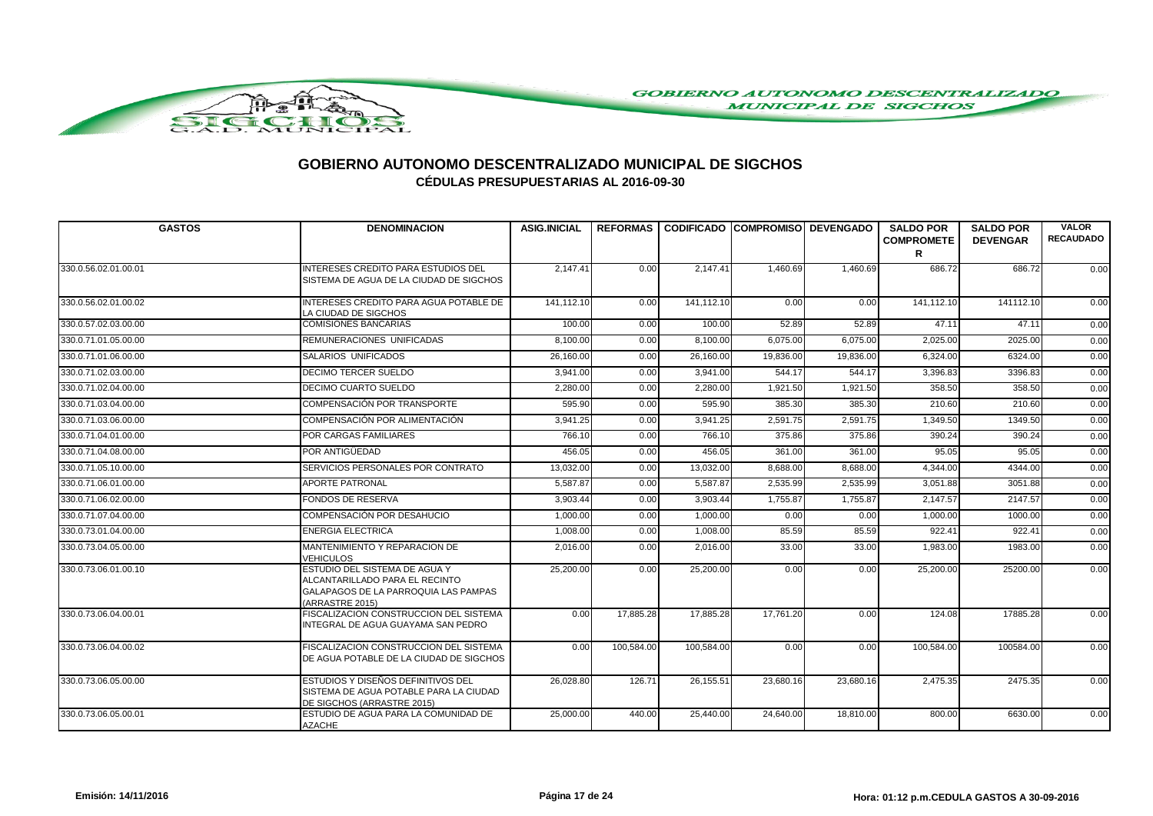

| <b>GASTOS</b>        | <b>DENOMINACION</b>                                                                                                        | <b>ASIG.INICIAL</b> |            |            | REFORMAS CODIFICADO COMPROMISO DEVENGADO |           | <b>SALDO POR</b><br><b>COMPROMETE</b> | <b>SALDO POR</b><br><b>DEVENGAR</b> | <b>VALOR</b><br><b>RECAUDADO</b> |
|----------------------|----------------------------------------------------------------------------------------------------------------------------|---------------------|------------|------------|------------------------------------------|-----------|---------------------------------------|-------------------------------------|----------------------------------|
|                      |                                                                                                                            |                     |            |            |                                          |           | R                                     |                                     |                                  |
| 330.0.56.02.01.00.01 | INTERESES CREDITO PARA ESTUDIOS DEL<br>SISTEMA DE AGUA DE LA CIUDAD DE SIGCHOS                                             | 2,147.41            | 0.00       | 2,147.41   | 1,460.69                                 | 1,460.69  | 686.72                                | 686.72                              | 0.00                             |
| 330.0.56.02.01.00.02 | INTERESES CREDITO PARA AGUA POTABLE DE<br>LA CIUDAD DE SIGCHOS                                                             | 141.112.10          | 0.00       | 141,112.10 | 0.00                                     | 0.00      | 141.112.10                            | 141112.10                           | 0.00                             |
| 330.0.57.02.03.00.00 | <b>COMISIONES BANCARIAS</b>                                                                                                | 100.00              | 0.00       | 100.00     | 52.89                                    | 52.89     | 47.11                                 | 47.11                               | 0.00                             |
| 330.0.71.01.05.00.00 | REMUNERACIONES UNIFICADAS                                                                                                  | 8,100.00            | 0.00       | 8.100.00   | 6,075.00                                 | 6,075.00  | 2,025.00                              | 2025.00                             | 0.00                             |
| 330.0.71.01.06.00.00 | SALARIOS UNIFICADOS                                                                                                        | 26,160.00           | 0.00       | 26,160.00  | 19,836.00                                | 19,836.00 | 6,324.00                              | 6324.00                             | 0.00                             |
| 330.0.71.02.03.00.00 | <b>DECIMO TERCER SUELDO</b>                                                                                                | 3,941.00            | 0.00       | 3,941.00   | 544.17                                   | 544.17    | 3,396.83                              | 3396.83                             | 0.00                             |
| 330.0.71.02.04.00.00 | DECIMO CUARTO SUELDO                                                                                                       | 2,280.00            | 0.00       | 2.280.00   | 1,921.50                                 | 1.921.50  | 358.50                                | 358.50                              | 0.00                             |
| 330.0.71.03.04.00.00 | COMPENSACIÓN POR TRANSPORTE                                                                                                | 595.90              | 0.00       | 595.90     | 385.30                                   | 385.30    | 210.60                                | 210.60                              | 0.00                             |
| 330.0.71.03.06.00.00 | COMPENSACIÓN POR ALIMENTACIÓN                                                                                              | 3,941.25            | 0.00       | 3,941.25   | 2,591.75                                 | 2,591.75  | 1,349.50                              | 1349.50                             | 0.00                             |
| 330.0.71.04.01.00.00 | <b>POR CARGAS FAMILIARES</b>                                                                                               | 766.10              | 0.00       | 766.10     | 375.86                                   | 375.86    | 390.24                                | 390.24                              | 0.00                             |
| 330.0.71.04.08.00.00 | POR ANTIGÜEDAD                                                                                                             | 456.05              | 0.00       | 456.05     | 361.00                                   | 361.00    | 95.05                                 | 95.05                               | 0.00                             |
| 330.0.71.05.10.00.00 | SERVICIOS PERSONALES POR CONTRATO                                                                                          | 13,032.00           | 0.00       | 13,032.00  | 8,688.00                                 | 8,688.00  | 4,344.00                              | 4344.00                             | 0.00                             |
| 330.0.71.06.01.00.00 | <b>APORTE PATRONAL</b>                                                                                                     | 5,587.87            | 0.00       | 5,587.87   | 2,535.99                                 | 2,535.99  | 3,051.88                              | 3051.88                             | 0.00                             |
| 330.0.71.06.02.00.00 | <b>FONDOS DE RESERVA</b>                                                                                                   | 3.903.44            | 0.00       | 3,903.44   | 1,755.87                                 | 1,755.87  | 2,147.57                              | 2147.57                             | 0.00                             |
| 330.0.71.07.04.00.00 | COMPENSACIÓN POR DESAHUCIO                                                                                                 | 1,000.00            | 0.00       | 1.000.00   | 0.00                                     | 0.00      | 1,000.00                              | 1000.00                             | 0.00                             |
| 330.0.73.01.04.00.00 | <b>ENERGIA ELECTRICA</b>                                                                                                   | 1,008.00            | 0.00       | 1,008.00   | 85.59                                    | 85.59     | 922.41                                | 922.41                              | 0.00                             |
| 330.0.73.04.05.00.00 | MANTENIMIENTO Y REPARACION DE<br><b>VEHICULOS</b>                                                                          | 2,016.00            | 0.00       | 2,016.00   | 33.00                                    | 33.00     | 1,983.00                              | 1983.00                             | 0.00                             |
| 330.0.73.06.01.00.10 | ESTUDIO DEL SISTEMA DE AGUA Y<br>ALCANTARILLADO PARA EL RECINTO<br>GALAPAGOS DE LA PARROQUIA LAS PAMPAS<br>(ARRASTRE 2015) | 25,200.00           | 0.00       | 25,200.00  | 0.00                                     | 0.00      | 25.200.00                             | 25200.00                            | 0.00                             |
| 330.0.73.06.04.00.01 | FISCALIZACION CONSTRUCCION DEL SISTEMA<br>INTEGRAL DE AGUA GUAYAMA SAN PEDRO                                               | 0.00                | 17,885.28  | 17,885.28  | 17,761.20                                | 0.00      | 124.08                                | 17885.28                            | 0.00                             |
| 330.0.73.06.04.00.02 | <b>FISCALIZACION CONSTRUCCION DEL SISTEMA</b><br>DE AGUA POTABLE DE LA CIUDAD DE SIGCHOS                                   | 0.00                | 100,584.00 | 100,584.00 | 0.00                                     | 0.00      | 100,584.00                            | 100584.00                           | 0.00                             |
| 330.0.73.06.05.00.00 | ESTUDIOS Y DISEÑOS DEFINITIVOS DEL<br>SISTEMA DE AGUA POTABLE PARA LA CIUDAD<br>DE SIGCHOS (ARRASTRE 2015)                 | 26,028.80           | 126.71     | 26,155.51  | 23,680.16                                | 23,680.16 | 2,475.35                              | 2475.35                             | 0.00                             |
| 330.0.73.06.05.00.01 | ESTUDIO DE AGUA PARA LA COMUNIDAD DE<br><b>AZACHE</b>                                                                      | 25,000.00           | 440.00     | 25,440.00  | 24,640.00                                | 18,810.00 | 800.00                                | 6630.00                             | 0.00                             |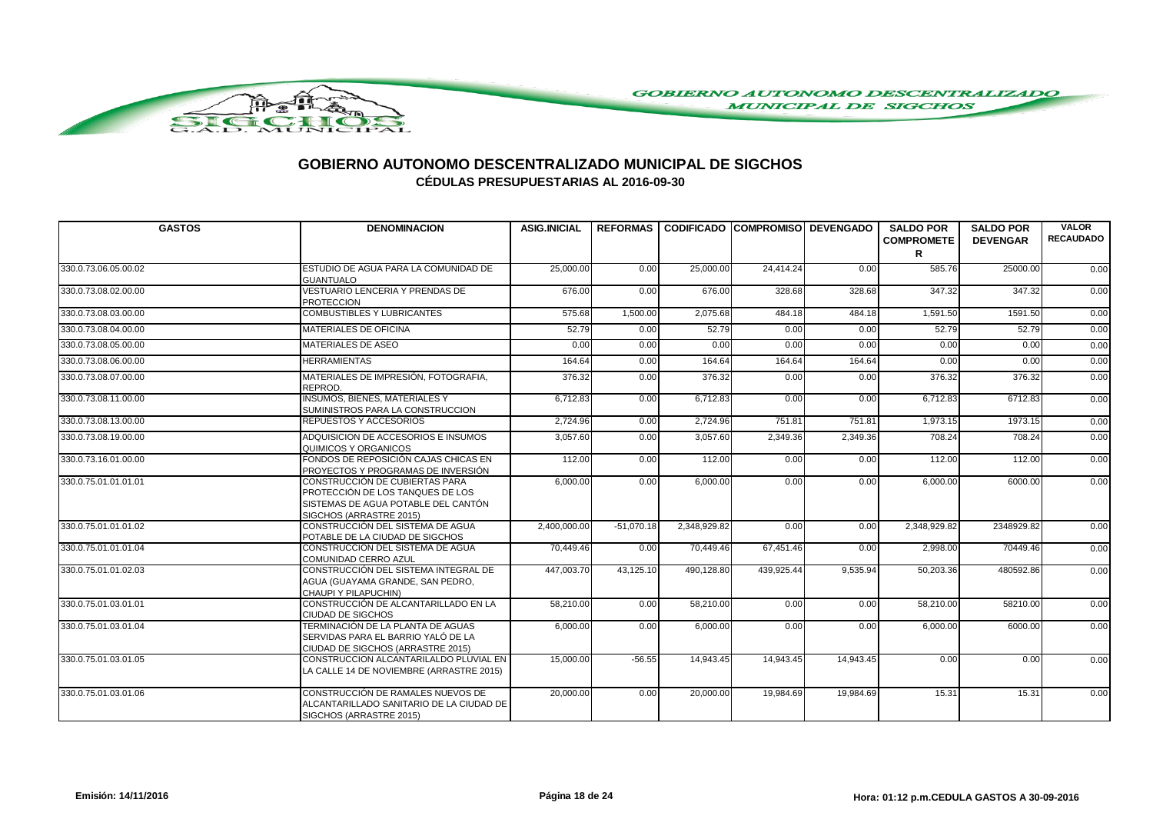

| <b>GASTOS</b>        | <b>DENOMINACION</b>                                                                                                                  | <b>ASIG.INICIAL</b> |              |              |            | REFORMAS   CODIFICADO   COMPROMISO   DEVENGADO | <b>SALDO POR</b><br><b>COMPROMETE</b> | <b>SALDO POR</b><br><b>DEVENGAR</b> | <b>VALOR</b><br><b>RECAUDADO</b> |
|----------------------|--------------------------------------------------------------------------------------------------------------------------------------|---------------------|--------------|--------------|------------|------------------------------------------------|---------------------------------------|-------------------------------------|----------------------------------|
|                      |                                                                                                                                      |                     |              |              |            |                                                | R                                     |                                     |                                  |
| 330.0.73.06.05.00.02 | ESTUDIO DE AGUA PARA LA COMUNIDAD DE<br><b>GUANTUALO</b>                                                                             | 25,000.00           | 0.00         | 25,000.00    | 24,414.24  | 0.00                                           | 585.76                                | 25000.00                            | 0.00                             |
| 330.0.73.08.02.00.00 | VESTUARIO LENCERIA Y PRENDAS DE<br><b>PROTECCION</b>                                                                                 | 676.00              | 0.00         | 676.00       | 328.68     | 328.68                                         | 347.32                                | 347.32                              | 0.00                             |
| 330.0.73.08.03.00.00 | <b>COMBUSTIBLES Y LUBRICANTES</b>                                                                                                    | 575.68              | 1,500.00     | 2,075.68     | 484.18     | 484.18                                         | 1,591.50                              | 1591.50                             | 0.00                             |
| 330.0.73.08.04.00.00 | <b>MATERIALES DE OFICINA</b>                                                                                                         | 52.79               | 0.00         | 52.79        | 0.00       | 0.00                                           | 52.79                                 | 52.79                               | 0.00                             |
| 330.0.73.08.05.00.00 | MATERIALES DE ASEO                                                                                                                   | 0.00                | 0.00         | 0.00         | 0.00       | 0.00                                           | 0.00                                  | 0.00                                | 0.00                             |
| 330.0.73.08.06.00.00 | <b>HERRAMIENTAS</b>                                                                                                                  | 164.64              | 0.00         | 164.64       | 164.64     | 164.64                                         | 0.00                                  | 0.00                                | 0.00                             |
| 330.0.73.08.07.00.00 | MATERIALES DE IMPRESIÓN, FOTOGRAFIA,<br>REPROD.                                                                                      | 376.32              | 0.00         | 376.32       | 0.00       | 0.00                                           | 376.32                                | 376.32                              | 0.00                             |
| 330.0.73.08.11.00.00 | <b>INSUMOS, BIENES, MATERIALES Y</b><br>SUMINISTROS PARA LA CONSTRUCCION                                                             | 6,712.83            | 0.00         | 6,712.83     | 0.00       | 0.00                                           | 6,712.83                              | 6712.83                             | 0.00                             |
| 330.0.73.08.13.00.00 | REPUESTOS Y ACCESORIOS                                                                                                               | 2,724.96            | 0.00         | 2,724.96     | 751.81     | 751.81                                         | 1,973.15                              | 1973.15                             | 0.00                             |
| 330.0.73.08.19.00.00 | ADQUISICION DE ACCESORIOS E INSUMOS<br>QUIMICOS Y ORGANICOS                                                                          | 3,057.60            | 0.00         | 3,057.60     | 2,349.36   | 2,349.36                                       | 708.24                                | 708.24                              | 0.00                             |
| 330.0.73.16.01.00.00 | FONDOS DE REPOSICIÓN CAJAS CHICAS EN<br>PROYECTOS Y PROGRAMAS DE INVERSIÓN                                                           | 112.00              | 0.00         | 112.00       | 0.00       | 0.00                                           | 112.00                                | 112.00                              | 0.00                             |
| 330.0.75.01.01.01.01 | CONSTRUCCIÓN DE CUBIERTAS PARA<br>PROTECCIÓN DE LOS TANQUES DE LOS<br>SISTEMAS DE AGUA POTABLE DEL CANTÓN<br>SIGCHOS (ARRASTRE 2015) | 6,000.00            | 0.00         | 6,000.00     | 0.00       | 0.00                                           | 6,000.00                              | 6000.00                             | 0.00                             |
| 330.0.75.01.01.01.02 | CONSTRUCCIÓN DEL SISTEMA DE AGUA<br>POTABLE DE LA CIUDAD DE SIGCHOS                                                                  | 2.400.000.00        | $-51.070.18$ | 2.348.929.82 | 0.00       | 0.00                                           | 2.348.929.82                          | 2348929.82                          | 0.00                             |
| 330.0.75.01.01.01.04 | <b>CONSTRUCCION DEL SISTEMA DE AGUA</b><br>COMUNIDAD CERRO AZUL                                                                      | 70.449.46           | 0.00         | 70.449.46    | 67.451.46  | 0.00                                           | 2,998.00                              | 70449.46                            | 0.00                             |
| 330.0.75.01.01.02.03 | CONSTRUCCIÓN DEL SISTEMA INTEGRAL DE<br>AGUA (GUAYAMA GRANDE, SAN PEDRO,<br>CHAUPI Y PILAPUCHIN)                                     | 447,003.70          | 43,125.10    | 490,128.80   | 439,925.44 | 9,535.94                                       | 50,203.36                             | 480592.86                           | 0.00                             |
| 330.0.75.01.03.01.01 | CONSTRUCCIÓN DE ALCANTARILLADO EN LA<br>CIUDAD DE SIGCHOS                                                                            | 58,210.00           | 0.00         | 58,210.00    | 0.00       | 0.00                                           | 58,210.00                             | 58210.00                            | 0.00                             |
| 330.0.75.01.03.01.04 | TERMINACIÓN DE LA PLANTA DE AGUAS<br>SERVIDAS PARA EL BARRIO YALÓ DE LA<br>CIUDAD DE SIGCHOS (ARRASTRE 2015)                         | 6,000.00            | 0.00         | 6,000.00     | 0.00       | 0.00                                           | 6,000.00                              | 6000.00                             | 0.00                             |
| 330.0.75.01.03.01.05 | CONSTRUCCION ALCANTARILALDO PLUVIAL EN<br>LA CALLE 14 DE NOVIEMBRE (ARRASTRE 2015)                                                   | 15,000.00           | $-56.55$     | 14,943.45    | 14,943.45  | 14,943.45                                      | 0.00                                  | 0.00                                | 0.00                             |
| 330.0.75.01.03.01.06 | CONSTRUCCIÓN DE RAMALES NUEVOS DE<br>ALCANTARILLADO SANITARIO DE LA CIUDAD DE<br>SIGCHOS (ARRASTRE 2015)                             | 20,000.00           | 0.00         | 20,000.00    | 19,984.69  | 19,984.69                                      | 15.31                                 | 15.31                               | 0.00                             |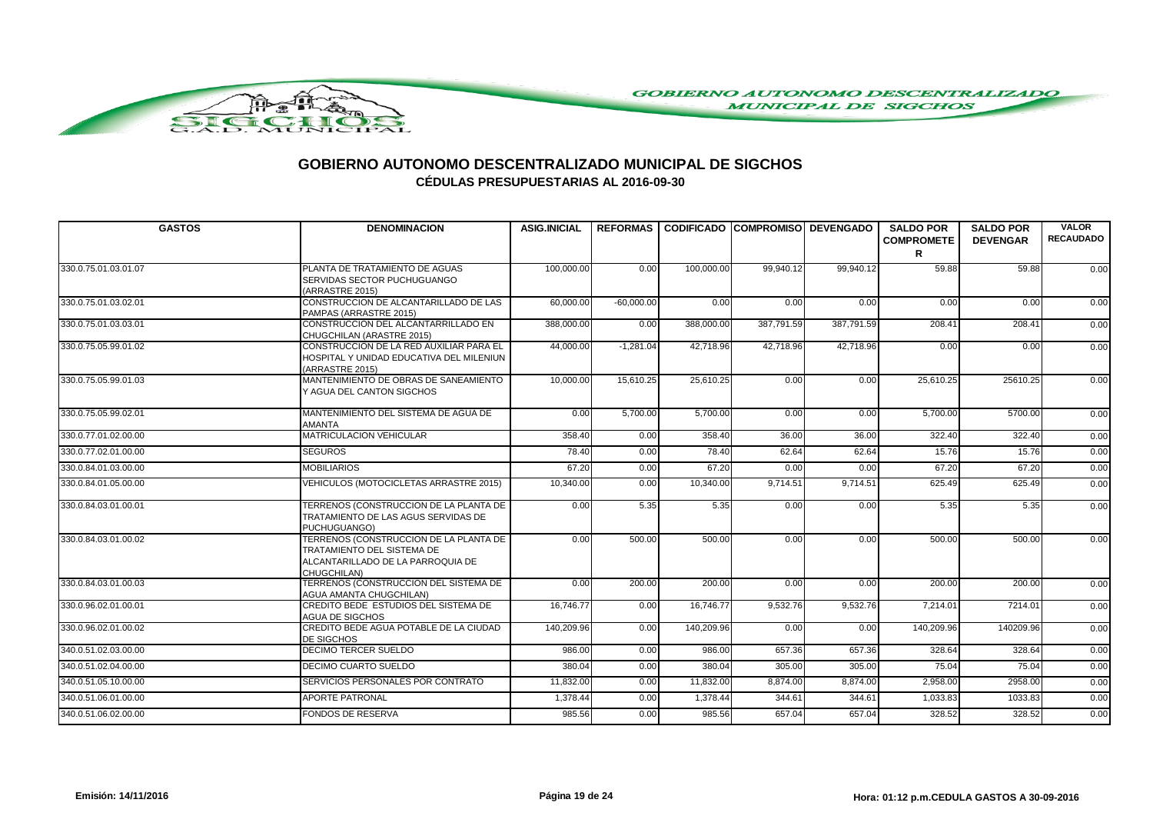

| <b>GASTOS</b>        | <b>DENOMINACION</b>                                                                                                      | <b>ASIG.INICIAL</b> |              | REFORMAS I CODIFICADO ICOMPROMISOI DEVENGADO |            |            | <b>SALDO POR</b><br><b>COMPROMETE</b><br>R | <b>SALDO POR</b><br><b>DEVENGAR</b> | <b>VALOR</b><br><b>RECAUDADO</b> |
|----------------------|--------------------------------------------------------------------------------------------------------------------------|---------------------|--------------|----------------------------------------------|------------|------------|--------------------------------------------|-------------------------------------|----------------------------------|
| 330.0.75.01.03.01.07 | PLANTA DE TRATAMIENTO DE AGUAS<br>SERVIDAS SECTOR PUCHUGUANGO<br>(ARRASTRE 2015)                                         | 100,000.00          | 0.00         | 100,000.00                                   | 99.940.12  | 99.940.12  | 59.88                                      | 59.88                               | 0.00                             |
| 330.0.75.01.03.02.01 | CONSTRUCCION DE ALCANTARILLADO DE LAS<br>PAMPAS (ARRASTRE 2015)                                                          | 60,000.00           | $-60,000.00$ | 0.00                                         | 0.00       | 0.00       | 0.00                                       | 0.00                                | 0.00                             |
| 330.0.75.01.03.03.01 | CONSTRUCCION DEL ALCANTARRILLADO EN<br>CHUGCHILAN (ARASTRE 2015)                                                         | 388.000.00          | 0.00         | 388,000,00                                   | 387.791.59 | 387.791.59 | 208.41                                     | 208.41                              | 0.00                             |
| 330.0.75.05.99.01.02 | CONSTRUCCION DE LA RED AUXILIAR PARA EL<br>HOSPITAL Y UNIDAD EDUCATIVA DEL MILENIUN<br>(ARRASTRE 2015)                   | 44,000.00           | $-1.281.04$  | 42.718.96                                    | 42.718.96  | 42,718.96  | 0.00                                       | 0.00                                | 0.00                             |
| 330.0.75.05.99.01.03 | MANTENIMIENTO DE OBRAS DE SANEAMIENTO<br>Y AGUA DEL CANTON SIGCHOS                                                       | 10,000.00           | 15,610.25    | 25,610.25                                    | 0.00       | 0.00       | 25,610.25                                  | 25610.25                            | 0.00                             |
| 330.0.75.05.99.02.01 | MANTENIMIENTO DEL SISTEMA DE AGUA DE<br><b>AMANTA</b>                                                                    | 0.00                | 5,700.00     | 5,700.00                                     | 0.00       | 0.00       | 5,700.00                                   | 5700.00                             | 0.00                             |
| 330.0.77.01.02.00.00 | MATRICULACION VEHICULAR                                                                                                  | 358.40              | 0.00         | 358.40                                       | 36.00      | 36.00      | 322.40                                     | 322.40                              | 0.00                             |
| 330.0.77.02.01.00.00 | <b>SEGUROS</b>                                                                                                           | 78.40               | 0.00         | 78.40                                        | 62.64      | 62.64      | 15.76                                      | 15.76                               | 0.00                             |
| 330.0.84.01.03.00.00 | <b>MOBILIARIOS</b>                                                                                                       | 67.20               | 0.00         | 67.20                                        | 0.00       | 0.00       | 67.20                                      | 67.20                               | 0.00                             |
| 330.0.84.01.05.00.00 | VEHICULOS (MOTOCICLETAS ARRASTRE 2015)                                                                                   | 10,340.00           | 0.00         | 10,340.00                                    | 9,714.51   | 9,714.51   | 625.49                                     | 625.49                              | 0.00                             |
| 330.0.84.03.01.00.01 | TERRENOS (CONSTRUCCION DE LA PLANTA DE<br>TRATAMIENTO DE LAS AGUS SERVIDAS DE<br>PUCHUGUANGO)                            | 0.00                | 5.35         | 5.35                                         | 0.00       | 0.00       | 5.35                                       | 5.35                                | 0.00                             |
| 330.0.84.03.01.00.02 | TERRENOS (CONSTRUCCION DE LA PLANTA DE<br>TRATAMIENTO DEL SISTEMA DE<br>ALCANTARILLADO DE LA PARROQUIA DE<br>CHUGCHILAN) | 0.00                | 500.00       | 500.00                                       | 0.00       | 0.00       | 500.00                                     | 500.00                              | 0.00                             |
| 330.0.84.03.01.00.03 | TERRENOS (CONSTRUCCION DEL SISTEMA DE<br>AGUA AMANTA CHUGCHILAN)                                                         | 0.00                | 200.00       | 200.00                                       | 0.00       | 0.00       | 200.00                                     | 200.00                              | 0.00                             |
| 330.0.96.02.01.00.01 | CREDITO BEDE ESTUDIOS DEL SISTEMA DE<br><b>AGUA DE SIGCHOS</b>                                                           | 16,746.77           | 0.00         | 16,746.77                                    | 9,532.76   | 9,532.76   | 7,214.01                                   | 7214.01                             | 0.00                             |
| 330.0.96.02.01.00.02 | CREDITO BEDE AGUA POTABLE DE LA CIUDAD<br>DE SIGCHOS                                                                     | 140,209.96          | 0.00         | 140,209.96                                   | 0.00       | 0.00       | 140,209.96                                 | 140209.96                           | 0.00                             |
| 340.0.51.02.03.00.00 | <b>DECIMO TERCER SUELDO</b>                                                                                              | 986.00              | 0.00         | 986.00                                       | 657.36     | 657.36     | 328.64                                     | 328.64                              | 0.00                             |
| 340.0.51.02.04.00.00 | DECIMO CUARTO SUELDO                                                                                                     | 380.04              | 0.00         | 380.04                                       | 305.00     | 305.00     | 75.04                                      | 75.04                               | 0.00                             |
| 340.0.51.05.10.00.00 | SERVICIOS PERSONALES POR CONTRATO                                                                                        | 11,832.00           | 0.00         | 11,832.00                                    | 8,874.00   | 8,874.00   | 2,958.00                                   | 2958.00                             | 0.00                             |
| 340.0.51.06.01.00.00 | <b>APORTE PATRONAL</b>                                                                                                   | 1,378.44            | 0.00         | 1,378.44                                     | 344.61     | 344.61     | 1,033.83                                   | 1033.83                             | 0.00                             |
| 340.0.51.06.02.00.00 | <b>FONDOS DE RESERVA</b>                                                                                                 | 985.56              | 0.00         | 985.56                                       | 657.04     | 657.04     | 328.52                                     | 328.52                              | 0.00                             |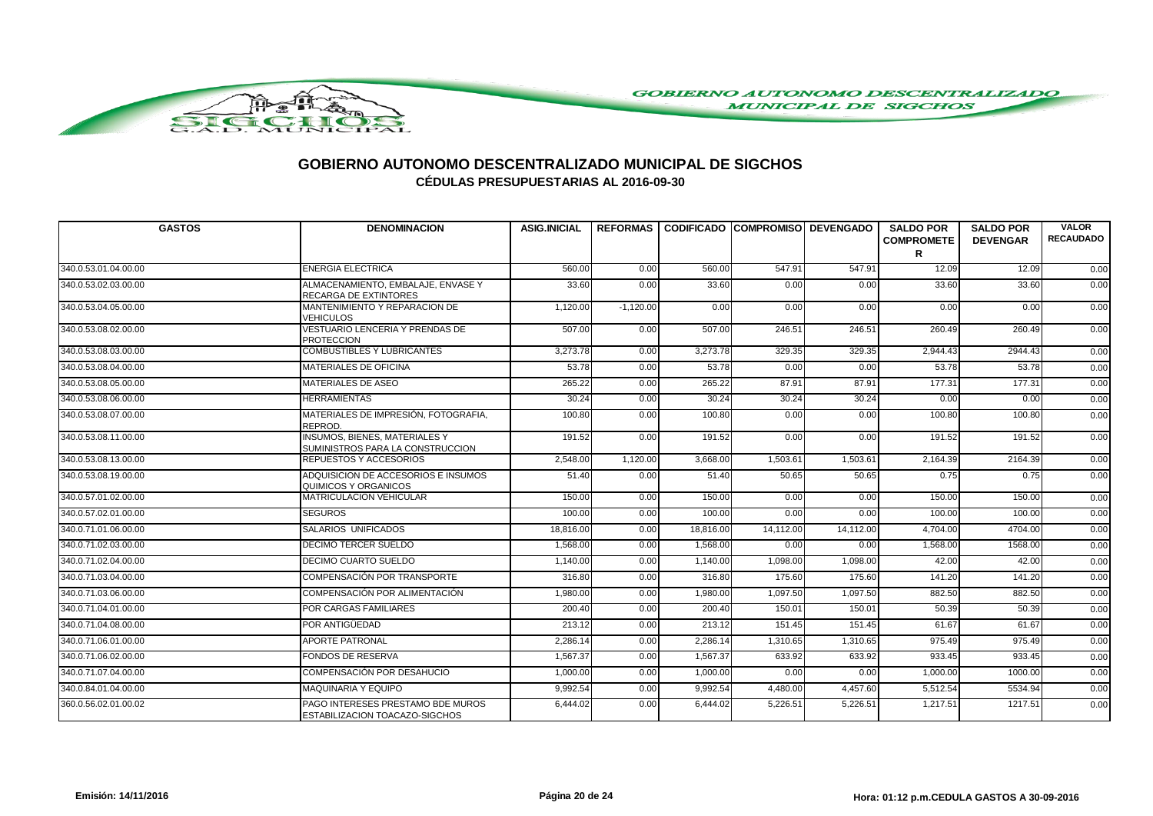

| <b>GASTOS</b>        | <b>DENOMINACION</b>                                                      | <b>ASIG.INICIAL</b> |             | REFORMAS   CODIFICADO COMPROMISO DEVENGADO |           |                 | <b>SALDO POR</b><br><b>COMPROMETE</b> | <b>SALDO POR</b><br><b>DEVENGAR</b> | <b>VALOR</b><br><b>RECAUDADO</b> |
|----------------------|--------------------------------------------------------------------------|---------------------|-------------|--------------------------------------------|-----------|-----------------|---------------------------------------|-------------------------------------|----------------------------------|
|                      |                                                                          |                     |             |                                            |           |                 | R                                     |                                     |                                  |
| 340.0.53.01.04.00.00 | <b>ENERGIA ELECTRICA</b>                                                 | 560.00              | 0.00        | 560.00                                     | 547.91    | 547.91          | 12.09                                 | 12.09                               | 0.00                             |
| 340.0.53.02.03.00.00 | ALMACENAMIENTO, EMBALAJE, ENVASE Y<br>RECARGA DE EXTINTORES              | 33.60               | 0.00        | 33.60                                      | 0.00      | 0.00            | 33.60                                 | 33.60                               | 0.00                             |
| 340.0.53.04.05.00.00 | MANTENIMIENTO Y REPARACION DE<br><b>VEHICULOS</b>                        | 1,120.00            | $-1,120.00$ | 0.00                                       | 0.00      | 0.00            | 0.00                                  | 0.00                                | 0.00                             |
| 340.0.53.08.02.00.00 | VESTUARIO LENCERIA Y PRENDAS DE<br><b>PROTECCION</b>                     | 507.00              | 0.00        | 507.00                                     | 246.51    | 246.5'          | 260.49                                | 260.49                              | 0.00                             |
| 340.0.53.08.03.00.00 | <b>COMBUSTIBLES Y LUBRICANTES</b>                                        | 3,273.78            | 0.00        | 3,273.78                                   | 329.35    | 329.35          | 2,944.43                              | 2944.43                             | 0.00                             |
| 340.0.53.08.04.00.00 | <b>MATERIALES DE OFICINA</b>                                             | 53.78               | 0.00        | 53.78                                      | 0.00      | 0.00            | 53.78                                 | 53.78                               | 0.00                             |
| 340.0.53.08.05.00.00 | <b>MATERIALES DE ASEO</b>                                                | 265.22              | 0.00        | 265.22                                     | 87.91     | 87.91           | 177.31                                | 177.31                              | 0.00                             |
| 340.0.53.08.06.00.00 | <b>HERRAMIENTAS</b>                                                      | 30.24               | 0.00        | 30.24                                      | 30.24     | 30.24           | 0.00                                  | 0.00                                | 0.00                             |
| 340.0.53.08.07.00.00 | MATERIALES DE IMPRESIÓN, FOTOGRAFIA,<br>REPROD.                          | 100.80              | 0.00        | 100.80                                     | 0.00      | 0.00            | 100.80                                | 100.80                              | 0.00                             |
| 340.0.53.08.11.00.00 | <b>INSUMOS, BIENES, MATERIALES Y</b><br>SUMINISTROS PARA LA CONSTRUCCION | 191.52              | 0.00        | $\overline{191.52}$                        | 0.00      | 0.00            | 191.52                                | 191.52                              | 0.00                             |
| 340.0.53.08.13.00.00 | REPUESTOS Y ACCESORIOS                                                   | 2,548.00            | 1,120.00    | 3,668.00                                   | 1,503.61  | 1,503.6'        | 2,164.39                              | 2164.39                             | 0.00                             |
| 340.0.53.08.19.00.00 | ADQUISICION DE ACCESORIOS E INSUMOS<br>QUIMICOS Y ORGANICOS              | 51.40               | 0.00        | 51.40                                      | 50.65     | 50.65           | 0.75                                  | 0.75                                | 0.00                             |
| 340.0.57.01.02.00.00 | <b>MATRICULACION VEHICULAR</b>                                           | 150.00              | 0.00        | 150.00                                     | 0.00      | 0.00            | 150.00                                | 150.00                              | 0.00                             |
| 340.0.57.02.01.00.00 | <b>SEGUROS</b>                                                           | 100.00              | 0.00        | 100.00                                     | 0.00      | 0.00            | 100.00                                | 100.00                              | 0.00                             |
| 340.0.71.01.06.00.00 | SALARIOS UNIFICADOS                                                      | 18,816.00           | 0.00        | 18,816.00                                  | 14,112.00 | 14,112.00       | 4,704.00                              | 4704.00                             | 0.00                             |
| 340.0.71.02.03.00.00 | DECIMO TERCER SUELDO                                                     | 1,568.00            | 0.00        | 1,568.00                                   | 0.00      | 0.00            | 1,568.00                              | 1568.00                             | 0.00                             |
| 340.0.71.02.04.00.00 | DECIMO CUARTO SUELDO                                                     | 1,140.00            | 0.00        | 1,140.00                                   | 1,098.00  | 1,098.00        | 42.00                                 | 42.00                               | 0.00                             |
| 340.0.71.03.04.00.00 | COMPENSACIÓN POR TRANSPORTE                                              | 316.80              | 0.00        | 316.80                                     | 175.60    | 175.60          | 141.20                                | 141.20                              | 0.00                             |
| 340.0.71.03.06.00.00 | COMPENSACIÓN POR ALIMENTACIÓN                                            | 1.980.00            | 0.00        | 1.980.00                                   | 1,097.50  | 1,097.50        | 882.50                                | 882.50                              | 0.00                             |
| 340.0.71.04.01.00.00 | POR CARGAS FAMILIARES                                                    | 200.40              | 0.00        | 200.40                                     | 150.01    | $150.0^{\circ}$ | 50.39                                 | 50.39                               | 0.00                             |
| 340.0.71.04.08.00.00 | POR ANTIGÜEDAD                                                           | 213.12              | 0.00        | 213.12                                     | 151.45    | 151.45          | 61.67                                 | 61.67                               | 0.00                             |
| 340.0.71.06.01.00.00 | <b>APORTE PATRONAL</b>                                                   | 2.286.14            | 0.00        | 2,286.14                                   | 1,310.65  | 1,310.65        | 975.49                                | 975.49                              | 0.00                             |
| 340.0.71.06.02.00.00 | <b>FONDOS DE RESERVA</b>                                                 | 1,567.37            | 0.00        | 1,567.37                                   | 633.92    | 633.92          | 933.45                                | 933.45                              | 0.00                             |
| 340.0.71.07.04.00.00 | COMPENSACIÓN POR DESAHUCIO                                               | 1,000.00            | 0.00        | 1,000.00                                   | 0.00      | 0.00            | 1,000.00                              | 1000.00                             | 0.00                             |
| 340.0.84.01.04.00.00 | <b>MAQUINARIA Y EQUIPO</b>                                               | 9,992.54            | 0.00        | 9,992.54                                   | 4,480.00  | 4,457.60        | 5,512.54                              | 5534.94                             | 0.00                             |
| 360.0.56.02.01.00.02 | PAGO INTERESES PRESTAMO BDE MUROS<br>ESTABILIZACION TOACAZO-SIGCHOS      | 6,444.02            | 0.00        | 6,444.02                                   | 5,226.51  | 5,226.5'        | 1,217.51                              | 1217.51                             | 0.00                             |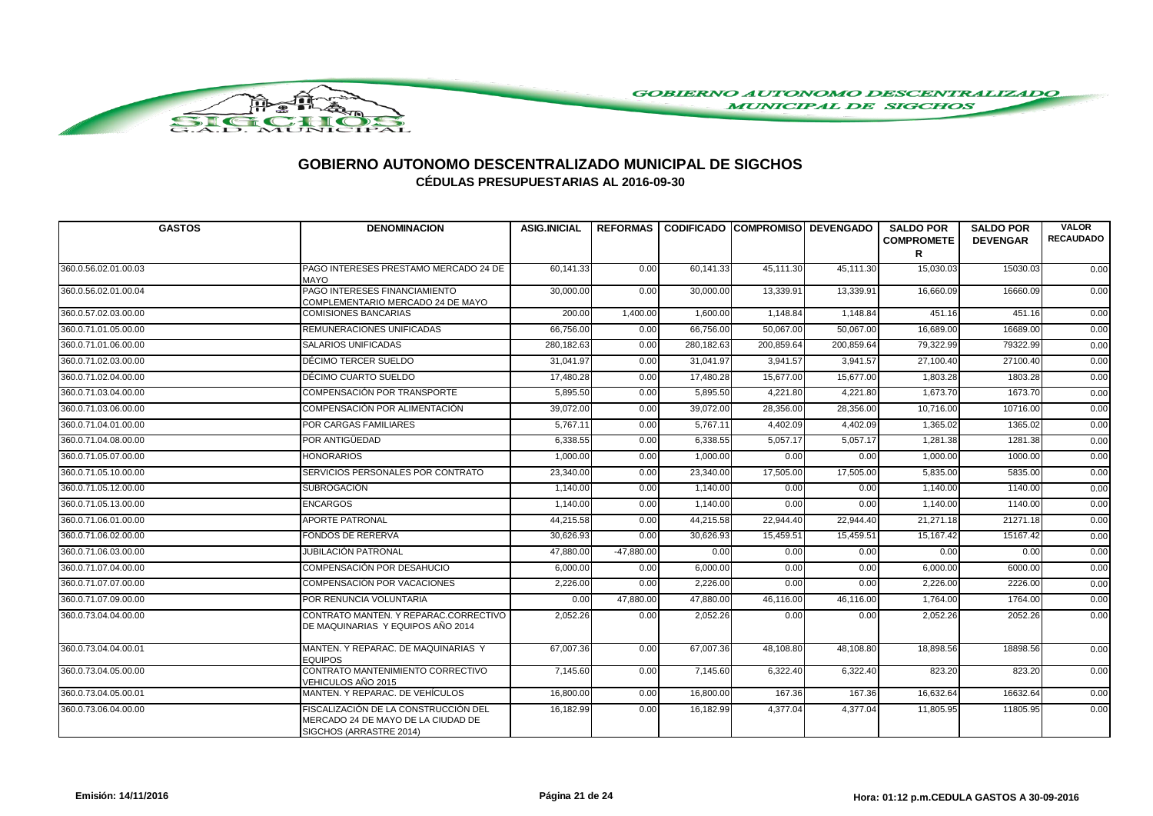

| <b>GASTOS</b>        | <b>DENOMINACION</b>                                                                                   | <b>ASIG.INICIAL</b> |              | REFORMAS CODIFICADO COMPROMISO DEVENGADO |            |            | <b>SALDO POR</b><br><b>COMPROMETE</b><br>R | <b>SALDO POR</b><br><b>DEVENGAR</b> | <b>VALOR</b><br><b>RECAUDADO</b> |
|----------------------|-------------------------------------------------------------------------------------------------------|---------------------|--------------|------------------------------------------|------------|------------|--------------------------------------------|-------------------------------------|----------------------------------|
| 360.0.56.02.01.00.03 | PAGO INTERESES PRESTAMO MERCADO 24 DE<br><b>MAYO</b>                                                  | 60,141.33           | 0.00         | 60,141.33                                | 45,111.30  | 45,111.30  | 15,030.03                                  | 15030.03                            | 0.00                             |
| 360.0.56.02.01.00.04 | PAGO INTERESES FINANCIAMIENTO<br>COMPLEMENTARIO MERCADO 24 DE MAYO                                    | 30,000.00           | 0.00         | 30,000.00                                | 13,339.91  | 13,339.91  | 16,660.09                                  | 16660.09                            | 0.00                             |
| 360.0.57.02.03.00.00 | <b>COMISIONES BANCARIAS</b>                                                                           | 200.00              | 1,400.00     | 1,600.00                                 | 1,148.84   | 1,148.84   | 451.16                                     | 451.16                              | 0.00                             |
| 360.0.71.01.05.00.00 | <b>REMUNERACIONES UNIFICADAS</b>                                                                      | 66,756.00           | 0.00         | 66,756.00                                | 50,067.00  | 50,067.00  | 16,689.00                                  | 16689.00                            | 0.00                             |
| 360.0.71.01.06.00.00 | SALARIOS UNIFICADAS                                                                                   | 280,182.63          | 0.00         | 280,182.63                               | 200,859.64 | 200,859.64 | 79,322.99                                  | 79322.99                            | 0.00                             |
| 360.0.71.02.03.00.00 | DÉCIMO TERCER SUELDO                                                                                  | 31,041.97           | 0.00         | 31,041.97                                | 3,941.57   | 3,941.57   | 27,100.40                                  | 27100.40                            | 0.00                             |
| 360.0.71.02.04.00.00 | DÉCIMO CUARTO SUELDO                                                                                  | 17,480.28           | 0.00         | 17,480.28                                | 15,677.00  | 15,677.00  | 1,803.28                                   | 1803.28                             | 0.00                             |
| 360.0.71.03.04.00.00 | COMPENSACIÓN POR TRANSPORTE                                                                           | 5,895.50            | 0.00         | 5,895.50                                 | 4,221.80   | 4,221.80   | 1,673.70                                   | 1673.70                             | 0.00                             |
| 360.0.71.03.06.00.00 | COMPENSACIÓN POR ALIMENTACIÓN                                                                         | 39,072.00           | 0.00         | 39,072.00                                | 28,356.00  | 28,356.00  | 10,716.00                                  | 10716.00                            | 0.00                             |
| 360.0.71.04.01.00.00 | <b>POR CARGAS FAMILIARES</b>                                                                          | 5,767.11            | 0.00         | 5,767.11                                 | 4,402.09   | 4,402.09   | 1,365.02                                   | 1365.02                             | 0.00                             |
| 360.0.71.04.08.00.00 | POR ANTIGÜEDAD                                                                                        | 6,338.55            | 0.00         | 6,338.55                                 | 5,057.17   | 5,057.17   | 1,281.38                                   | 1281.38                             | 0.00                             |
| 360.0.71.05.07.00.00 | <b>HONORARIOS</b>                                                                                     | 1,000.00            | 0.00         | 1,000.00                                 | 0.00       | 0.00       | 1,000.00                                   | 1000.00                             | 0.00                             |
| 360.0.71.05.10.00.00 | SERVICIOS PERSONALES POR CONTRATO                                                                     | 23,340.00           | 0.00         | 23,340.00                                | 17,505.00  | 17,505.00  | 5,835.00                                   | 5835.00                             | 0.00                             |
| 360.0.71.05.12.00.00 | <b>SUBROGACIÓN</b>                                                                                    | 1,140.00            | 0.00         | 1,140.00                                 | 0.00       | 0.00       | 1.140.00                                   | 1140.00                             | 0.00                             |
| 360.0.71.05.13.00.00 | <b>ENCARGOS</b>                                                                                       | 1,140.00            | 0.00         | 1,140.00                                 | 0.00       | 0.00       | 1,140.00                                   | 1140.00                             | 0.00                             |
| 360.0.71.06.01.00.00 | APORTE PATRONAL                                                                                       | 44,215.58           | 0.00         | 44,215.58                                | 22,944.40  | 22,944.40  | 21,271.18                                  | 21271.18                            | 0.00                             |
| 360.0.71.06.02.00.00 | <b>FONDOS DE RERERVA</b>                                                                              | 30,626.93           | 0.00         | 30,626.93                                | 15,459.51  | 15,459.51  | 15,167.42                                  | 15167.42                            | 0.00                             |
| 360.0.71.06.03.00.00 | JUBILACIÓN PATRONAL                                                                                   | 47,880.00           | $-47,880.00$ | 0.00                                     | 0.00       | 0.00       | 0.00                                       | 0.00                                | 0.00                             |
| 360.0.71.07.04.00.00 | COMPENSACIÓN POR DESAHUCIO                                                                            | 6,000.00            | 0.00         | 6,000.00                                 | 0.00       | 0.00       | 6,000.00                                   | 6000.00                             | 0.00                             |
| 360.0.71.07.07.00.00 | COMPENSACIÓN POR VACACIONES                                                                           | 2,226.00            | 0.00         | 2,226.00                                 | 0.00       | 0.00       | 2,226.00                                   | 2226.00                             | 0.00                             |
| 360.0.71.07.09.00.00 | POR RENUNCIA VOLUNTARIA                                                                               | 0.00                | 47,880.00    | 47,880.00                                | 46,116.00  | 46,116.00  | 1,764.00                                   | 1764.00                             | 0.00                             |
| 360.0.73.04.04.00.00 | CONTRATO MANTEN. Y REPARAC.CORRECTIVO<br>DE MAQUINARIAS Y EQUIPOS AÑO 2014                            | 2,052.26            | 0.00         | 2,052.26                                 | 0.00       | 0.00       | 2,052.26                                   | 2052.26                             | 0.00                             |
| 360.0.73.04.04.00.01 | MANTEN. Y REPARAC. DE MAQUINARIAS Y<br><b>EQUIPOS</b>                                                 | 67,007.36           | 0.00         | 67,007.36                                | 48,108.80  | 48,108.80  | 18,898.56                                  | 18898.56                            | 0.00                             |
| 360.0.73.04.05.00.00 | CONTRATO MANTENIMIENTO CORRECTIVO<br>VEHICULOS AÑO 2015                                               | 7,145.60            | 0.00         | 7,145.60                                 | 6,322.40   | 6,322.40   | 823.20                                     | 823.20                              | 0.00                             |
| 360.0.73.04.05.00.01 | MANTEN. Y REPARAC. DE VEHÍCULOS                                                                       | 16,800.00           | 0.00         | 16,800.00                                | 167.36     | 167.36     | 16,632.64                                  | 16632.64                            | 0.00                             |
| 360.0.73.06.04.00.00 | FISCALIZACIÓN DE LA CONSTRUCCIÓN DEL<br>MERCADO 24 DE MAYO DE LA CIUDAD DE<br>SIGCHOS (ARRASTRE 2014) | 16,182.99           | 0.00         | 16,182.99                                | 4,377.04   | 4,377.04   | 11,805.95                                  | 11805.95                            | 0.00                             |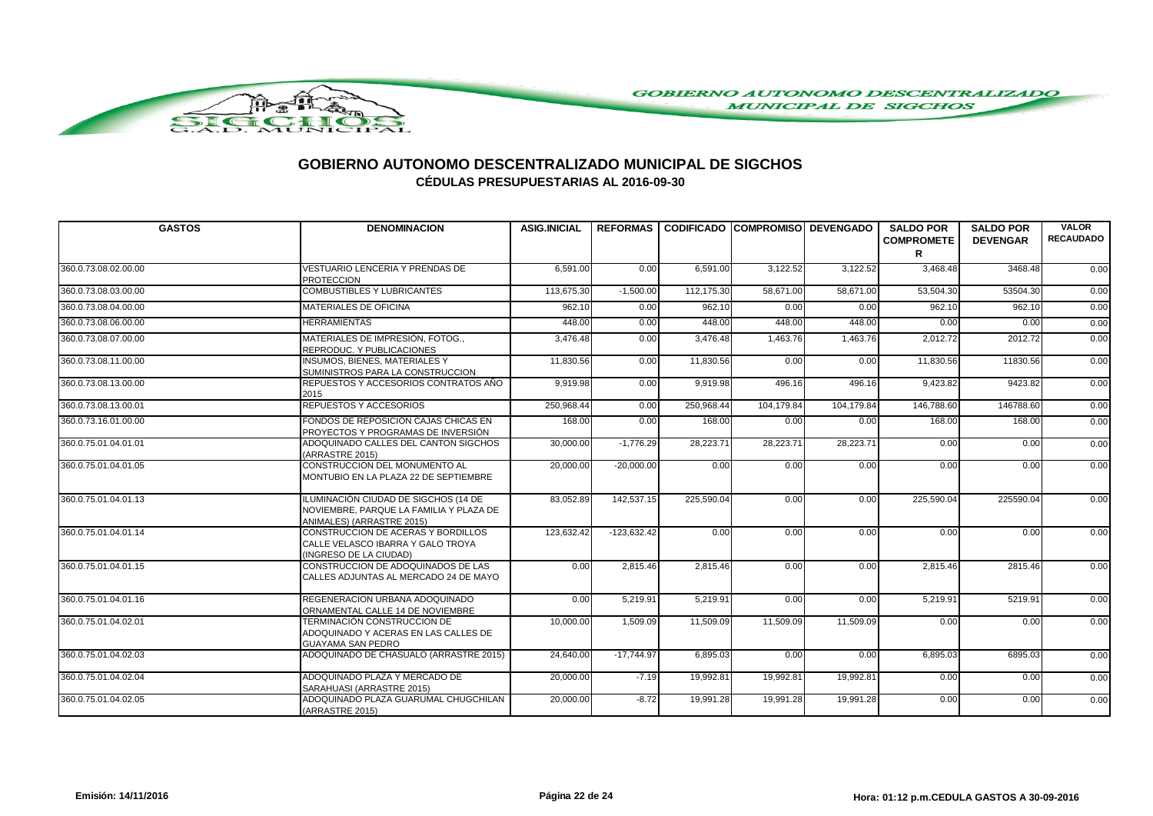

| <b>GASTOS</b>        | <b>DENOMINACION</b>                                                                                          | <b>ASIG.INICIAL</b> |               | REFORMAS I CODIFICADO ICOMPROMISOI DEVENGADO |            |            | <b>SALDO POR</b><br><b>COMPROMETE</b> | <b>SALDO POR</b><br><b>DEVENGAR</b> | <b>VALOR</b><br><b>RECAUDADO</b> |
|----------------------|--------------------------------------------------------------------------------------------------------------|---------------------|---------------|----------------------------------------------|------------|------------|---------------------------------------|-------------------------------------|----------------------------------|
|                      |                                                                                                              |                     |               |                                              |            |            | R                                     |                                     |                                  |
| 360.0.73.08.02.00.00 | VESTUARIO LENCERIA Y PRENDAS DE<br><b>PROTECCION</b>                                                         | 6,591.00            | 0.00          | 6,591.00                                     | 3,122.52   | 3,122.52   | 3,468.48                              | 3468.48                             | 0.00                             |
| 360.0.73.08.03.00.00 | <b>COMBUSTIBLES Y LUBRICANTES</b>                                                                            | 113,675.30          | $-1,500.00$   | 112,175.30                                   | 58,671.00  | 58,671.00  | 53,504.30                             | 53504.30                            | 0.00                             |
| 360.0.73.08.04.00.00 | MATERIALES DE OFICINA                                                                                        | 962.10              | 0.00          | 962.10                                       | 0.00       | 0.00       | 962.10                                | 962.10                              | 0.00                             |
| 360.0.73.08.06.00.00 | <b>HERRAMIENTAS</b>                                                                                          | 448.00              | 0.00          | 448.00                                       | 448.00     | 448.00     | 0.00                                  | 0.00                                | 0.00                             |
| 360.0.73.08.07.00.00 | MATERIALES DE IMPRESIÓN, FOTOG.,<br>REPRODUC. Y PUBLICACIONES                                                | 3,476.48            | 0.00          | 3,476.48                                     | 1,463.76   | 1,463.76   | 2,012.72                              | 2012.72                             | 0.00                             |
| 360.0.73.08.11.00.00 | <b>INSUMOS, BIENES, MATERIALES Y</b><br>SUMINISTROS PARA LA CONSTRUCCION                                     | 11,830.56           | 0.00          | 11,830.56                                    | 0.00       | 0.00       | 11,830.56                             | 11830.56                            | 0.00                             |
| 360.0.73.08.13.00.00 | REPUESTOS Y ACCESORIOS CONTRATOS AÑO<br>2015                                                                 | 9.919.98            | 0.00          | 9,919.98                                     | 496.16     | 496.16     | 9,423.82                              | 9423.82                             | 0.00                             |
| 360.0.73.08.13.00.01 | REPUESTOS Y ACCESORIOS                                                                                       | 250,968.44          | 0.00          | 250,968.44                                   | 104,179.84 | 104,179.84 | 146,788.60                            | 146788.60                           | 0.00                             |
| 360.0.73.16.01.00.00 | FONDOS DE REPOSICIÓN CAJAS CHICAS EN<br>PROYECTOS Y PROGRAMAS DE INVERSIÓN                                   | 168.00              | 0.00          | 168.00                                       | 0.00       | 0.00       | 168.00                                | 168.00                              | 0.00                             |
| 360.0.75.01.04.01.01 | ADOQUINADO CALLES DEL CANTON SIGCHOS<br>(ARRASTRE 2015)                                                      | 30,000.00           | $-1.776.29$   | 28,223.71                                    | 28,223.71  | 28,223.71  | 0.00                                  | 0.00                                | 0.00                             |
| 360.0.75.01.04.01.05 | CONSTRUCCION DEL MONUMENTO AL<br>MONTUBIO EN LA PLAZA 22 DE SEPTIEMBRE                                       | 20,000.00           | $-20,000.00$  | 0.00                                         | 0.00       | 0.00       | 0.00                                  | 0.00                                | 0.00                             |
| 360.0.75.01.04.01.13 | ILUMINACIÓN CIUDAD DE SIGCHOS (14 DE<br>NOVIEMBRE. PARQUE LA FAMILIA Y PLAZA DE<br>ANIMALES) (ARRASTRE 2015) | 83,052.89           | 142,537.15    | 225,590.04                                   | 0.00       | 0.00       | 225,590.04                            | 225590.04                           | 0.00                             |
| 360.0.75.01.04.01.14 | CONSTRUCCION DE ACERAS Y BORDILLOS<br>CALLE VELASCO IBARRA Y GALO TROYA<br>(INGRESO DE LA CIUDAD)            | 123.632.42          | $-123.632.42$ | 0.00                                         | 0.00       | 0.00       | 0.00                                  | 0.00                                | 0.00                             |
| 360.0.75.01.04.01.15 | CONSTRUCCION DE ADOQUINADOS DE LAS<br>CALLES ADJUNTAS AL MERCADO 24 DE MAYO                                  | 0.00                | 2.815.46      | 2,815.46                                     | 0.00       | 0.00       | 2,815.46                              | 2815.46                             | 0.00                             |
| 360.0.75.01.04.01.16 | REGENERACION URBANA ADOQUINADO<br>ORNAMENTAL CALLE 14 DE NOVIEMBRE                                           | 0.00                | 5,219.91      | 5,219.91                                     | 0.00       | 0.00       | 5,219.91                              | 5219.91                             | 0.00                             |
| 360.0.75.01.04.02.01 | TERMINACIÓN CONSTRUCCION DE<br>ADOQUINADO Y ACERAS EN LAS CALLES DE<br><b>GUAYAMA SAN PEDRO</b>              | 10,000.00           | 1,509.09      | 11,509.09                                    | 11,509.09  | 11,509.09  | 0.00                                  | 0.00                                | 0.00                             |
| 360.0.75.01.04.02.03 | ADOQUINADO DE CHASUALO (ARRASTRE 2015)                                                                       | 24,640.00           | $-17,744.97$  | 6,895.03                                     | 0.00       | 0.00       | 6,895.03                              | 6895.03                             | 0.00                             |
| 360.0.75.01.04.02.04 | ADOQUINADO PLAZA Y MERCADO DE<br>SARAHUASI (ARRASTRE 2015)                                                   | 20,000.00           | $-7.19$       | 19,992.81                                    | 19,992.81  | 19,992.81  | 0.00                                  | 0.00                                | 0.00                             |
| 360.0.75.01.04.02.05 | ADOQUINADO PLAZA GUARUMAL CHUGCHILAN<br>(ARRASTRE 2015)                                                      | 20,000.00           | $-8.72$       | 19,991.28                                    | 19,991.28  | 19,991.28  | 0.00                                  | 0.00                                | 0.00                             |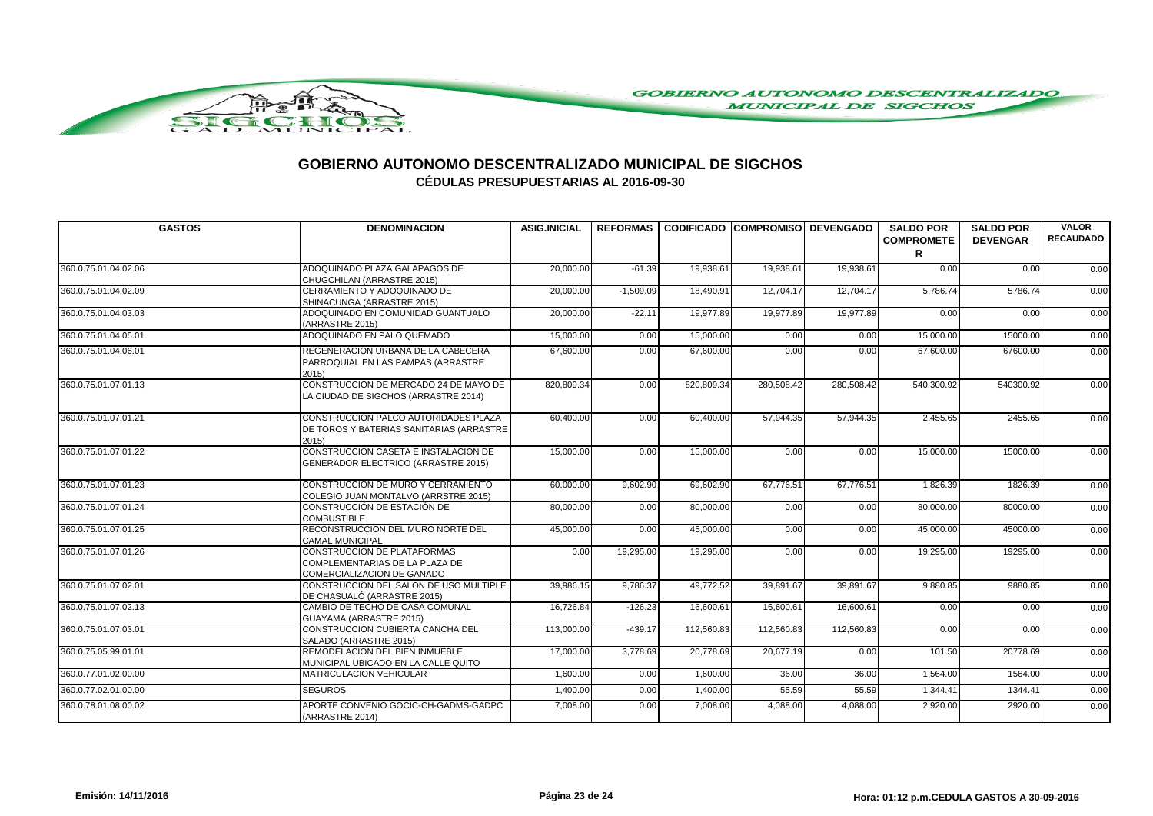

| <b>GASTOS</b>        | <b>DENOMINACION</b>                                                                         | <b>ASIG.INICIAL</b> |             | REFORMAS CODIFICADO COMPROMISO DEVENGADO |            |            | <b>SALDO POR</b><br><b>COMPROMETE</b><br>R | <b>SALDO POR</b><br><b>DEVENGAR</b> | <b>VALOR</b><br><b>RECAUDADO</b> |
|----------------------|---------------------------------------------------------------------------------------------|---------------------|-------------|------------------------------------------|------------|------------|--------------------------------------------|-------------------------------------|----------------------------------|
| 360.0.75.01.04.02.06 | ADOQUINADO PLAZA GALAPAGOS DE<br>CHUGCHILAN (ARRASTRE 2015)                                 | 20,000.00           | $-61.39$    | 19,938.61                                | 19,938.61  | 19,938.61  | 0.00                                       | 0.00                                | 0.00                             |
| 360.0.75.01.04.02.09 | CERRAMIENTO Y ADOQUINADO DE<br>SHINACUNGA (ARRASTRE 2015)                                   | 20.000.00           | $-1.509.09$ | 18.490.91                                | 12.704.17  | 12.704.17  | 5.786.74                                   | 5786.74                             | 0.00                             |
| 360.0.75.01.04.03.03 | ADOQUINADO EN COMUNIDAD GUANTUALO<br>(ARRASTRE 2015)                                        | 20,000.00           | $-22.11$    | 19,977.89                                | 19,977.89  | 19,977.89  | 0.00                                       | 0.00                                | 0.00                             |
| 360.0.75.01.04.05.01 | ADOQUINADO EN PALO QUEMADO                                                                  | 15,000.00           | 0.00        | 15,000.00                                | 0.00       | 0.00       | 15,000.00                                  | 15000.00                            | 0.00                             |
| 360.0.75.01.04.06.01 | REGENERACION URBANA DE LA CABECERA<br>PARROQUIAL EN LAS PAMPAS (ARRASTRE<br>2015            | 67,600.00           | 0.00        | 67,600.00                                | 0.00       | 0.00       | 67,600.00                                  | 67600.00                            | 0.00                             |
| 360.0.75.01.07.01.13 | CONSTRUCCION DE MERCADO 24 DE MAYO DE<br>LA CIUDAD DE SIGCHOS (ARRASTRE 2014)               | 820,809.34          | 0.00        | 820,809.34                               | 280,508.42 | 280,508.42 | 540,300.92                                 | 540300.92                           | 0.00                             |
| 360.0.75.01.07.01.21 | CONSTRUCCIÓN PALCO AUTORIDADES PLAZA<br>DE TOROS Y BATERIAS SANITARIAS (ARRASTRE<br>2015    | 60,400.00           | 0.00        | 60,400.00                                | 57,944.35  | 57,944.35  | 2,455.65                                   | 2455.65                             | 0.00                             |
| 360.0.75.01.07.01.22 | CONSTRUCCION CASETA E INSTALACION DE<br>GENERADOR ELECTRICO (ARRASTRE 2015)                 | 15,000.00           | 0.00        | 15,000.00                                | 0.00       | 0.00       | 15,000.00                                  | 15000.00                            | 0.00                             |
| 360.0.75.01.07.01.23 | CONSTRUCCION DE MURO Y CERRAMIENTO<br>COLEGIO JUAN MONTALVO (ARRSTRE 2015)                  | 60,000.00           | 9,602.90    | 69,602.90                                | 67,776.51  | 67,776.51  | 1,826.39                                   | 1826.39                             | 0.00                             |
| 360.0.75.01.07.01.24 | CONSTRUCCIÓN DE ESTACIÓN DE<br><b>COMBUSTIBLE</b>                                           | 80,000.00           | 0.00        | 80,000.00                                | 0.00       | 0.00       | 80,000.00                                  | 80000.00                            | 0.00                             |
| 360.0.75.01.07.01.25 | RECONSTRUCCION DEL MURO NORTE DEL<br><b>CAMAL MUNICIPAL</b>                                 | 45,000.00           | 0.00        | 45,000.00                                | 0.00       | 0.00       | 45,000.00                                  | 45000.00                            | 0.00                             |
| 360.0.75.01.07.01.26 | CONSTRUCCION DE PLATAFORMAS<br>COMPLEMENTARIAS DE LA PLAZA DE<br>COMERCIALIZACION DE GANADO | 0.00                | 19,295.00   | 19,295.00                                | 0.00       | 0.00       | 19,295.00                                  | 19295.00                            | 0.00                             |
| 360.0.75.01.07.02.01 | CONSTRUCCION DEL SALON DE USO MULTIPLE<br>DE CHASUALÓ (ARRASTRE 2015)                       | 39,986.15           | 9,786.37    | 49,772.52                                | 39,891.67  | 39,891.67  | 9,880.85                                   | 9880.85                             | 0.00                             |
| 360.0.75.01.07.02.13 | CAMBIO DE TECHO DE CASA COMUNAL<br>GUAYAMA (ARRASTRE 2015)                                  | 16,726.84           | $-126.23$   | 16,600.61                                | 16,600.61  | 16,600.61  | 0.00                                       | 0.00                                | 0.00                             |
| 360.0.75.01.07.03.01 | CONSTRUCCION CUBIERTA CANCHA DEL<br>SALADO (ARRASTRE 2015)                                  | 113,000.00          | $-439.17$   | 112,560.83                               | 112,560.83 | 112,560.83 | 0.00                                       | 0.00                                | 0.00                             |
| 360.0.75.05.99.01.01 | REMODELACION DEL BIEN INMUEBLE<br>MUNICIPAL UBICADO EN LA CALLE QUITO                       | 17,000.00           | 3,778.69    | 20,778.69                                | 20,677.19  | 0.00       | 101.50                                     | 20778.69                            | 0.00                             |
| 360.0.77.01.02.00.00 | MATRICULACION VEHICULAR                                                                     | 1,600.00            | 0.00        | 1,600.00                                 | 36.00      | 36.00      | 1,564.00                                   | 1564.00                             | 0.00                             |
| 360.0.77.02.01.00.00 | <b>SEGUROS</b>                                                                              | 1,400.00            | 0.00        | 1,400.00                                 | 55.59      | 55.59      | 1,344.41                                   | 1344.41                             | 0.00                             |
| 360.0.78.01.08.00.02 | APORTE CONVENIO GOCIC-CH-GADMS-GADPC<br>(ARRASTRE 2014)                                     | 7,008.00            | 0.00        | 7,008.00                                 | 4,088.00   | 4,088.00   | 2,920.00                                   | 2920.00                             | 0.00                             |